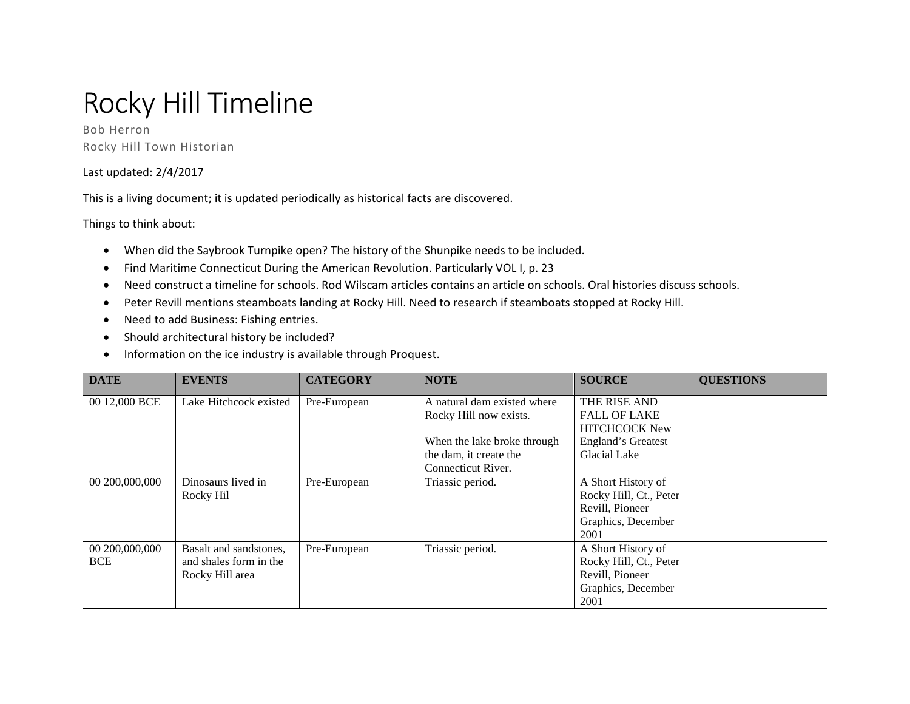## Rocky Hill Timeline

Bob Herron Rocky Hill Town Historian

## Last updated: 2/4/2017

This is a living document; it is updated periodically as historical facts are discovered.

Things to think about:

- When did the Saybrook Turnpike open? The history of the Shunpike needs to be included.
- Find Maritime Connecticut During the American Revolution. Particularly VOL I, p. 23
- Need construct a timeline for schools. Rod Wilscam articles contains an article on schools. Oral histories discuss schools.
- Peter Revill mentions steamboats landing at Rocky Hill. Need to research if steamboats stopped at Rocky Hill.
- Need to add Business: Fishing entries.
- Should architectural history be included?
- Information on the ice industry is available through Proquest.

| <b>DATE</b>    | <b>EVENTS</b>          | <b>CATEGORY</b> | <b>NOTE</b>                 | <b>SOURCE</b>          | <b>QUESTIONS</b> |
|----------------|------------------------|-----------------|-----------------------------|------------------------|------------------|
| 00 12,000 BCE  | Lake Hitchcock existed | Pre-European    | A natural dam existed where | THE RISE AND           |                  |
|                |                        |                 | Rocky Hill now exists.      | <b>FALL OF LAKE</b>    |                  |
|                |                        |                 |                             | <b>HITCHCOCK New</b>   |                  |
|                |                        |                 | When the lake broke through | England's Greatest     |                  |
|                |                        |                 | the dam, it create the      | Glacial Lake           |                  |
|                |                        |                 | Connecticut River.          |                        |                  |
| 00 200,000,000 | Dinosaurs lived in     | Pre-European    | Triassic period.            | A Short History of     |                  |
|                | Rocky Hil              |                 |                             | Rocky Hill, Ct., Peter |                  |
|                |                        |                 |                             | Revill, Pioneer        |                  |
|                |                        |                 |                             | Graphics, December     |                  |
|                |                        |                 |                             | 2001                   |                  |
| 00 200,000,000 | Basalt and sandstones, | Pre-European    | Triassic period.            | A Short History of     |                  |
| <b>BCE</b>     | and shales form in the |                 |                             | Rocky Hill, Ct., Peter |                  |
|                | Rocky Hill area        |                 |                             | Revill, Pioneer        |                  |
|                |                        |                 |                             | Graphics, December     |                  |
|                |                        |                 |                             | 2001                   |                  |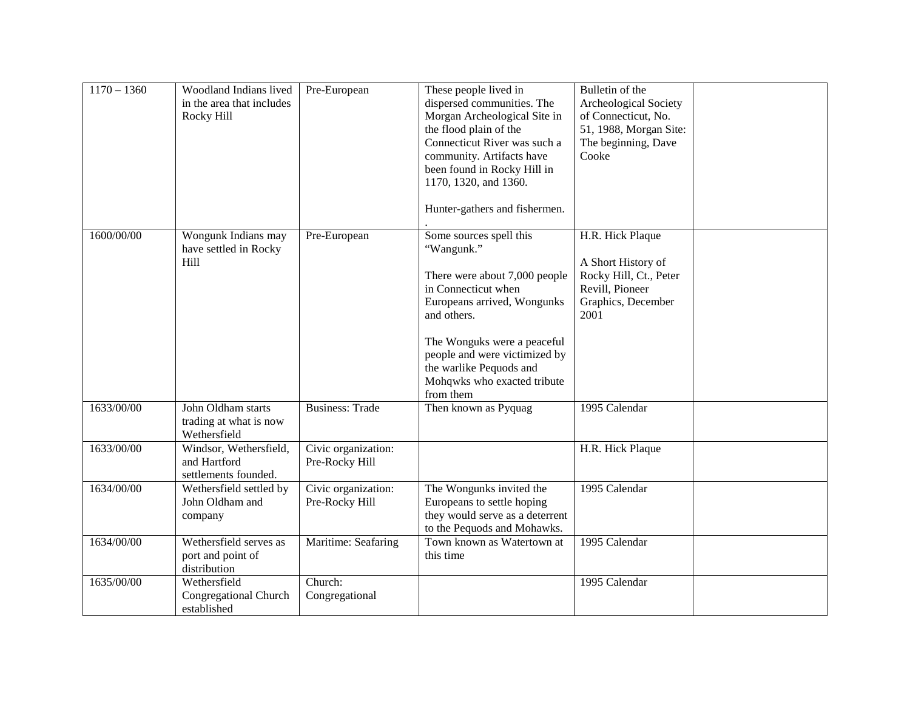| $1170 - 1360$ | Woodland Indians lived<br>in the area that includes<br>Rocky Hill | Pre-European                          | These people lived in<br>dispersed communities. The<br>Morgan Archeological Site in<br>the flood plain of the<br>Connecticut River was such a<br>community. Artifacts have<br>been found in Rocky Hill in<br>1170, 1320, and 1360.<br>Hunter-gathers and fishermen.                | Bulletin of the<br>Archeological Society<br>of Connecticut, No.<br>51, 1988, Morgan Site:<br>The beginning, Dave<br>Cooke |
|---------------|-------------------------------------------------------------------|---------------------------------------|------------------------------------------------------------------------------------------------------------------------------------------------------------------------------------------------------------------------------------------------------------------------------------|---------------------------------------------------------------------------------------------------------------------------|
| 1600/00/00    | Wongunk Indians may<br>have settled in Rocky<br>Hill              | Pre-European                          | Some sources spell this<br>"Wangunk."<br>There were about 7,000 people<br>in Connecticut when<br>Europeans arrived, Wongunks<br>and others.<br>The Wonguks were a peaceful<br>people and were victimized by<br>the warlike Pequods and<br>Mohqwks who exacted tribute<br>from them | H.R. Hick Plaque<br>A Short History of<br>Rocky Hill, Ct., Peter<br>Revill, Pioneer<br>Graphics, December<br>2001         |
| 1633/00/00    | John Oldham starts<br>trading at what is now<br>Wethersfield      | <b>Business: Trade</b>                | Then known as Pyquag                                                                                                                                                                                                                                                               | 1995 Calendar                                                                                                             |
| 1633/00/00    | Windsor, Wethersfield,<br>and Hartford<br>settlements founded.    | Civic organization:<br>Pre-Rocky Hill |                                                                                                                                                                                                                                                                                    | H.R. Hick Plaque                                                                                                          |
| 1634/00/00    | Wethersfield settled by<br>John Oldham and<br>company             | Civic organization:<br>Pre-Rocky Hill | The Wongunks invited the<br>Europeans to settle hoping<br>they would serve as a deterrent<br>to the Pequods and Mohawks.                                                                                                                                                           | 1995 Calendar                                                                                                             |
| 1634/00/00    | Wethersfield serves as<br>port and point of<br>distribution       | Maritime: Seafaring                   | Town known as Watertown at<br>this time                                                                                                                                                                                                                                            | 1995 Calendar                                                                                                             |
| 1635/00/00    | Wethersfield<br><b>Congregational Church</b><br>established       | Church:<br>Congregational             |                                                                                                                                                                                                                                                                                    | 1995 Calendar                                                                                                             |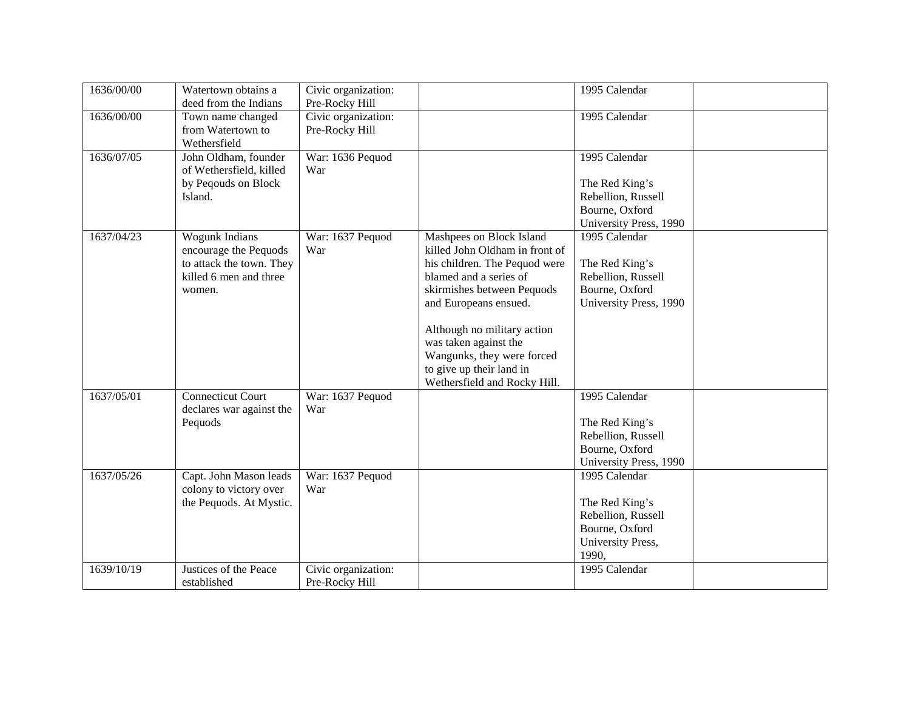| 1636/00/00 | Watertown obtains a<br>deed from the Indians | Civic organization:<br>Pre-Rocky Hill |                                | 1995 Calendar          |  |
|------------|----------------------------------------------|---------------------------------------|--------------------------------|------------------------|--|
| 1636/00/00 | Town name changed                            | Civic organization:                   |                                | 1995 Calendar          |  |
|            | from Watertown to                            | Pre-Rocky Hill                        |                                |                        |  |
|            | Wethersfield                                 |                                       |                                |                        |  |
| 1636/07/05 | John Oldham, founder                         | War: 1636 Pequod                      |                                | 1995 Calendar          |  |
|            |                                              | War                                   |                                |                        |  |
|            | of Wethersfield, killed                      |                                       |                                |                        |  |
|            | by Peqouds on Block                          |                                       |                                | The Red King's         |  |
|            | Island.                                      |                                       |                                | Rebellion, Russell     |  |
|            |                                              |                                       |                                | Bourne, Oxford         |  |
|            |                                              |                                       |                                | University Press, 1990 |  |
| 1637/04/23 | <b>Wogunk Indians</b>                        | War: 1637 Pequod                      | Mashpees on Block Island       | 1995 Calendar          |  |
|            | encourage the Pequods                        | War                                   | killed John Oldham in front of |                        |  |
|            | to attack the town. They                     |                                       | his children. The Pequod were  | The Red King's         |  |
|            | killed 6 men and three                       |                                       | blamed and a series of         | Rebellion, Russell     |  |
|            | women.                                       |                                       | skirmishes between Pequods     | Bourne, Oxford         |  |
|            |                                              |                                       | and Europeans ensued.          | University Press, 1990 |  |
|            |                                              |                                       | Although no military action    |                        |  |
|            |                                              |                                       | was taken against the          |                        |  |
|            |                                              |                                       | Wangunks, they were forced     |                        |  |
|            |                                              |                                       | to give up their land in       |                        |  |
|            |                                              |                                       | Wethersfield and Rocky Hill.   |                        |  |
| 1637/05/01 | <b>Connecticut Court</b>                     | War: 1637 Pequod                      |                                | 1995 Calendar          |  |
|            | declares war against the                     | War                                   |                                |                        |  |
|            | Pequods                                      |                                       |                                | The Red King's         |  |
|            |                                              |                                       |                                | Rebellion, Russell     |  |
|            |                                              |                                       |                                | Bourne, Oxford         |  |
|            |                                              |                                       |                                | University Press, 1990 |  |
| 1637/05/26 | Capt. John Mason leads                       | War: 1637 Pequod                      |                                | 1995 Calendar          |  |
|            | colony to victory over                       | War                                   |                                |                        |  |
|            | the Pequods. At Mystic.                      |                                       |                                | The Red King's         |  |
|            |                                              |                                       |                                | Rebellion, Russell     |  |
|            |                                              |                                       |                                | Bourne, Oxford         |  |
|            |                                              |                                       |                                |                        |  |
|            |                                              |                                       |                                | University Press,      |  |
|            |                                              |                                       |                                | 1990,                  |  |
| 1639/10/19 | Justices of the Peace                        | Civic organization:                   |                                | 1995 Calendar          |  |
|            | established                                  | Pre-Rocky Hill                        |                                |                        |  |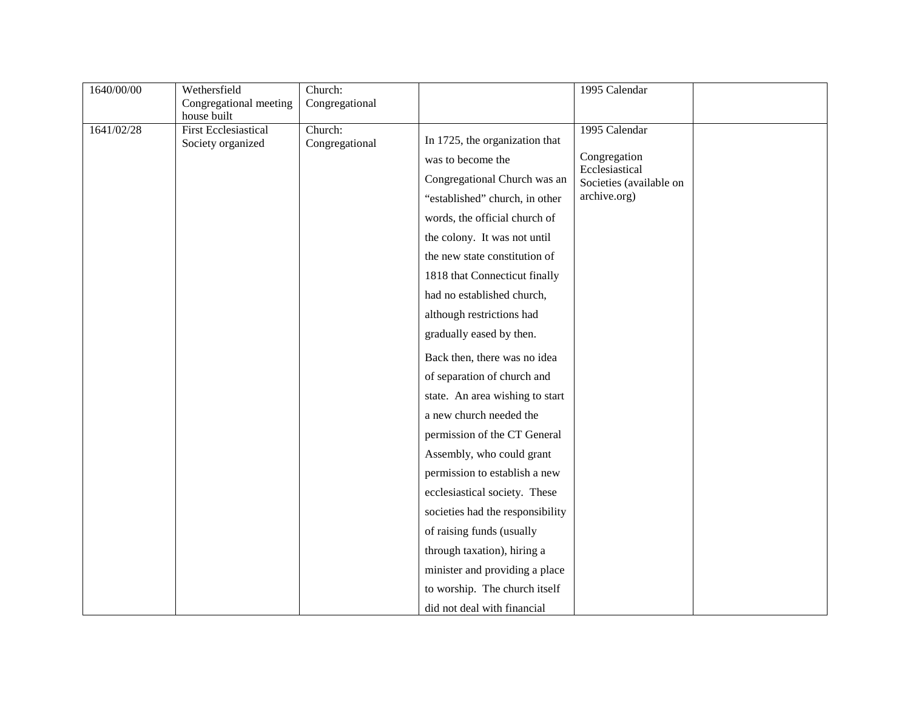| 1640/00/00 | Wethersfield                                     | Church:                   |                                  | 1995 Calendar                  |  |
|------------|--------------------------------------------------|---------------------------|----------------------------------|--------------------------------|--|
|            | Congregational meeting                           | Congregational            |                                  |                                |  |
|            | house built                                      |                           |                                  |                                |  |
| 1641/02/28 | <b>First Ecclesiastical</b><br>Society organized | Church:<br>Congregational | In 1725, the organization that   | 1995 Calendar                  |  |
|            |                                                  |                           | was to become the                | Congregation<br>Ecclesiastical |  |
|            |                                                  |                           | Congregational Church was an     | Societies (available on        |  |
|            |                                                  |                           | "established" church, in other   | archive.org)                   |  |
|            |                                                  |                           | words, the official church of    |                                |  |
|            |                                                  |                           | the colony. It was not until     |                                |  |
|            |                                                  |                           | the new state constitution of    |                                |  |
|            |                                                  |                           | 1818 that Connecticut finally    |                                |  |
|            |                                                  |                           | had no established church,       |                                |  |
|            |                                                  |                           | although restrictions had        |                                |  |
|            |                                                  |                           | gradually eased by then.         |                                |  |
|            |                                                  |                           | Back then, there was no idea     |                                |  |
|            |                                                  |                           | of separation of church and      |                                |  |
|            |                                                  |                           | state. An area wishing to start  |                                |  |
|            |                                                  |                           | a new church needed the          |                                |  |
|            |                                                  |                           | permission of the CT General     |                                |  |
|            |                                                  |                           | Assembly, who could grant        |                                |  |
|            |                                                  |                           | permission to establish a new    |                                |  |
|            |                                                  |                           | ecclesiastical society. These    |                                |  |
|            |                                                  |                           | societies had the responsibility |                                |  |
|            |                                                  |                           | of raising funds (usually        |                                |  |
|            |                                                  |                           | through taxation), hiring a      |                                |  |
|            |                                                  |                           | minister and providing a place   |                                |  |
|            |                                                  |                           | to worship. The church itself    |                                |  |
|            |                                                  |                           | did not deal with financial      |                                |  |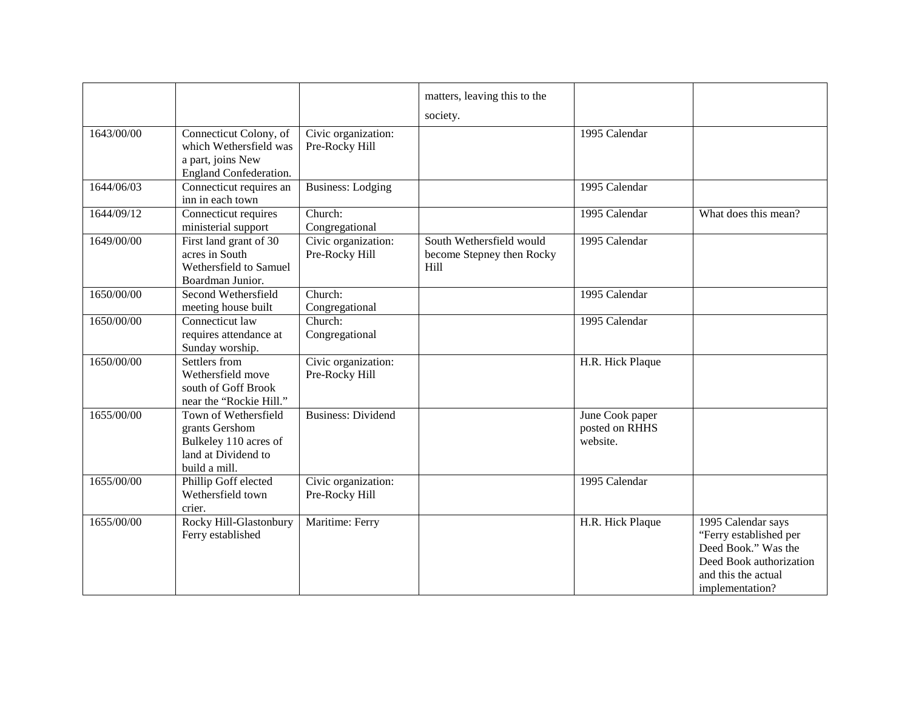|            |                                                                                                         |                                       | matters, leaving this to the<br>society.                      |                                               |                                                                                                                                          |
|------------|---------------------------------------------------------------------------------------------------------|---------------------------------------|---------------------------------------------------------------|-----------------------------------------------|------------------------------------------------------------------------------------------------------------------------------------------|
| 1643/00/00 | Connecticut Colony, of<br>which Wethersfield was<br>a part, joins New<br>England Confederation.         | Civic organization:<br>Pre-Rocky Hill |                                                               | 1995 Calendar                                 |                                                                                                                                          |
| 1644/06/03 | Connecticut requires an<br>inn in each town                                                             | <b>Business: Lodging</b>              |                                                               | 1995 Calendar                                 |                                                                                                                                          |
| 1644/09/12 | Connecticut requires<br>ministerial support                                                             | Church:<br>Congregational             |                                                               | 1995 Calendar                                 | What does this mean?                                                                                                                     |
| 1649/00/00 | First land grant of 30<br>acres in South<br>Wethersfield to Samuel<br>Boardman Junior.                  | Civic organization:<br>Pre-Rocky Hill | South Wethersfield would<br>become Stepney then Rocky<br>Hill | 1995 Calendar                                 |                                                                                                                                          |
| 1650/00/00 | Second Wethersfield<br>meeting house built                                                              | Church:<br>Congregational             |                                                               | 1995 Calendar                                 |                                                                                                                                          |
| 1650/00/00 | Connecticut law<br>requires attendance at<br>Sunday worship.                                            | Church:<br>Congregational             |                                                               | 1995 Calendar                                 |                                                                                                                                          |
| 1650/00/00 | Settlers from<br>Wethersfield move<br>south of Goff Brook<br>near the "Rockie Hill."                    | Civic organization:<br>Pre-Rocky Hill |                                                               | H.R. Hick Plaque                              |                                                                                                                                          |
| 1655/00/00 | Town of Wethersfield<br>grants Gershom<br>Bulkeley 110 acres of<br>land at Dividend to<br>build a mill. | <b>Business: Dividend</b>             |                                                               | June Cook paper<br>posted on RHHS<br>website. |                                                                                                                                          |
| 1655/00/00 | Phillip Goff elected<br>Wethersfield town<br>crier.                                                     | Civic organization:<br>Pre-Rocky Hill |                                                               | 1995 Calendar                                 |                                                                                                                                          |
| 1655/00/00 | Rocky Hill-Glastonbury<br>Ferry established                                                             | Maritime: Ferry                       |                                                               | H.R. Hick Plaque                              | 1995 Calendar says<br>"Ferry established per<br>Deed Book." Was the<br>Deed Book authorization<br>and this the actual<br>implementation? |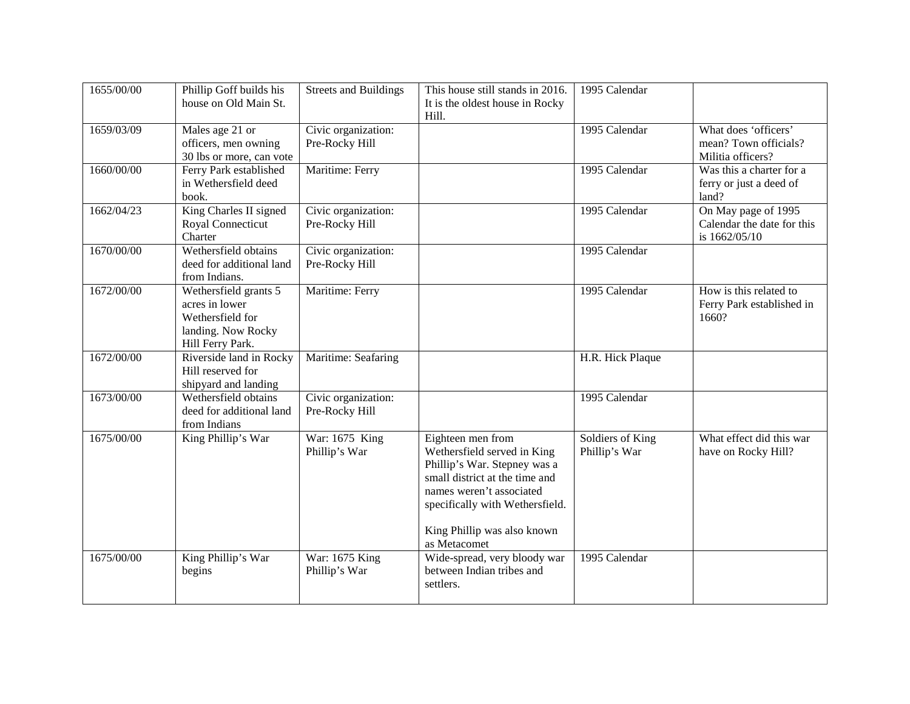| 1655/00/00 | Phillip Goff builds his<br>house on Old Main St.                                                      | <b>Streets and Buildings</b>          | This house still stands in 2016.<br>It is the oldest house in Rocky<br>Hill.                                                                                                                                                     | 1995 Calendar                     |                                                                    |
|------------|-------------------------------------------------------------------------------------------------------|---------------------------------------|----------------------------------------------------------------------------------------------------------------------------------------------------------------------------------------------------------------------------------|-----------------------------------|--------------------------------------------------------------------|
| 1659/03/09 | Males age 21 or<br>officers, men owning<br>30 lbs or more, can vote                                   | Civic organization:<br>Pre-Rocky Hill |                                                                                                                                                                                                                                  | 1995 Calendar                     | What does 'officers'<br>mean? Town officials?<br>Militia officers? |
| 1660/00/00 | Ferry Park established<br>in Wethersfield deed<br>book.                                               | Maritime: Ferry                       |                                                                                                                                                                                                                                  | 1995 Calendar                     | Was this a charter for a<br>ferry or just a deed of<br>land?       |
| 1662/04/23 | King Charles II signed<br>Royal Connecticut<br>Charter                                                | Civic organization:<br>Pre-Rocky Hill |                                                                                                                                                                                                                                  | 1995 Calendar                     | On May page of 1995<br>Calendar the date for this<br>is 1662/05/10 |
| 1670/00/00 | Wethersfield obtains<br>deed for additional land<br>from Indians.                                     | Civic organization:<br>Pre-Rocky Hill |                                                                                                                                                                                                                                  | 1995 Calendar                     |                                                                    |
| 1672/00/00 | Wethersfield grants 5<br>acres in lower<br>Wethersfield for<br>landing. Now Rocky<br>Hill Ferry Park. | Maritime: Ferry                       |                                                                                                                                                                                                                                  | 1995 Calendar                     | How is this related to<br>Ferry Park established in<br>1660?       |
| 1672/00/00 | Riverside land in Rocky<br>Hill reserved for<br>shipyard and landing                                  | Maritime: Seafaring                   |                                                                                                                                                                                                                                  | H.R. Hick Plaque                  |                                                                    |
| 1673/00/00 | Wethersfield obtains<br>deed for additional land<br>from Indians                                      | Civic organization:<br>Pre-Rocky Hill |                                                                                                                                                                                                                                  | 1995 Calendar                     |                                                                    |
| 1675/00/00 | King Phillip's War                                                                                    | War: 1675 King<br>Phillip's War       | Eighteen men from<br>Wethersfield served in King<br>Phillip's War. Stepney was a<br>small district at the time and<br>names weren't associated<br>specifically with Wethersfield.<br>King Phillip was also known<br>as Metacomet | Soldiers of King<br>Phillip's War | What effect did this war<br>have on Rocky Hill?                    |
| 1675/00/00 | King Phillip's War<br>begins                                                                          | War: 1675 King<br>Phillip's War       | Wide-spread, very bloody war<br>between Indian tribes and<br>settlers.                                                                                                                                                           | 1995 Calendar                     |                                                                    |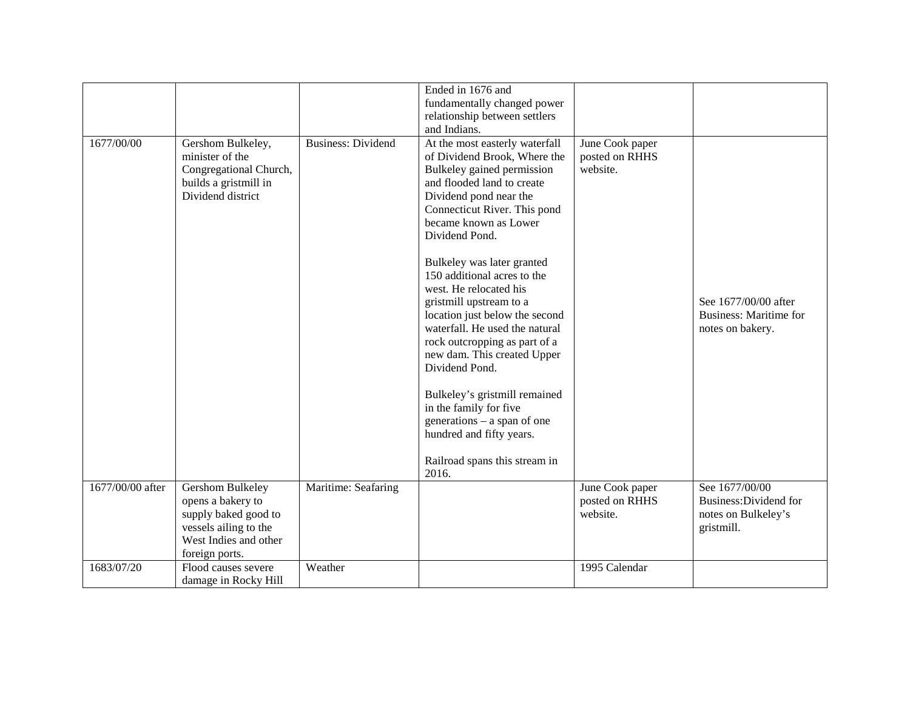|                  |                                                 |                           | Ended in 1676 and<br>fundamentally changed power                 |                                   |                                                   |
|------------------|-------------------------------------------------|---------------------------|------------------------------------------------------------------|-----------------------------------|---------------------------------------------------|
|                  |                                                 |                           | relationship between settlers                                    |                                   |                                                   |
|                  |                                                 |                           | and Indians.                                                     |                                   |                                                   |
| 1677/00/00       | Gershom Bulkeley,<br>minister of the            | <b>Business: Dividend</b> | At the most easterly waterfall<br>of Dividend Brook, Where the   | June Cook paper<br>posted on RHHS |                                                   |
|                  | Congregational Church,<br>builds a gristmill in |                           | Bulkeley gained permission<br>and flooded land to create         | website.                          |                                                   |
|                  | Dividend district                               |                           | Dividend pond near the                                           |                                   |                                                   |
|                  |                                                 |                           | Connecticut River. This pond                                     |                                   |                                                   |
|                  |                                                 |                           | became known as Lower<br>Dividend Pond.                          |                                   |                                                   |
|                  |                                                 |                           |                                                                  |                                   |                                                   |
|                  |                                                 |                           | Bulkeley was later granted                                       |                                   |                                                   |
|                  |                                                 |                           | 150 additional acres to the<br>west. He relocated his            |                                   |                                                   |
|                  |                                                 |                           | gristmill upstream to a                                          |                                   | See 1677/00/00 after                              |
|                  |                                                 |                           | location just below the second<br>waterfall. He used the natural |                                   | <b>Business: Maritime for</b><br>notes on bakery. |
|                  |                                                 |                           | rock outcropping as part of a                                    |                                   |                                                   |
|                  |                                                 |                           | new dam. This created Upper                                      |                                   |                                                   |
|                  |                                                 |                           | Dividend Pond.                                                   |                                   |                                                   |
|                  |                                                 |                           | Bulkeley's gristmill remained                                    |                                   |                                                   |
|                  |                                                 |                           | in the family for five                                           |                                   |                                                   |
|                  |                                                 |                           | generations – a span of one                                      |                                   |                                                   |
|                  |                                                 |                           | hundred and fifty years.                                         |                                   |                                                   |
|                  |                                                 |                           | Railroad spans this stream in<br>2016.                           |                                   |                                                   |
| 1677/00/00 after | Gershom Bulkeley                                | Maritime: Seafaring       |                                                                  | June Cook paper                   | See 1677/00/00                                    |
|                  | opens a bakery to                               |                           |                                                                  | posted on RHHS<br>website.        | Business: Dividend for                            |
|                  | supply baked good to<br>vessels ailing to the   |                           |                                                                  |                                   | notes on Bulkeley's<br>gristmill.                 |
|                  | West Indies and other                           |                           |                                                                  |                                   |                                                   |
|                  | foreign ports.                                  |                           |                                                                  |                                   |                                                   |
| 1683/07/20       | Flood causes severe                             | Weather                   |                                                                  | 1995 Calendar                     |                                                   |
|                  | damage in Rocky Hill                            |                           |                                                                  |                                   |                                                   |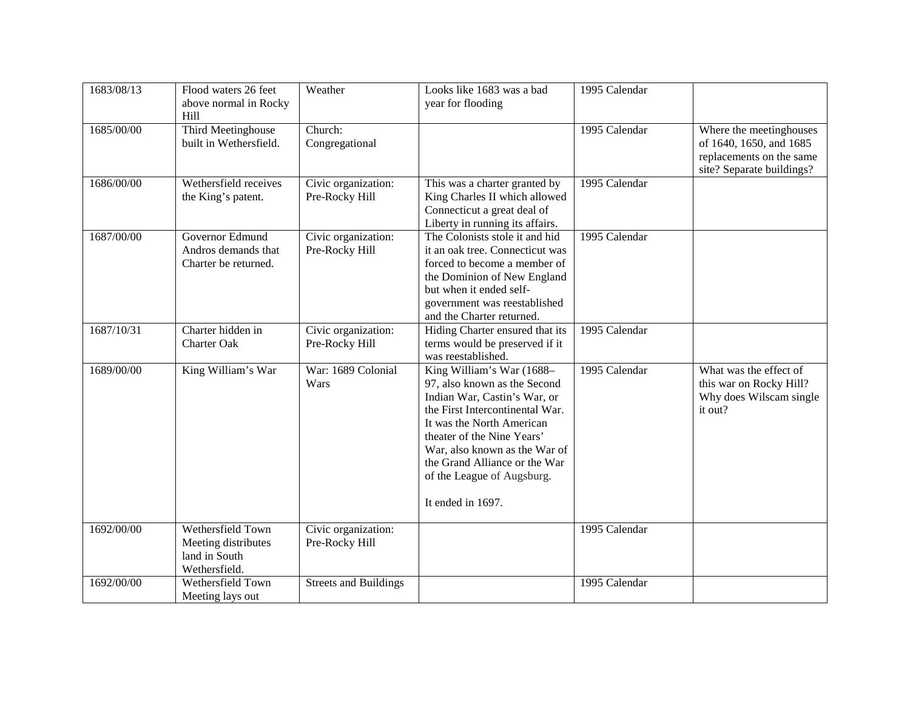| 1683/08/13 | Flood waters 26 feet<br>above normal in Rocky<br>Hill                      | Weather                               | Looks like 1683 was a bad<br>year for flooding                                                                                                                                                                                                                                                               | 1995 Calendar |                                                                                                             |
|------------|----------------------------------------------------------------------------|---------------------------------------|--------------------------------------------------------------------------------------------------------------------------------------------------------------------------------------------------------------------------------------------------------------------------------------------------------------|---------------|-------------------------------------------------------------------------------------------------------------|
| 1685/00/00 | Third Meetinghouse<br>built in Wethersfield.                               | Church:<br>Congregational             |                                                                                                                                                                                                                                                                                                              | 1995 Calendar | Where the meetinghouses<br>of 1640, 1650, and 1685<br>replacements on the same<br>site? Separate buildings? |
| 1686/00/00 | Wethersfield receives<br>the King's patent.                                | Civic organization:<br>Pre-Rocky Hill | This was a charter granted by<br>King Charles II which allowed<br>Connecticut a great deal of<br>Liberty in running its affairs.                                                                                                                                                                             | 1995 Calendar |                                                                                                             |
| 1687/00/00 | Governor Edmund<br>Andros demands that<br>Charter be returned.             | Civic organization:<br>Pre-Rocky Hill | The Colonists stole it and hid<br>it an oak tree. Connecticut was<br>forced to become a member of<br>the Dominion of New England<br>but when it ended self-<br>government was reestablished<br>and the Charter returned.                                                                                     | 1995 Calendar |                                                                                                             |
| 1687/10/31 | Charter hidden in<br><b>Charter Oak</b>                                    | Civic organization:<br>Pre-Rocky Hill | Hiding Charter ensured that its<br>terms would be preserved if it<br>was reestablished.                                                                                                                                                                                                                      | 1995 Calendar |                                                                                                             |
| 1689/00/00 | King William's War                                                         | War: 1689 Colonial<br>Wars            | King William's War (1688-<br>97, also known as the Second<br>Indian War, Castin's War, or<br>the First Intercontinental War.<br>It was the North American<br>theater of the Nine Years'<br>War, also known as the War of<br>the Grand Alliance or the War<br>of the League of Augsburg.<br>It ended in 1697. | 1995 Calendar | What was the effect of<br>this war on Rocky Hill?<br>Why does Wilscam single<br>it out?                     |
| 1692/00/00 | Wethersfield Town<br>Meeting distributes<br>land in South<br>Wethersfield. | Civic organization:<br>Pre-Rocky Hill |                                                                                                                                                                                                                                                                                                              | 1995 Calendar |                                                                                                             |
| 1692/00/00 | Wethersfield Town<br>Meeting lays out                                      | <b>Streets and Buildings</b>          |                                                                                                                                                                                                                                                                                                              | 1995 Calendar |                                                                                                             |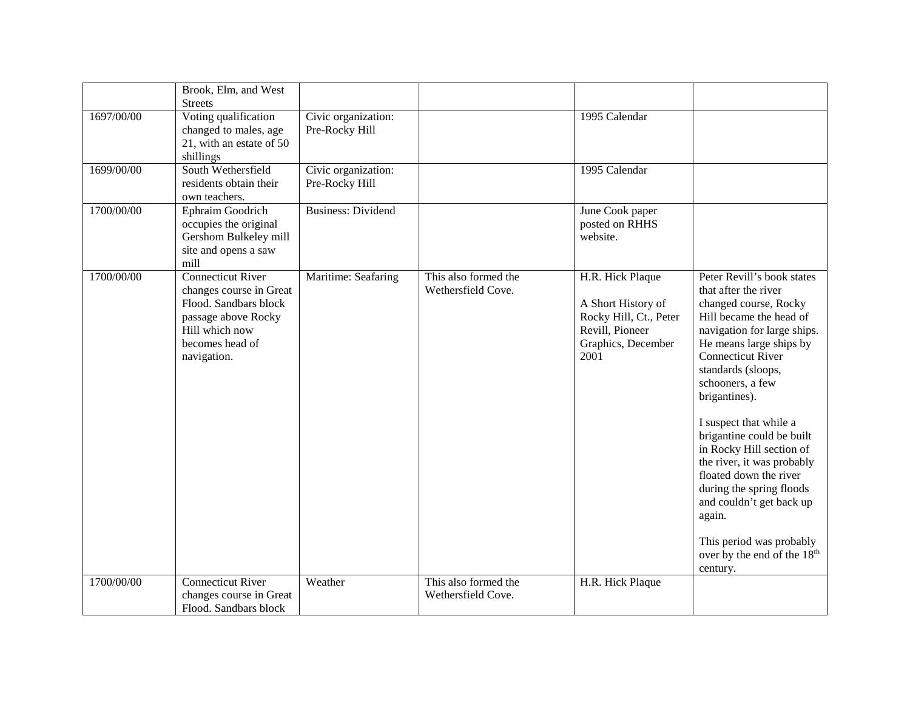|            | Brook, Elm, and West<br><b>Streets</b>                                                                                                                  |                                       |                                            |                                                                                                                   |                                                                                                                                                                                                                                                                                                                                                                                                                                                                                                                                                         |
|------------|---------------------------------------------------------------------------------------------------------------------------------------------------------|---------------------------------------|--------------------------------------------|-------------------------------------------------------------------------------------------------------------------|---------------------------------------------------------------------------------------------------------------------------------------------------------------------------------------------------------------------------------------------------------------------------------------------------------------------------------------------------------------------------------------------------------------------------------------------------------------------------------------------------------------------------------------------------------|
| 1697/00/00 | Voting qualification<br>changed to males, age<br>21, with an estate of 50<br>shillings                                                                  | Civic organization:<br>Pre-Rocky Hill |                                            | 1995 Calendar                                                                                                     |                                                                                                                                                                                                                                                                                                                                                                                                                                                                                                                                                         |
| 1699/00/00 | South Wethersfield<br>residents obtain their<br>own teachers.                                                                                           | Civic organization:<br>Pre-Rocky Hill |                                            | 1995 Calendar                                                                                                     |                                                                                                                                                                                                                                                                                                                                                                                                                                                                                                                                                         |
| 1700/00/00 | Ephraim Goodrich<br>occupies the original<br>Gershom Bulkeley mill<br>site and opens a saw<br>mill                                                      | <b>Business: Dividend</b>             |                                            | June Cook paper<br>posted on RHHS<br>website.                                                                     |                                                                                                                                                                                                                                                                                                                                                                                                                                                                                                                                                         |
| 1700/00/00 | <b>Connecticut River</b><br>changes course in Great<br>Flood. Sandbars block<br>passage above Rocky<br>Hill which now<br>becomes head of<br>navigation. | Maritime: Seafaring                   | This also formed the<br>Wethersfield Cove. | H.R. Hick Plaque<br>A Short History of<br>Rocky Hill, Ct., Peter<br>Revill, Pioneer<br>Graphics, December<br>2001 | Peter Revill's book states<br>that after the river<br>changed course, Rocky<br>Hill became the head of<br>navigation for large ships.<br>He means large ships by<br><b>Connecticut River</b><br>standards (sloops,<br>schooners, a few<br>brigantines).<br>I suspect that while a<br>brigantine could be built<br>in Rocky Hill section of<br>the river, it was probably<br>floated down the river<br>during the spring floods<br>and couldn't get back up<br>again.<br>This period was probably<br>over by the end of the 18 <sup>th</sup><br>century. |
| 1700/00/00 | <b>Connecticut River</b><br>changes course in Great<br>Flood. Sandbars block                                                                            | Weather                               | This also formed the<br>Wethersfield Cove. | H.R. Hick Plaque                                                                                                  |                                                                                                                                                                                                                                                                                                                                                                                                                                                                                                                                                         |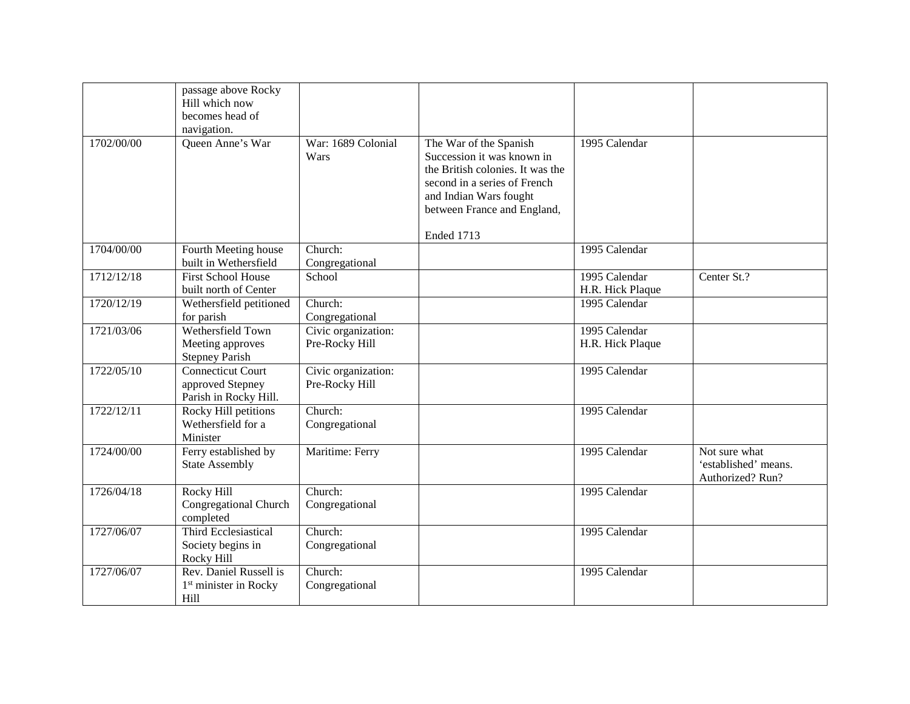|                    | passage above Rocky<br>Hill which now<br>becomes head of<br>navigation. |                                       |                                                                                                                                                                                                 |                                   |                                                           |
|--------------------|-------------------------------------------------------------------------|---------------------------------------|-------------------------------------------------------------------------------------------------------------------------------------------------------------------------------------------------|-----------------------------------|-----------------------------------------------------------|
| 1702/00/00         | Queen Anne's War                                                        | War: 1689 Colonial<br>Wars            | The War of the Spanish<br>Succession it was known in<br>the British colonies. It was the<br>second in a series of French<br>and Indian Wars fought<br>between France and England,<br>Ended 1713 | 1995 Calendar                     |                                                           |
| 1704/00/00         | Fourth Meeting house<br>built in Wethersfield                           | Church:<br>Congregational             |                                                                                                                                                                                                 | 1995 Calendar                     |                                                           |
| 1712/12/18         | <b>First School House</b><br>built north of Center                      | School                                |                                                                                                                                                                                                 | 1995 Calendar<br>H.R. Hick Plaque | Center St.?                                               |
| 1720/12/19         | Wethersfield petitioned<br>for parish                                   | Church:<br>Congregational             |                                                                                                                                                                                                 | 1995 Calendar                     |                                                           |
| 1721/03/06         | Wethersfield Town<br>Meeting approves<br><b>Stepney Parish</b>          | Civic organization:<br>Pre-Rocky Hill |                                                                                                                                                                                                 | 1995 Calendar<br>H.R. Hick Plaque |                                                           |
| $1722\sqrt{05/10}$ | <b>Connecticut Court</b><br>approved Stepney<br>Parish in Rocky Hill.   | Civic organization:<br>Pre-Rocky Hill |                                                                                                                                                                                                 | 1995 Calendar                     |                                                           |
| 1722/12/11         | Rocky Hill petitions<br>Wethersfield for a<br>Minister                  | Church:<br>Congregational             |                                                                                                                                                                                                 | 1995 Calendar                     |                                                           |
| 1724/00/00         | Ferry established by<br><b>State Assembly</b>                           | Maritime: Ferry                       |                                                                                                                                                                                                 | 1995 Calendar                     | Not sure what<br>'established' means.<br>Authorized? Run? |
| 1726/04/18         | <b>Rocky Hill</b><br>Congregational Church<br>completed                 | Church:<br>Congregational             |                                                                                                                                                                                                 | 1995 Calendar                     |                                                           |
| 1727/06/07         | <b>Third Ecclesiastical</b><br>Society begins in<br>Rocky Hill          | Church:<br>Congregational             |                                                                                                                                                                                                 | 1995 Calendar                     |                                                           |
| 1727/06/07         | Rev. Daniel Russell is<br>1 <sup>st</sup> minister in Rocky<br>Hill     | Church:<br>Congregational             |                                                                                                                                                                                                 | 1995 Calendar                     |                                                           |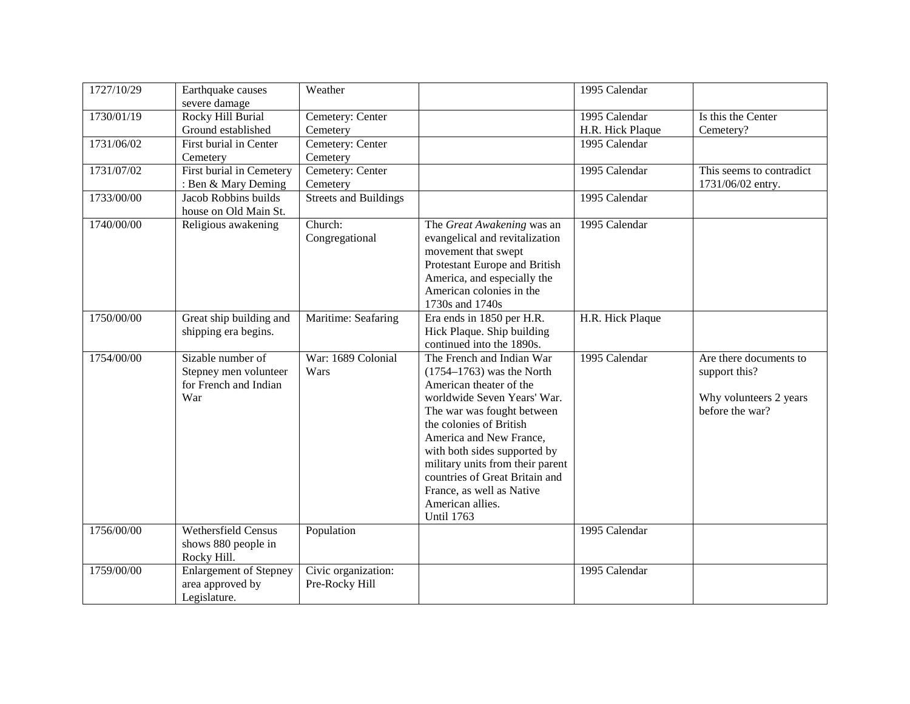| 1727/10/29 | Earthquake causes             | Weather                      |                                  | 1995 Calendar    |                          |
|------------|-------------------------------|------------------------------|----------------------------------|------------------|--------------------------|
|            | severe damage                 |                              |                                  |                  |                          |
| 1730/01/19 | Rocky Hill Burial             | Cemetery: Center             |                                  | 1995 Calendar    | Is this the Center       |
|            | Ground established            | Cemetery                     |                                  | H.R. Hick Plaque | Cemetery?                |
| 1731/06/02 | First burial in Center        | Cemetery: Center             |                                  | 1995 Calendar    |                          |
|            | Cemetery                      | Cemetery                     |                                  |                  |                          |
| 1731/07/02 | First burial in Cemetery      | Cemetery: Center             |                                  | 1995 Calendar    | This seems to contradict |
|            | : Ben & Mary Deming           | Cemetery                     |                                  |                  | 1731/06/02 entry.        |
| 1733/00/00 | Jacob Robbins builds          | <b>Streets and Buildings</b> |                                  | 1995 Calendar    |                          |
|            | house on Old Main St.         |                              |                                  |                  |                          |
| 1740/00/00 | Religious awakening           | Church:                      | The Great Awakening was an       | 1995 Calendar    |                          |
|            |                               | Congregational               | evangelical and revitalization   |                  |                          |
|            |                               |                              | movement that swept              |                  |                          |
|            |                               |                              | Protestant Europe and British    |                  |                          |
|            |                               |                              | America, and especially the      |                  |                          |
|            |                               |                              | American colonies in the         |                  |                          |
|            |                               |                              | 1730s and 1740s                  |                  |                          |
| 1750/00/00 | Great ship building and       | Maritime: Seafaring          | Era ends in 1850 per H.R.        | H.R. Hick Plaque |                          |
|            | shipping era begins.          |                              | Hick Plaque. Ship building       |                  |                          |
|            |                               |                              | continued into the 1890s.        |                  |                          |
| 1754/00/00 | Sizable number of             | War: 1689 Colonial           | The French and Indian War        | 1995 Calendar    | Are there documents to   |
|            | Stepney men volunteer         | Wars                         | $(1754 - 1763)$ was the North    |                  | support this?            |
|            | for French and Indian         |                              | American theater of the          |                  |                          |
|            | War                           |                              | worldwide Seven Years' War.      |                  | Why volunteers 2 years   |
|            |                               |                              | The war was fought between       |                  | before the war?          |
|            |                               |                              | the colonies of British          |                  |                          |
|            |                               |                              | America and New France,          |                  |                          |
|            |                               |                              | with both sides supported by     |                  |                          |
|            |                               |                              | military units from their parent |                  |                          |
|            |                               |                              | countries of Great Britain and   |                  |                          |
|            |                               |                              | France, as well as Native        |                  |                          |
|            |                               |                              | American allies.                 |                  |                          |
|            |                               |                              | <b>Until 1763</b>                |                  |                          |
| 1756/00/00 | Wethersfield Census           | Population                   |                                  | 1995 Calendar    |                          |
|            | shows 880 people in           |                              |                                  |                  |                          |
|            | Rocky Hill.                   |                              |                                  |                  |                          |
| 1759/00/00 | <b>Enlargement of Stepney</b> | Civic organization:          |                                  | 1995 Calendar    |                          |
|            | area approved by              | Pre-Rocky Hill               |                                  |                  |                          |
|            | Legislature.                  |                              |                                  |                  |                          |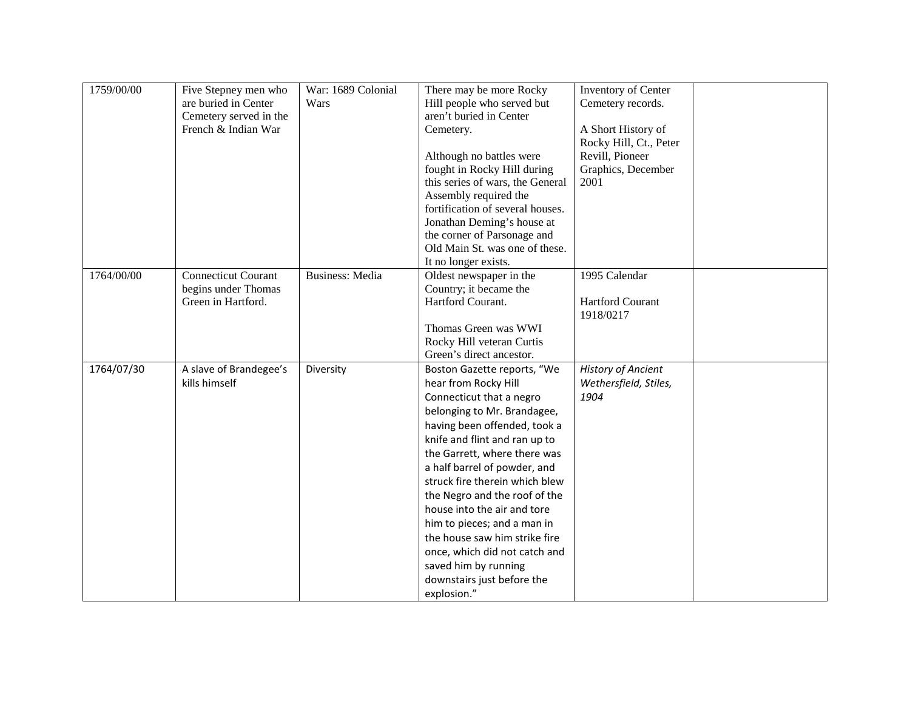| 1759/00/00 | Five Stepney men who       | War: 1689 Colonial     | There may be more Rocky          | Inventory of Center       |  |
|------------|----------------------------|------------------------|----------------------------------|---------------------------|--|
|            | are buried in Center       | Wars                   | Hill people who served but       | Cemetery records.         |  |
|            | Cemetery served in the     |                        | aren't buried in Center          |                           |  |
|            | French & Indian War        |                        | Cemetery.                        | A Short History of        |  |
|            |                            |                        |                                  | Rocky Hill, Ct., Peter    |  |
|            |                            |                        | Although no battles were         | Revill, Pioneer           |  |
|            |                            |                        | fought in Rocky Hill during      | Graphics, December        |  |
|            |                            |                        | this series of wars, the General | 2001                      |  |
|            |                            |                        | Assembly required the            |                           |  |
|            |                            |                        | fortification of several houses. |                           |  |
|            |                            |                        | Jonathan Deming's house at       |                           |  |
|            |                            |                        | the corner of Parsonage and      |                           |  |
|            |                            |                        | Old Main St. was one of these.   |                           |  |
|            |                            |                        | It no longer exists.             |                           |  |
| 1764/00/00 | <b>Connecticut Courant</b> | <b>Business:</b> Media | Oldest newspaper in the          | 1995 Calendar             |  |
|            | begins under Thomas        |                        | Country; it became the           |                           |  |
|            | Green in Hartford.         |                        | Hartford Courant.                | Hartford Courant          |  |
|            |                            |                        |                                  | 1918/0217                 |  |
|            |                            |                        | Thomas Green was WWI             |                           |  |
|            |                            |                        | Rocky Hill veteran Curtis        |                           |  |
|            |                            |                        | Green's direct ancestor.         |                           |  |
| 1764/07/30 | A slave of Brandegee's     | Diversity              | Boston Gazette reports, "We      | <b>History of Ancient</b> |  |
|            | kills himself              |                        | hear from Rocky Hill             | Wethersfield, Stiles,     |  |
|            |                            |                        | Connecticut that a negro         | 1904                      |  |
|            |                            |                        | belonging to Mr. Brandagee,      |                           |  |
|            |                            |                        | having been offended, took a     |                           |  |
|            |                            |                        | knife and flint and ran up to    |                           |  |
|            |                            |                        | the Garrett, where there was     |                           |  |
|            |                            |                        | a half barrel of powder, and     |                           |  |
|            |                            |                        | struck fire therein which blew   |                           |  |
|            |                            |                        | the Negro and the roof of the    |                           |  |
|            |                            |                        | house into the air and tore      |                           |  |
|            |                            |                        | him to pieces; and a man in      |                           |  |
|            |                            |                        | the house saw him strike fire    |                           |  |
|            |                            |                        | once, which did not catch and    |                           |  |
|            |                            |                        | saved him by running             |                           |  |
|            |                            |                        | downstairs just before the       |                           |  |
|            |                            |                        | explosion."                      |                           |  |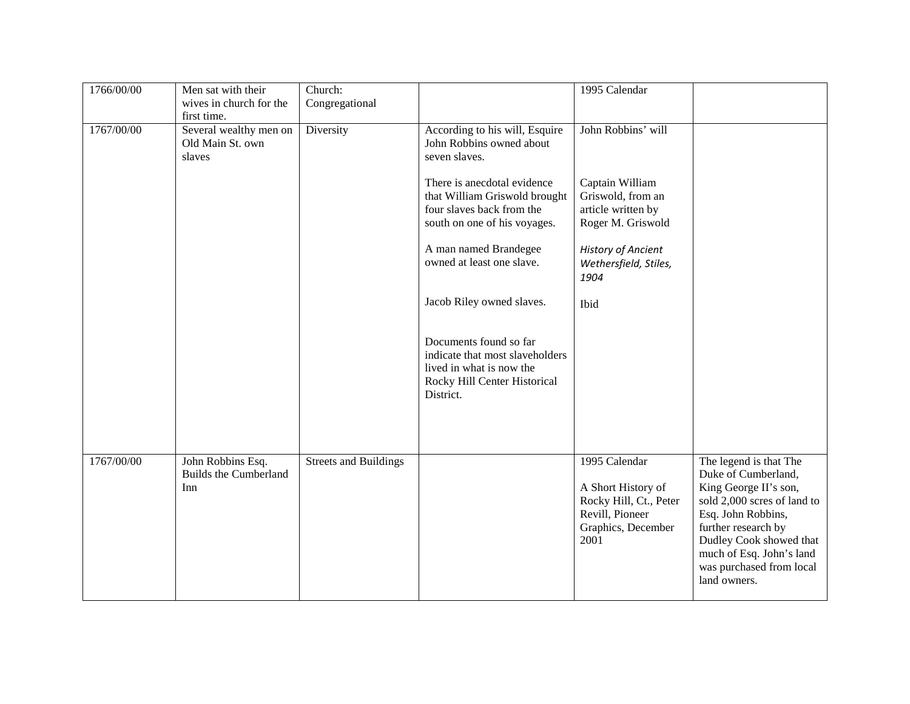| 1766/00/00 | Men sat with their                                       | Church:                      |                                                                                                                                    | 1995 Calendar                                                                                                  |                                                                                                                                                                                                                                                       |
|------------|----------------------------------------------------------|------------------------------|------------------------------------------------------------------------------------------------------------------------------------|----------------------------------------------------------------------------------------------------------------|-------------------------------------------------------------------------------------------------------------------------------------------------------------------------------------------------------------------------------------------------------|
|            | wives in church for the                                  | Congregational               |                                                                                                                                    |                                                                                                                |                                                                                                                                                                                                                                                       |
|            | first time.                                              |                              |                                                                                                                                    |                                                                                                                |                                                                                                                                                                                                                                                       |
| 1767/00/00 | Several wealthy men on<br>Old Main St. own<br>slaves     | Diversity                    | According to his will, Esquire<br>John Robbins owned about<br>seven slaves.<br>There is anecdotal evidence                         | John Robbins' will<br>Captain William                                                                          |                                                                                                                                                                                                                                                       |
|            |                                                          |                              | that William Griswold brought<br>four slaves back from the<br>south on one of his voyages.                                         | Griswold, from an<br>article written by<br>Roger M. Griswold                                                   |                                                                                                                                                                                                                                                       |
|            |                                                          |                              | A man named Brandegee<br>owned at least one slave.                                                                                 | History of Ancient<br>Wethersfield, Stiles,<br>1904                                                            |                                                                                                                                                                                                                                                       |
|            |                                                          |                              | Jacob Riley owned slaves.                                                                                                          | Ibid                                                                                                           |                                                                                                                                                                                                                                                       |
|            |                                                          |                              | Documents found so far<br>indicate that most slaveholders<br>lived in what is now the<br>Rocky Hill Center Historical<br>District. |                                                                                                                |                                                                                                                                                                                                                                                       |
|            |                                                          |                              |                                                                                                                                    |                                                                                                                |                                                                                                                                                                                                                                                       |
| 1767/00/00 | John Robbins Esq.<br><b>Builds the Cumberland</b><br>Inn | <b>Streets and Buildings</b> |                                                                                                                                    | 1995 Calendar<br>A Short History of<br>Rocky Hill, Ct., Peter<br>Revill, Pioneer<br>Graphics, December<br>2001 | The legend is that The<br>Duke of Cumberland,<br>King George II's son,<br>sold 2,000 scres of land to<br>Esq. John Robbins,<br>further research by<br>Dudley Cook showed that<br>much of Esq. John's land<br>was purchased from local<br>land owners. |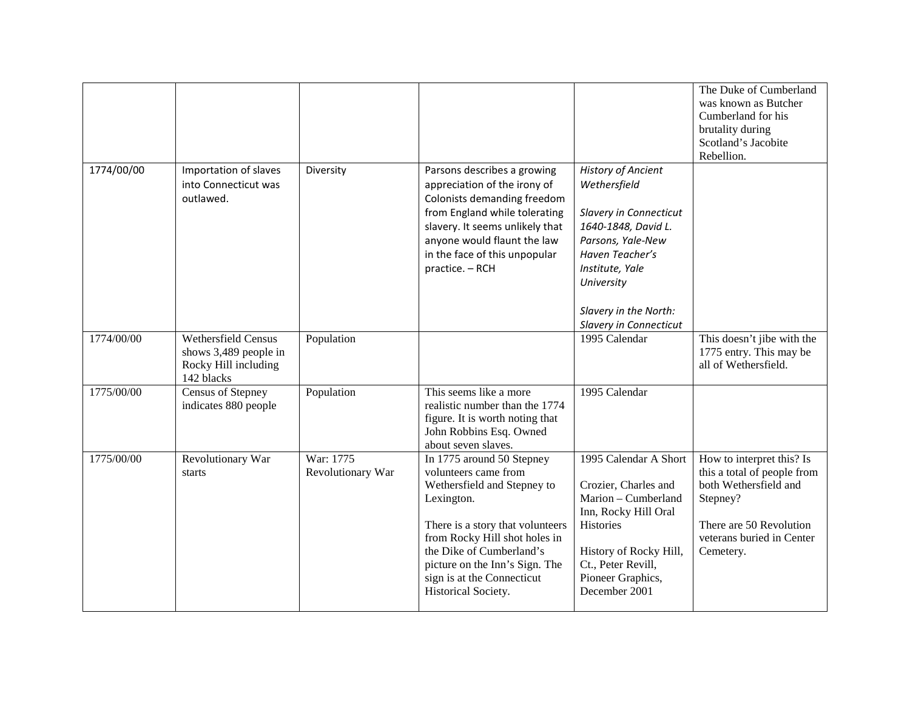|            |                                                                                           |                                |                                                                                                                                                                                                                                                                                        |                                                                                                                                                                                                                        | The Duke of Cumberland<br>was known as Butcher<br>Cumberland for his<br>brutality during<br>Scotland's Jacobite<br>Rebellion.                                      |
|------------|-------------------------------------------------------------------------------------------|--------------------------------|----------------------------------------------------------------------------------------------------------------------------------------------------------------------------------------------------------------------------------------------------------------------------------------|------------------------------------------------------------------------------------------------------------------------------------------------------------------------------------------------------------------------|--------------------------------------------------------------------------------------------------------------------------------------------------------------------|
| 1774/00/00 | Importation of slaves<br>into Connecticut was<br>outlawed.                                | Diversity                      | Parsons describes a growing<br>appreciation of the irony of<br>Colonists demanding freedom<br>from England while tolerating<br>slavery. It seems unlikely that<br>anyone would flaunt the law<br>in the face of this unpopular<br>practice. - RCH                                      | <b>History of Ancient</b><br>Wethersfield<br>Slavery in Connecticut<br>1640-1848, David L.<br>Parsons, Yale-New<br>Haven Teacher's<br>Institute, Yale<br>University<br>Slavery in the North:<br>Slavery in Connecticut |                                                                                                                                                                    |
| 1774/00/00 | <b>Wethersfield Census</b><br>shows 3,489 people in<br>Rocky Hill including<br>142 blacks | Population                     |                                                                                                                                                                                                                                                                                        | 1995 Calendar                                                                                                                                                                                                          | This doesn't jibe with the<br>1775 entry. This may be<br>all of Wethersfield.                                                                                      |
| 1775/00/00 | <b>Census of Stepney</b><br>indicates 880 people                                          | Population                     | This seems like a more<br>realistic number than the 1774<br>figure. It is worth noting that<br>John Robbins Esq. Owned<br>about seven slaves.                                                                                                                                          | 1995 Calendar                                                                                                                                                                                                          |                                                                                                                                                                    |
| 1775/00/00 | Revolutionary War<br>starts                                                               | War: 1775<br>Revolutionary War | In 1775 around 50 Stepney<br>volunteers came from<br>Wethersfield and Stepney to<br>Lexington.<br>There is a story that volunteers<br>from Rocky Hill shot holes in<br>the Dike of Cumberland's<br>picture on the Inn's Sign. The<br>sign is at the Connecticut<br>Historical Society. | 1995 Calendar A Short<br>Crozier, Charles and<br>Marion - Cumberland<br>Inn, Rocky Hill Oral<br>Histories<br>History of Rocky Hill,<br>Ct., Peter Revill,<br>Pioneer Graphics,<br>December 2001                        | How to interpret this? Is<br>this a total of people from<br>both Wethersfield and<br>Stepney?<br>There are 50 Revolution<br>veterans buried in Center<br>Cemetery. |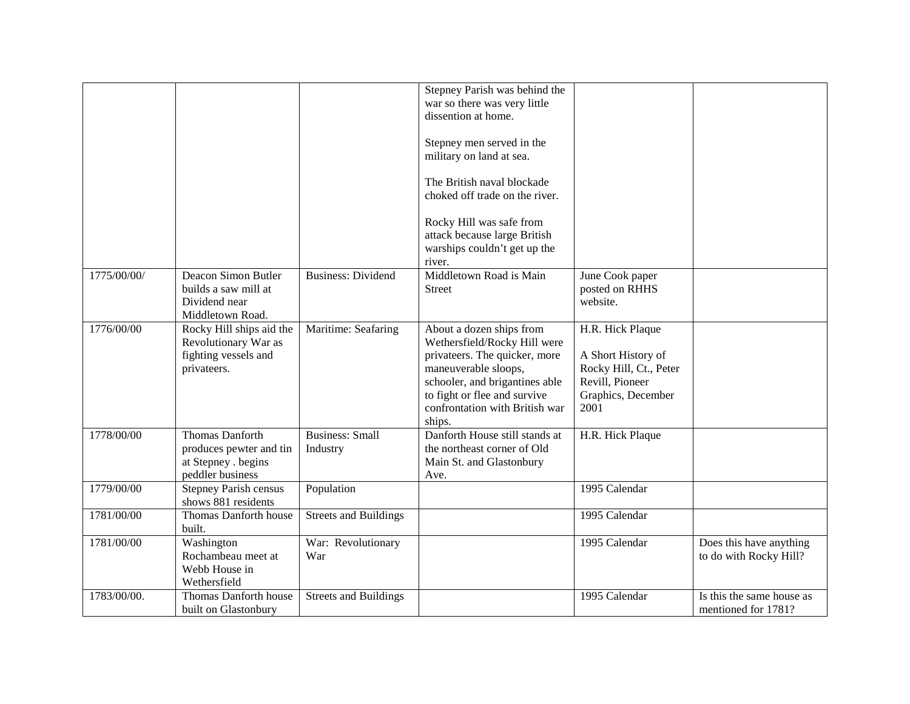|             |                                                                                         |                                    | Stepney Parish was behind the<br>war so there was very little<br>dissention at home.<br>Stepney men served in the<br>military on land at sea.<br>The British naval blockade<br>choked off trade on the river.<br>Rocky Hill was safe from<br>attack because large British<br>warships couldn't get up the<br>river. |                                                                                                                   |                                                   |
|-------------|-----------------------------------------------------------------------------------------|------------------------------------|---------------------------------------------------------------------------------------------------------------------------------------------------------------------------------------------------------------------------------------------------------------------------------------------------------------------|-------------------------------------------------------------------------------------------------------------------|---------------------------------------------------|
| 1775/00/00/ | Deacon Simon Butler<br>builds a saw mill at<br>Dividend near<br>Middletown Road.        | <b>Business: Dividend</b>          | Middletown Road is Main<br><b>Street</b>                                                                                                                                                                                                                                                                            | June Cook paper<br>posted on RHHS<br>website.                                                                     |                                                   |
| 1776/00/00  | Rocky Hill ships aid the<br>Revolutionary War as<br>fighting vessels and<br>privateers. | Maritime: Seafaring                | About a dozen ships from<br>Wethersfield/Rocky Hill were<br>privateers. The quicker, more<br>maneuverable sloops,<br>schooler, and brigantines able<br>to fight or flee and survive<br>confrontation with British war<br>ships.                                                                                     | H.R. Hick Plaque<br>A Short History of<br>Rocky Hill, Ct., Peter<br>Revill, Pioneer<br>Graphics, December<br>2001 |                                                   |
| 1778/00/00  | Thomas Danforth<br>produces pewter and tin<br>at Stepney . begins<br>peddler business   | <b>Business: Small</b><br>Industry | Danforth House still stands at<br>the northeast corner of Old<br>Main St. and Glastonbury<br>Ave.                                                                                                                                                                                                                   | H.R. Hick Plaque                                                                                                  |                                                   |
| 1779/00/00  | <b>Stepney Parish census</b><br>shows 881 residents                                     | Population                         |                                                                                                                                                                                                                                                                                                                     | 1995 Calendar                                                                                                     |                                                   |
| 1781/00/00  | Thomas Danforth house<br>built.                                                         | <b>Streets and Buildings</b>       |                                                                                                                                                                                                                                                                                                                     | 1995 Calendar                                                                                                     |                                                   |
| 1781/00/00  | Washington<br>Rochambeau meet at<br>Webb House in<br>Wethersfield                       | War: Revolutionary<br>War          |                                                                                                                                                                                                                                                                                                                     | 1995 Calendar                                                                                                     | Does this have anything<br>to do with Rocky Hill? |
| 1783/00/00. | Thomas Danforth house<br>built on Glastonbury                                           | <b>Streets and Buildings</b>       |                                                                                                                                                                                                                                                                                                                     | 1995 Calendar                                                                                                     | Is this the same house as<br>mentioned for 1781?  |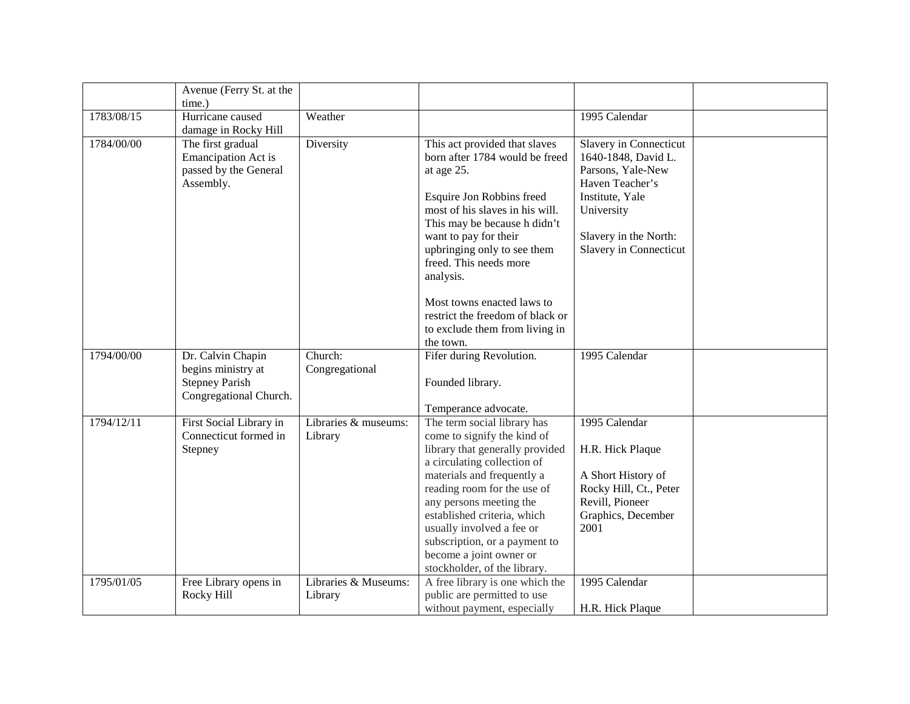|            | Avenue (Ferry St. at the                                                                   |                                 |                                                                                                                                                                                                                                                                                                                                                                                               |                                                                                                                                                                           |  |
|------------|--------------------------------------------------------------------------------------------|---------------------------------|-----------------------------------------------------------------------------------------------------------------------------------------------------------------------------------------------------------------------------------------------------------------------------------------------------------------------------------------------------------------------------------------------|---------------------------------------------------------------------------------------------------------------------------------------------------------------------------|--|
|            | time.)                                                                                     |                                 |                                                                                                                                                                                                                                                                                                                                                                                               |                                                                                                                                                                           |  |
| 1783/08/15 | Hurricane caused<br>damage in Rocky Hill                                                   | Weather                         |                                                                                                                                                                                                                                                                                                                                                                                               | 1995 Calendar                                                                                                                                                             |  |
| 1784/00/00 | The first gradual<br><b>Emancipation Act is</b><br>passed by the General<br>Assembly.      | Diversity                       | This act provided that slaves<br>born after 1784 would be freed<br>at age 25.<br>Esquire Jon Robbins freed<br>most of his slaves in his will.<br>This may be because h didn't<br>want to pay for their<br>upbringing only to see them<br>freed. This needs more<br>analysis.<br>Most towns enacted laws to<br>restrict the freedom of black or<br>to exclude them from living in<br>the town. | Slavery in Connecticut<br>1640-1848, David L.<br>Parsons, Yale-New<br>Haven Teacher's<br>Institute, Yale<br>University<br>Slavery in the North:<br>Slavery in Connecticut |  |
| 1794/00/00 | Dr. Calvin Chapin<br>begins ministry at<br><b>Stepney Parish</b><br>Congregational Church. | Church:<br>Congregational       | Fifer during Revolution.<br>Founded library.<br>Temperance advocate.                                                                                                                                                                                                                                                                                                                          | 1995 Calendar                                                                                                                                                             |  |
| 1794/12/11 | First Social Library in<br>Connecticut formed in<br>Stepney                                | Libraries & museums:<br>Library | The term social library has<br>come to signify the kind of<br>library that generally provided<br>a circulating collection of<br>materials and frequently a<br>reading room for the use of<br>any persons meeting the<br>established criteria, which<br>usually involved a fee or<br>subscription, or a payment to<br>become a joint owner or<br>stockholder, of the library.                  | 1995 Calendar<br>H.R. Hick Plaque<br>A Short History of<br>Rocky Hill, Ct., Peter<br>Revill, Pioneer<br>Graphics, December<br>2001                                        |  |
| 1795/01/05 | Free Library opens in<br>Rocky Hill                                                        | Libraries & Museums:<br>Library | A free library is one which the<br>public are permitted to use<br>without payment, especially                                                                                                                                                                                                                                                                                                 | 1995 Calendar<br>H.R. Hick Plaque                                                                                                                                         |  |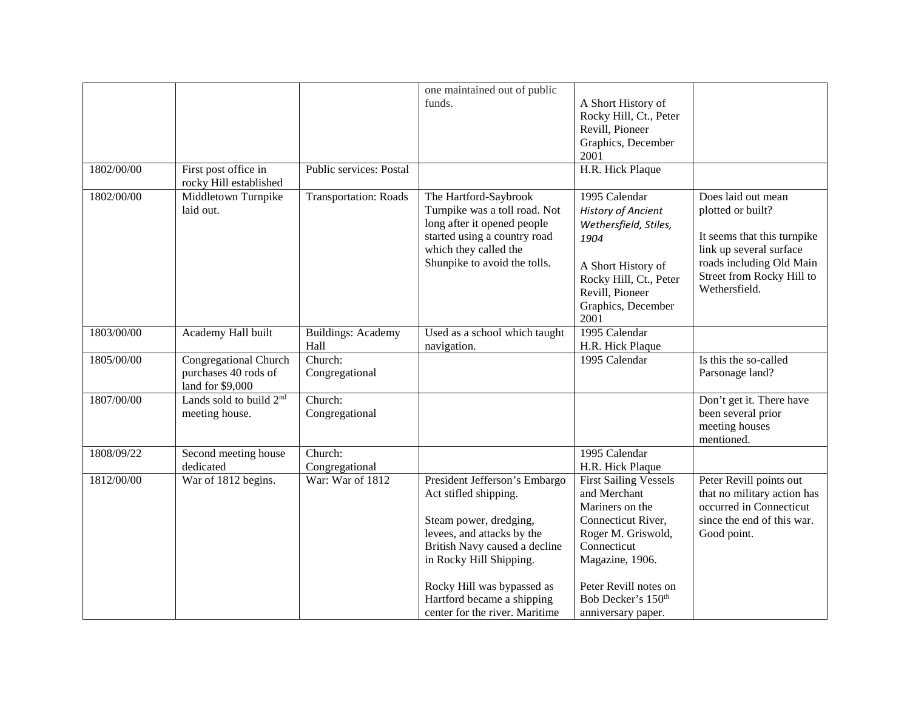|            |                                                         |                                | one maintained out of public                             |                                              |                                                        |
|------------|---------------------------------------------------------|--------------------------------|----------------------------------------------------------|----------------------------------------------|--------------------------------------------------------|
|            |                                                         |                                | funds.                                                   | A Short History of<br>Rocky Hill, Ct., Peter |                                                        |
|            |                                                         |                                |                                                          | Revill, Pioneer                              |                                                        |
|            |                                                         |                                |                                                          | Graphics, December                           |                                                        |
|            |                                                         |                                |                                                          | 2001                                         |                                                        |
| 1802/00/00 | First post office in<br>rocky Hill established          | <b>Public services: Postal</b> |                                                          | H.R. Hick Plaque                             |                                                        |
| 1802/00/00 | Middletown Turnpike<br>laid out.                        | <b>Transportation: Roads</b>   | The Hartford-Saybrook<br>Turnpike was a toll road. Not   | 1995 Calendar<br><b>History of Ancient</b>   | Does laid out mean<br>plotted or built?                |
|            |                                                         |                                | long after it opened people                              | Wethersfield, Stiles,                        |                                                        |
|            |                                                         |                                | started using a country road<br>which they called the    | 1904                                         | It seems that this turnpike<br>link up several surface |
|            |                                                         |                                | Shunpike to avoid the tolls.                             | A Short History of                           | roads including Old Main                               |
|            |                                                         |                                |                                                          | Rocky Hill, Ct., Peter                       | Street from Rocky Hill to                              |
|            |                                                         |                                |                                                          | Revill, Pioneer                              | Wethersfield.                                          |
|            |                                                         |                                |                                                          | Graphics, December<br>2001                   |                                                        |
| 1803/00/00 | Academy Hall built                                      | <b>Buildings: Academy</b>      | Used as a school which taught                            | 1995 Calendar                                |                                                        |
|            |                                                         | Hall                           | navigation.                                              | H.R. Hick Plaque                             |                                                        |
| 1805/00/00 | Congregational Church                                   | Church:                        |                                                          | 1995 Calendar                                | Is this the so-called                                  |
|            | purchases 40 rods of                                    | Congregational                 |                                                          |                                              | Parsonage land?                                        |
| 1807/00/00 | land for \$9,000<br>Lands sold to build 2 <sup>nd</sup> | Church:                        |                                                          |                                              | Don't get it. There have                               |
|            | meeting house.                                          | Congregational                 |                                                          |                                              | been several prior                                     |
|            |                                                         |                                |                                                          |                                              | meeting houses                                         |
|            |                                                         |                                |                                                          |                                              | mentioned.                                             |
| 1808/09/22 | Second meeting house                                    | Church:                        |                                                          | 1995 Calendar                                |                                                        |
|            | dedicated                                               | Congregational                 |                                                          | H.R. Hick Plaque                             |                                                        |
| 1812/00/00 | War of 1812 begins.                                     | War: War of 1812               | President Jefferson's Embargo                            | <b>First Sailing Vessels</b>                 | Peter Revill points out                                |
|            |                                                         |                                | Act stifled shipping.                                    | and Merchant                                 | that no military action has                            |
|            |                                                         |                                |                                                          | Mariners on the                              | occurred in Connecticut                                |
|            |                                                         |                                | Steam power, dredging,                                   | Connecticut River,                           | since the end of this war.                             |
|            |                                                         |                                | levees, and attacks by the                               | Roger M. Griswold,<br>Connecticut            | Good point.                                            |
|            |                                                         |                                | British Navy caused a decline<br>in Rocky Hill Shipping. | Magazine, 1906.                              |                                                        |
|            |                                                         |                                |                                                          |                                              |                                                        |
|            |                                                         |                                | Rocky Hill was bypassed as                               | Peter Revill notes on                        |                                                        |
|            |                                                         |                                | Hartford became a shipping                               | Bob Decker's 150 <sup>th</sup>               |                                                        |
|            |                                                         |                                | center for the river. Maritime                           | anniversary paper.                           |                                                        |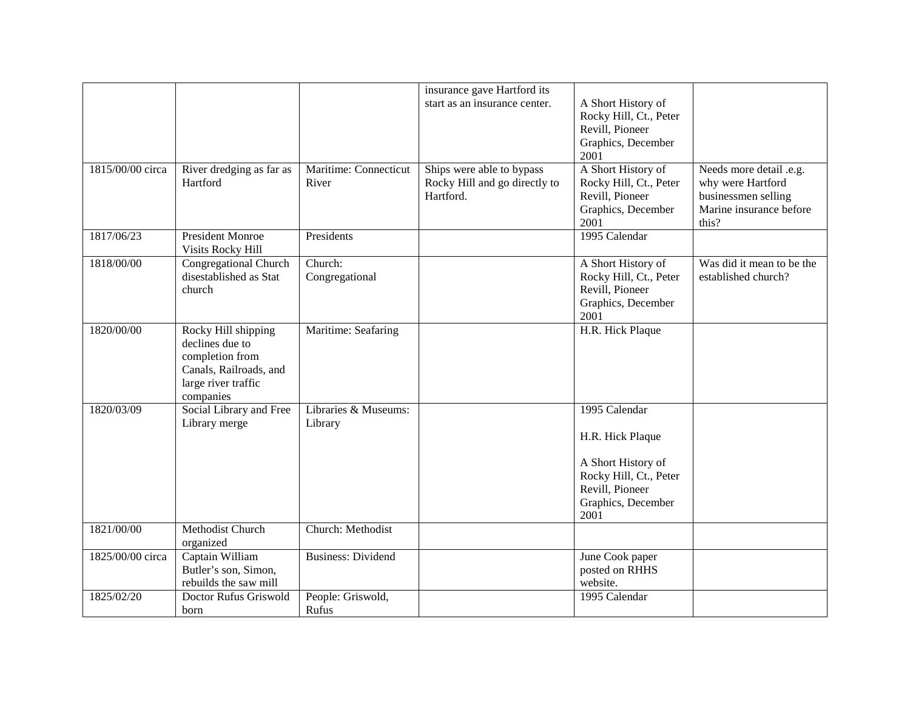|                  |                                                                                                            |                                | insurance gave Hartford its                                             |                                                                                               |                                                                                                         |
|------------------|------------------------------------------------------------------------------------------------------------|--------------------------------|-------------------------------------------------------------------------|-----------------------------------------------------------------------------------------------|---------------------------------------------------------------------------------------------------------|
|                  |                                                                                                            |                                | start as an insurance center.                                           | A Short History of<br>Rocky Hill, Ct., Peter                                                  |                                                                                                         |
|                  |                                                                                                            |                                |                                                                         | Revill, Pioneer                                                                               |                                                                                                         |
|                  |                                                                                                            |                                |                                                                         | Graphics, December                                                                            |                                                                                                         |
|                  |                                                                                                            |                                |                                                                         | 2001                                                                                          |                                                                                                         |
| 1815/00/00 circa | River dredging as far as<br>Hartford                                                                       | Maritime: Connecticut<br>River | Ships were able to bypass<br>Rocky Hill and go directly to<br>Hartford. | A Short History of<br>Rocky Hill, Ct., Peter<br>Revill, Pioneer<br>Graphics, December<br>2001 | Needs more detail .e.g.<br>why were Hartford<br>businessmen selling<br>Marine insurance before<br>this? |
| 1817/06/23       | <b>President Monroe</b><br>Visits Rocky Hill                                                               | Presidents                     |                                                                         | 1995 Calendar                                                                                 |                                                                                                         |
| 1818/00/00       | Congregational Church                                                                                      | Church:                        |                                                                         | A Short History of                                                                            | Was did it mean to be the                                                                               |
|                  | disestablished as Stat                                                                                     | Congregational                 |                                                                         | Rocky Hill, Ct., Peter                                                                        | established church?                                                                                     |
|                  | church                                                                                                     |                                |                                                                         | Revill, Pioneer<br>Graphics, December                                                         |                                                                                                         |
|                  |                                                                                                            |                                |                                                                         | 2001                                                                                          |                                                                                                         |
| 1820/00/00       | Rocky Hill shipping<br>declines due to<br>completion from<br>Canals, Railroads, and<br>large river traffic | Maritime: Seafaring            |                                                                         | H.R. Hick Plaque                                                                              |                                                                                                         |
|                  | companies                                                                                                  |                                |                                                                         |                                                                                               |                                                                                                         |
| 1820/03/09       | Social Library and Free                                                                                    | Libraries & Museums:           |                                                                         | 1995 Calendar                                                                                 |                                                                                                         |
|                  | Library merge                                                                                              | Library                        |                                                                         |                                                                                               |                                                                                                         |
|                  |                                                                                                            |                                |                                                                         | H.R. Hick Plaque                                                                              |                                                                                                         |
|                  |                                                                                                            |                                |                                                                         | A Short History of<br>Rocky Hill, Ct., Peter<br>Revill, Pioneer<br>Graphics, December<br>2001 |                                                                                                         |
| 1821/00/00       | Methodist Church<br>organized                                                                              | Church: Methodist              |                                                                         |                                                                                               |                                                                                                         |
| 1825/00/00 circa | Captain William<br>Butler's son, Simon,<br>rebuilds the saw mill                                           | <b>Business: Dividend</b>      |                                                                         | June Cook paper<br>posted on RHHS<br>website.                                                 |                                                                                                         |
| 1825/02/20       | Doctor Rufus Griswold                                                                                      | People: Griswold,              |                                                                         | 1995 Calendar                                                                                 |                                                                                                         |
|                  | born                                                                                                       | Rufus                          |                                                                         |                                                                                               |                                                                                                         |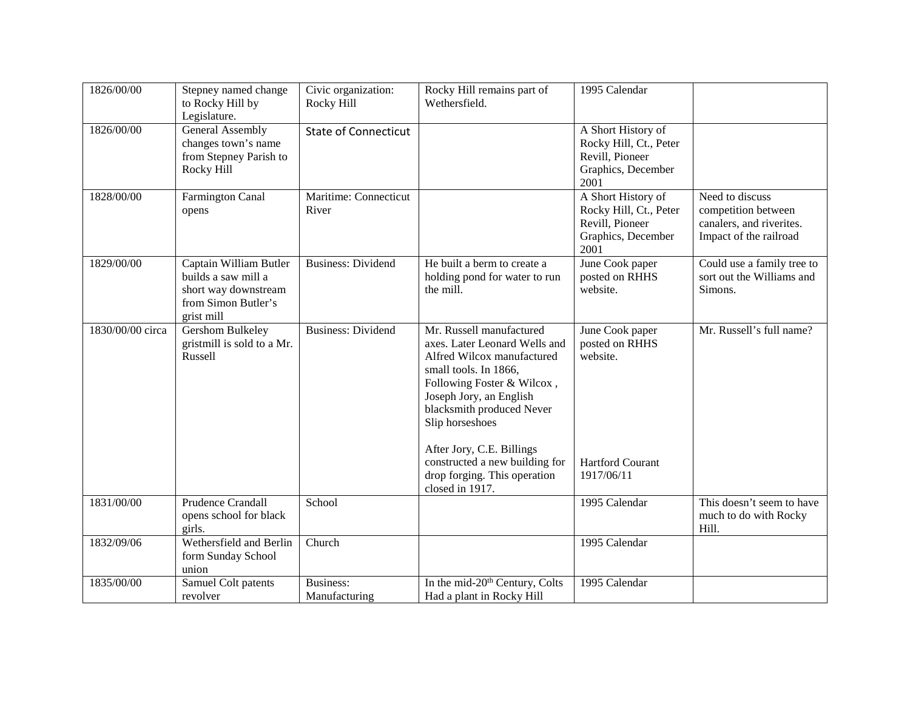| 1826/00/00       | Stepney named change<br>to Rocky Hill by<br>Legislature.                                                   | Civic organization:<br>Rocky Hill | Rocky Hill remains part of<br>Wethersfield.                                                                                                                                                                               | 1995 Calendar                                                                                 |                                                                                              |
|------------------|------------------------------------------------------------------------------------------------------------|-----------------------------------|---------------------------------------------------------------------------------------------------------------------------------------------------------------------------------------------------------------------------|-----------------------------------------------------------------------------------------------|----------------------------------------------------------------------------------------------|
| 1826/00/00       | <b>General Assembly</b><br>changes town's name<br>from Stepney Parish to<br>Rocky Hill                     | <b>State of Connecticut</b>       |                                                                                                                                                                                                                           | A Short History of<br>Rocky Hill, Ct., Peter<br>Revill, Pioneer<br>Graphics, December<br>2001 |                                                                                              |
| 1828/00/00       | Farmington Canal<br>opens                                                                                  | Maritime: Connecticut<br>River    |                                                                                                                                                                                                                           | A Short History of<br>Rocky Hill, Ct., Peter<br>Revill, Pioneer<br>Graphics, December<br>2001 | Need to discuss<br>competition between<br>canalers, and riverites.<br>Impact of the railroad |
| 1829/00/00       | Captain William Butler<br>builds a saw mill a<br>short way downstream<br>from Simon Butler's<br>grist mill | <b>Business: Dividend</b>         | He built a berm to create a<br>holding pond for water to run<br>the mill.                                                                                                                                                 | June Cook paper<br>posted on RHHS<br>website.                                                 | Could use a family tree to<br>sort out the Williams and<br>Simons.                           |
| 1830/00/00 circa | Gershom Bulkeley<br>gristmill is sold to a Mr.<br>Russell                                                  | <b>Business: Dividend</b>         | Mr. Russell manufactured<br>axes. Later Leonard Wells and<br>Alfred Wilcox manufactured<br>small tools. In 1866,<br>Following Foster & Wilcox,<br>Joseph Jory, an English<br>blacksmith produced Never<br>Slip horseshoes | June Cook paper<br>posted on RHHS<br>website.                                                 | Mr. Russell's full name?                                                                     |
|                  |                                                                                                            |                                   | After Jory, C.E. Billings<br>constructed a new building for<br>drop forging. This operation<br>closed in 1917.                                                                                                            | <b>Hartford Courant</b><br>1917/06/11                                                         |                                                                                              |
| 1831/00/00       | <b>Prudence Crandall</b><br>opens school for black<br>girls.                                               | School                            |                                                                                                                                                                                                                           | 1995 Calendar                                                                                 | This doesn't seem to have<br>much to do with Rocky<br>Hill.                                  |
| 1832/09/06       | Wethersfield and Berlin<br>form Sunday School<br>union                                                     | Church                            |                                                                                                                                                                                                                           | 1995 Calendar                                                                                 |                                                                                              |
| 1835/00/00       | Samuel Colt patents<br>revolver                                                                            | Business:<br>Manufacturing        | In the mid-20 <sup>th</sup> Century, Colts<br>Had a plant in Rocky Hill                                                                                                                                                   | 1995 Calendar                                                                                 |                                                                                              |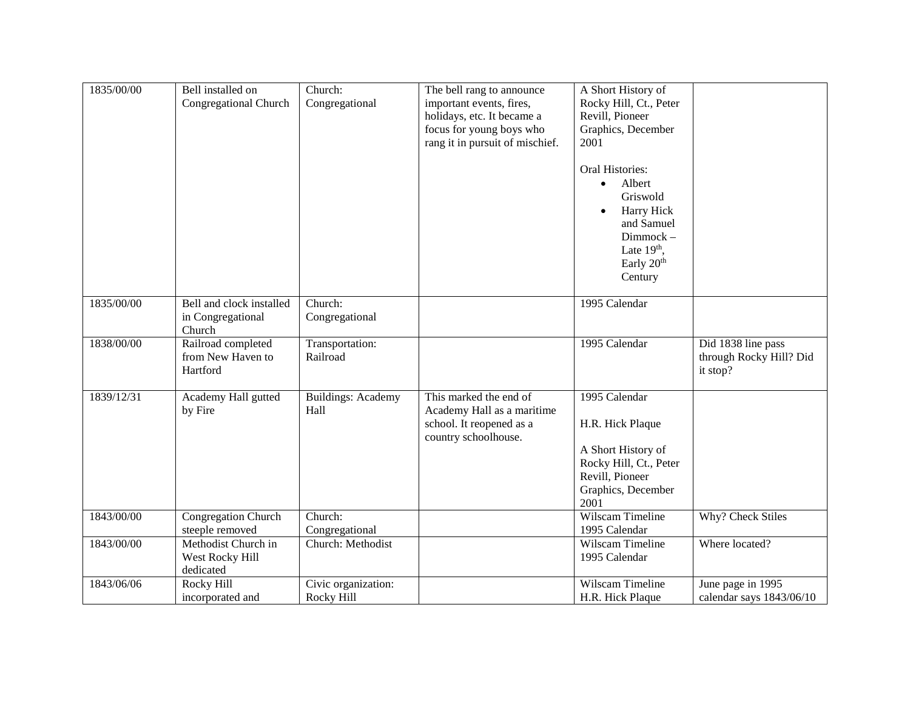| 1835/00/00 | Bell installed on<br>Congregational Church              | Church:<br>Congregational         | The bell rang to announce<br>important events, fires,<br>holidays, etc. It became a<br>focus for young boys who<br>rang it in pursuit of mischief. | A Short History of<br>Rocky Hill, Ct., Peter<br>Revill, Pioneer<br>Graphics, December<br>2001<br>Oral Histories:<br>Albert<br>$\bullet$<br>Griswold<br>Harry Hick |                                                           |
|------------|---------------------------------------------------------|-----------------------------------|----------------------------------------------------------------------------------------------------------------------------------------------------|-------------------------------------------------------------------------------------------------------------------------------------------------------------------|-----------------------------------------------------------|
|            |                                                         |                                   |                                                                                                                                                    | and Samuel<br>Dimmock-<br>Late $19th$ ,<br>Early 20 <sup>th</sup><br>Century                                                                                      |                                                           |
| 1835/00/00 | Bell and clock installed<br>in Congregational<br>Church | Church:<br>Congregational         |                                                                                                                                                    | 1995 Calendar                                                                                                                                                     |                                                           |
| 1838/00/00 | Railroad completed<br>from New Haven to<br>Hartford     | Transportation:<br>Railroad       |                                                                                                                                                    | 1995 Calendar                                                                                                                                                     | Did 1838 line pass<br>through Rocky Hill? Did<br>it stop? |
| 1839/12/31 | Academy Hall gutted<br>by Fire                          | <b>Buildings: Academy</b><br>Hall | This marked the end of<br>Academy Hall as a maritime<br>school. It reopened as a<br>country schoolhouse.                                           | 1995 Calendar<br>H.R. Hick Plaque<br>A Short History of<br>Rocky Hill, Ct., Peter<br>Revill, Pioneer<br>Graphics, December<br>2001                                |                                                           |
| 1843/00/00 | Congregation Church<br>steeple removed                  | Church:<br>Congregational         |                                                                                                                                                    | Wilscam Timeline<br>1995 Calendar                                                                                                                                 | Why? Check Stiles                                         |
| 1843/00/00 | Methodist Church in<br>West Rocky Hill<br>dedicated     | Church: Methodist                 |                                                                                                                                                    | Wilscam Timeline<br>1995 Calendar                                                                                                                                 | Where located?                                            |
| 1843/06/06 | Rocky Hill<br>incorporated and                          | Civic organization:<br>Rocky Hill |                                                                                                                                                    | Wilscam Timeline<br>H.R. Hick Plaque                                                                                                                              | June page in 1995<br>calendar says 1843/06/10             |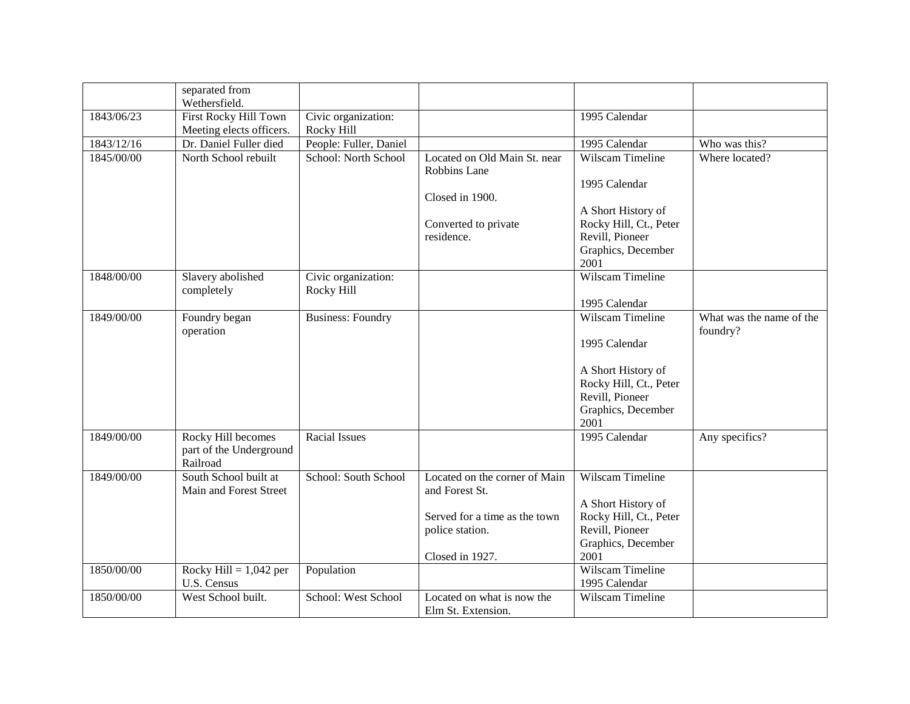|            | separated from<br>Wethersfield.                           |                                   |                                                                                                                        |                                                                                                                                           |                                      |
|------------|-----------------------------------------------------------|-----------------------------------|------------------------------------------------------------------------------------------------------------------------|-------------------------------------------------------------------------------------------------------------------------------------------|--------------------------------------|
| 1843/06/23 | First Rocky Hill Town<br>Meeting elects officers.         | Civic organization:<br>Rocky Hill |                                                                                                                        | 1995 Calendar                                                                                                                             |                                      |
| 1843/12/16 | Dr. Daniel Fuller died                                    | People: Fuller, Daniel            |                                                                                                                        | 1995 Calendar                                                                                                                             | Who was this?                        |
| 1845/00/00 | North School rebuilt                                      | School: North School              | Located on Old Main St. near<br>Robbins Lane<br>Closed in 1900.<br>Converted to private<br>residence.                  | Wilscam Timeline<br>1995 Calendar<br>A Short History of<br>Rocky Hill, Ct., Peter<br>Revill, Pioneer<br>Graphics, December<br>2001        | Where located?                       |
| 1848/00/00 | Slavery abolished<br>completely                           | Civic organization:<br>Rocky Hill |                                                                                                                        | Wilscam Timeline<br>1995 Calendar                                                                                                         |                                      |
| 1849/00/00 | Foundry began<br>operation                                | <b>Business: Foundry</b>          |                                                                                                                        | <b>Wilscam Timeline</b><br>1995 Calendar<br>A Short History of<br>Rocky Hill, Ct., Peter<br>Revill, Pioneer<br>Graphics, December<br>2001 | What was the name of the<br>foundry? |
| 1849/00/00 | Rocky Hill becomes<br>part of the Underground<br>Railroad | <b>Racial Issues</b>              |                                                                                                                        | 1995 Calendar                                                                                                                             | Any specifics?                       |
| 1849/00/00 | South School built at<br>Main and Forest Street           | School: South School              | Located on the corner of Main<br>and Forest St.<br>Served for a time as the town<br>police station.<br>Closed in 1927. | Wilscam Timeline<br>A Short History of<br>Rocky Hill, Ct., Peter<br>Revill, Pioneer<br>Graphics, December<br>2001                         |                                      |
| 1850/00/00 | Rocky Hill = $1,042$ per<br>U.S. Census                   | Population                        |                                                                                                                        | Wilscam Timeline<br>1995 Calendar                                                                                                         |                                      |
| 1850/00/00 | West School built.                                        | School: West School               | Located on what is now the<br>Elm St. Extension.                                                                       | Wilscam Timeline                                                                                                                          |                                      |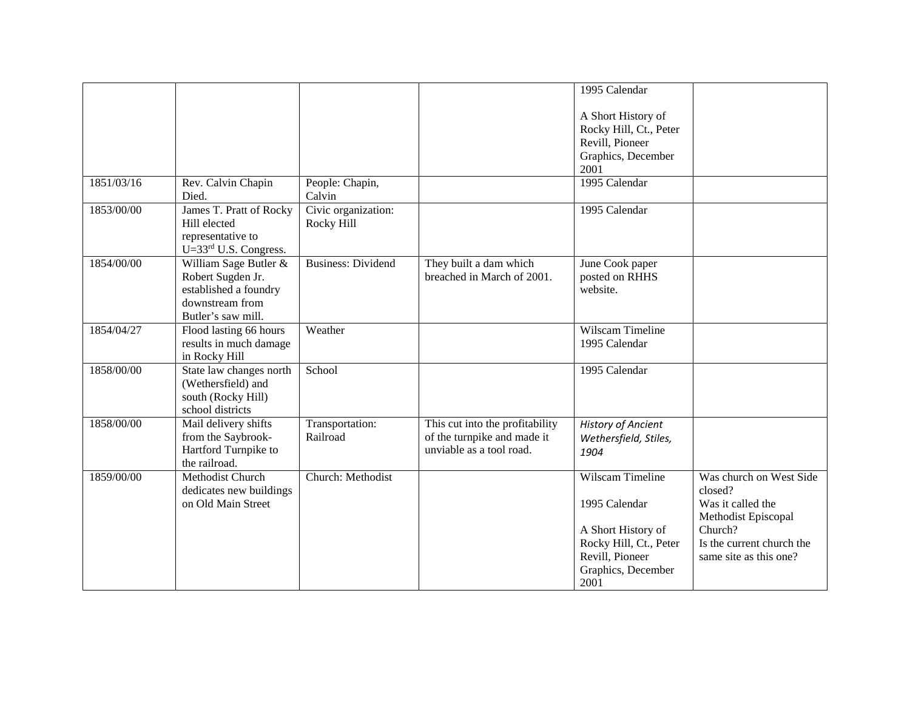|            |                                            |                           |                                 | 1995 Calendar              |                           |
|------------|--------------------------------------------|---------------------------|---------------------------------|----------------------------|---------------------------|
|            |                                            |                           |                                 |                            |                           |
|            |                                            |                           |                                 | A Short History of         |                           |
|            |                                            |                           |                                 | Rocky Hill, Ct., Peter     |                           |
|            |                                            |                           |                                 | Revill, Pioneer            |                           |
|            |                                            |                           |                                 | Graphics, December<br>2001 |                           |
| 1851/03/16 | Rev. Calvin Chapin                         | People: Chapin,           |                                 | 1995 Calendar              |                           |
|            | Died.                                      | Calvin                    |                                 |                            |                           |
| 1853/00/00 | James T. Pratt of Rocky                    | Civic organization:       |                                 | 1995 Calendar              |                           |
|            | Hill elected                               | Rocky Hill                |                                 |                            |                           |
|            | representative to                          |                           |                                 |                            |                           |
|            | U=33rd U.S. Congress.                      |                           |                                 |                            |                           |
| 1854/00/00 | William Sage Butler &                      | <b>Business: Dividend</b> | They built a dam which          | June Cook paper            |                           |
|            | Robert Sugden Jr.<br>established a foundry |                           | breached in March of 2001.      | posted on RHHS<br>website. |                           |
|            | downstream from                            |                           |                                 |                            |                           |
|            | Butler's saw mill.                         |                           |                                 |                            |                           |
| 1854/04/27 | Flood lasting 66 hours                     | Weather                   |                                 | Wilscam Timeline           |                           |
|            | results in much damage                     |                           |                                 | 1995 Calendar              |                           |
|            | in Rocky Hill                              |                           |                                 |                            |                           |
| 1858/00/00 | State law changes north                    | School                    |                                 | 1995 Calendar              |                           |
|            | (Wethersfield) and                         |                           |                                 |                            |                           |
|            | south (Rocky Hill)                         |                           |                                 |                            |                           |
|            | school districts                           |                           |                                 |                            |                           |
| 1858/00/00 | Mail delivery shifts                       | Transportation:           | This cut into the profitability | <b>History of Ancient</b>  |                           |
|            | from the Saybrook-                         | Railroad                  | of the turnpike and made it     | Wethersfield, Stiles,      |                           |
|            | Hartford Turnpike to                       |                           | unviable as a tool road.        | 1904                       |                           |
|            | the railroad.                              |                           |                                 |                            |                           |
| 1859/00/00 | Methodist Church                           | Church: Methodist         |                                 | <b>Wilscam Timeline</b>    | Was church on West Side   |
|            | dedicates new buildings                    |                           |                                 |                            | closed?                   |
|            | on Old Main Street                         |                           |                                 | 1995 Calendar              | Was it called the         |
|            |                                            |                           |                                 |                            | Methodist Episcopal       |
|            |                                            |                           |                                 | A Short History of         | Church?                   |
|            |                                            |                           |                                 | Rocky Hill, Ct., Peter     | Is the current church the |
|            |                                            |                           |                                 | Revill, Pioneer            | same site as this one?    |
|            |                                            |                           |                                 | Graphics, December         |                           |
|            |                                            |                           |                                 | 2001                       |                           |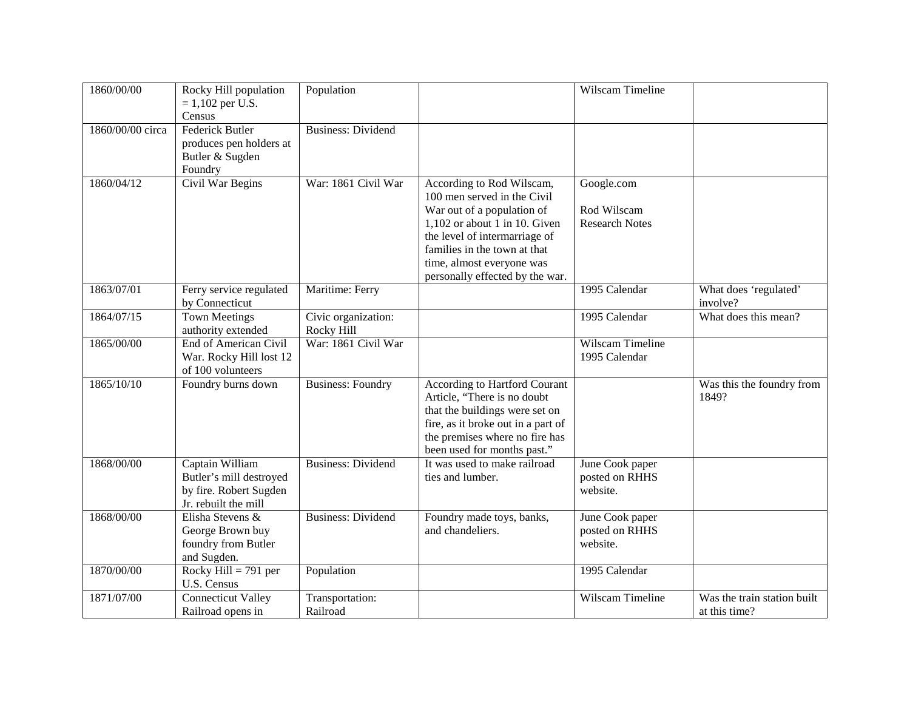| 1860/00/00       | Rocky Hill population<br>$= 1,102$ per U.S.<br>Census                                        | Population                        |                                                                                                                                                                                                                                                            | Wilscam Timeline                                   |                                              |
|------------------|----------------------------------------------------------------------------------------------|-----------------------------------|------------------------------------------------------------------------------------------------------------------------------------------------------------------------------------------------------------------------------------------------------------|----------------------------------------------------|----------------------------------------------|
| 1860/00/00 circa | <b>Federick Butler</b><br>produces pen holders at<br>Butler & Sugden<br>Foundry              | <b>Business: Dividend</b>         |                                                                                                                                                                                                                                                            |                                                    |                                              |
| 1860/04/12       | Civil War Begins                                                                             | War: 1861 Civil War               | According to Rod Wilscam,<br>100 men served in the Civil<br>War out of a population of<br>$1,102$ or about 1 in 10. Given<br>the level of intermarriage of<br>families in the town at that<br>time, almost everyone was<br>personally effected by the war. | Google.com<br>Rod Wilscam<br><b>Research Notes</b> |                                              |
| 1863/07/01       | Ferry service regulated<br>by Connecticut                                                    | Maritime: Ferry                   |                                                                                                                                                                                                                                                            | 1995 Calendar                                      | What does 'regulated'<br>involve?            |
| 1864/07/15       | <b>Town Meetings</b><br>authority extended                                                   | Civic organization:<br>Rocky Hill |                                                                                                                                                                                                                                                            | 1995 Calendar                                      | What does this mean?                         |
| 1865/00/00       | End of American Civil<br>War. Rocky Hill lost 12<br>of 100 volunteers                        | War: 1861 Civil War               |                                                                                                                                                                                                                                                            | Wilscam Timeline<br>1995 Calendar                  |                                              |
| 1865/10/10       | Foundry burns down                                                                           | <b>Business: Foundry</b>          | <b>According to Hartford Courant</b><br>Article, "There is no doubt<br>that the buildings were set on<br>fire, as it broke out in a part of<br>the premises where no fire has<br>been used for months past."                                               |                                                    | Was this the foundry from<br>1849?           |
| 1868/00/00       | Captain William<br>Butler's mill destroyed<br>by fire. Robert Sugden<br>Jr. rebuilt the mill | <b>Business: Dividend</b>         | It was used to make railroad<br>ties and lumber.                                                                                                                                                                                                           | June Cook paper<br>posted on RHHS<br>website.      |                                              |
| 1868/00/00       | Elisha Stevens &<br>George Brown buy<br>foundry from Butler<br>and Sugden.                   | <b>Business: Dividend</b>         | Foundry made toys, banks,<br>and chandeliers.                                                                                                                                                                                                              | June Cook paper<br>posted on RHHS<br>website.      |                                              |
| 1870/00/00       | Rocky Hill = $791$ per<br>U.S. Census                                                        | Population                        |                                                                                                                                                                                                                                                            | 1995 Calendar                                      |                                              |
| 1871/07/00       | <b>Connecticut Valley</b><br>Railroad opens in                                               | Transportation:<br>Railroad       |                                                                                                                                                                                                                                                            | Wilscam Timeline                                   | Was the train station built<br>at this time? |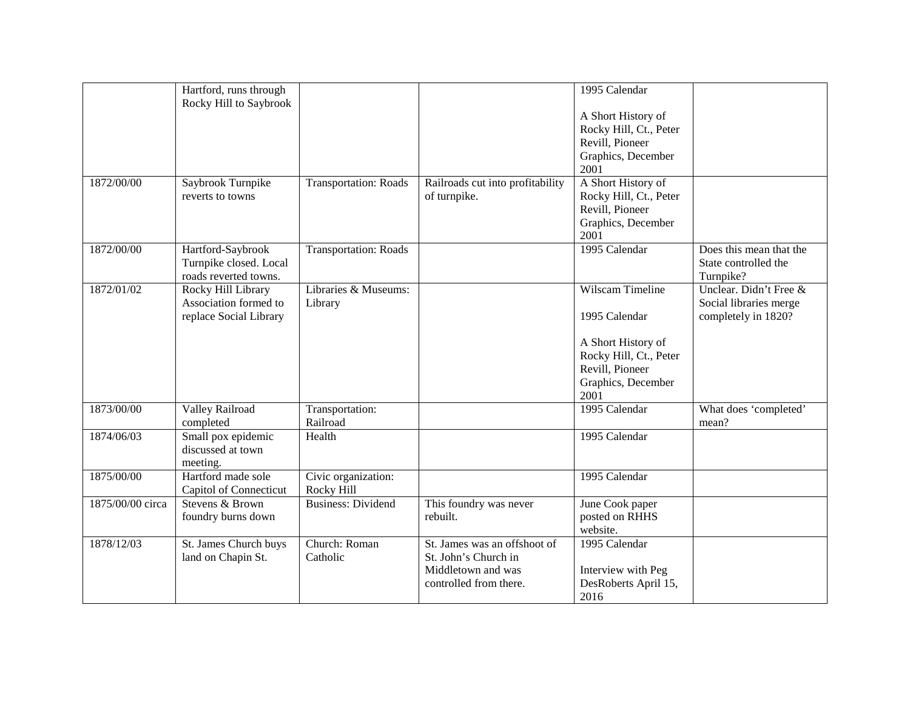|                  | Hartford, runs through |                              |                                  | 1995 Calendar          |                         |
|------------------|------------------------|------------------------------|----------------------------------|------------------------|-------------------------|
|                  | Rocky Hill to Saybrook |                              |                                  |                        |                         |
|                  |                        |                              |                                  | A Short History of     |                         |
|                  |                        |                              |                                  | Rocky Hill, Ct., Peter |                         |
|                  |                        |                              |                                  | Revill, Pioneer        |                         |
|                  |                        |                              |                                  | Graphics, December     |                         |
|                  |                        |                              |                                  | 2001                   |                         |
| 1872/00/00       | Saybrook Turnpike      | <b>Transportation: Roads</b> | Railroads cut into profitability | A Short History of     |                         |
|                  | reverts to towns       |                              | of turnpike.                     | Rocky Hill, Ct., Peter |                         |
|                  |                        |                              |                                  | Revill, Pioneer        |                         |
|                  |                        |                              |                                  | Graphics, December     |                         |
|                  |                        |                              |                                  | 2001                   |                         |
| 1872/00/00       | Hartford-Saybrook      | <b>Transportation: Roads</b> |                                  | 1995 Calendar          | Does this mean that the |
|                  | Turnpike closed. Local |                              |                                  |                        | State controlled the    |
|                  | roads reverted towns.  |                              |                                  |                        | Turnpike?               |
| 1872/01/02       | Rocky Hill Library     | Libraries & Museums:         |                                  | Wilscam Timeline       | Unclear. Didn't Free &  |
|                  | Association formed to  | Library                      |                                  |                        | Social libraries merge  |
|                  | replace Social Library |                              |                                  | 1995 Calendar          | completely in 1820?     |
|                  |                        |                              |                                  |                        |                         |
|                  |                        |                              |                                  | A Short History of     |                         |
|                  |                        |                              |                                  | Rocky Hill, Ct., Peter |                         |
|                  |                        |                              |                                  | Revill, Pioneer        |                         |
|                  |                        |                              |                                  | Graphics, December     |                         |
|                  |                        |                              |                                  | 2001                   |                         |
| 1873/00/00       | Valley Railroad        | Transportation:              |                                  | 1995 Calendar          | What does 'completed'   |
|                  | completed              | Railroad                     |                                  |                        | mean?                   |
| 1874/06/03       | Small pox epidemic     | Health                       |                                  | 1995 Calendar          |                         |
|                  | discussed at town      |                              |                                  |                        |                         |
|                  | meeting.               |                              |                                  |                        |                         |
| 1875/00/00       | Hartford made sole     | Civic organization:          |                                  | 1995 Calendar          |                         |
|                  | Capitol of Connecticut | Rocky Hill                   |                                  |                        |                         |
| 1875/00/00 circa | Stevens & Brown        | <b>Business: Dividend</b>    | This foundry was never           | June Cook paper        |                         |
|                  | foundry burns down     |                              | rebuilt.                         | posted on RHHS         |                         |
|                  |                        |                              |                                  | website.               |                         |
| 1878/12/03       | St. James Church buys  | Church: Roman                | St. James was an offshoot of     | 1995 Calendar          |                         |
|                  | land on Chapin St.     | Catholic                     | St. John's Church in             |                        |                         |
|                  |                        |                              | Middletown and was               | Interview with Peg     |                         |
|                  |                        |                              | controlled from there.           | DesRoberts April 15,   |                         |
|                  |                        |                              |                                  | 2016                   |                         |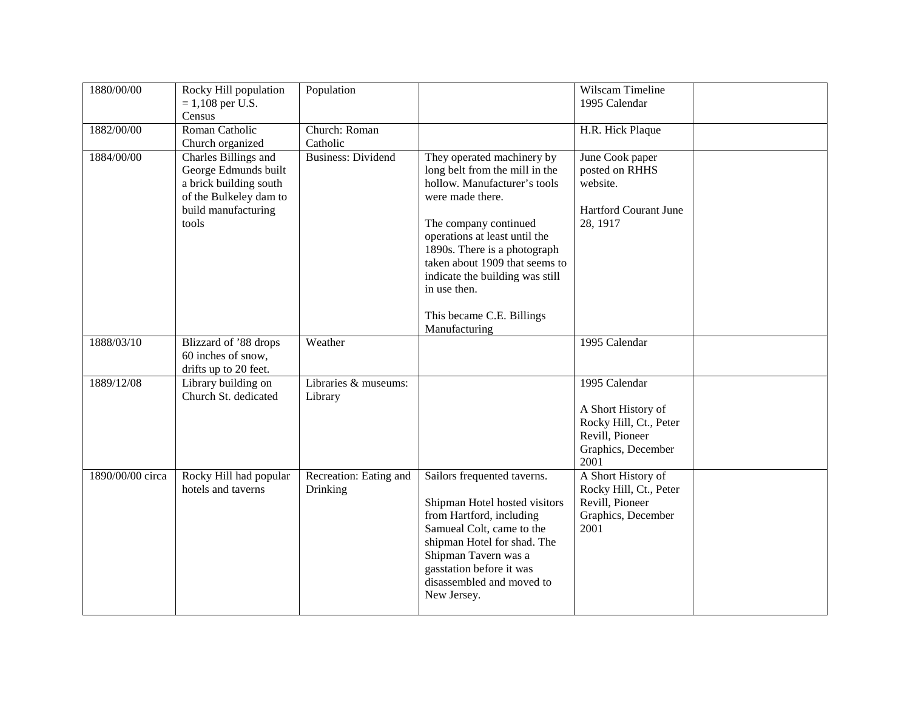| 1880/00/00       | Rocky Hill population<br>$= 1,108$ per U.S.<br>Census                                                                            | Population                         |                                                                                                                                                                                                                                                                                                                                               | Wilscam Timeline<br>1995 Calendar                                                                              |  |
|------------------|----------------------------------------------------------------------------------------------------------------------------------|------------------------------------|-----------------------------------------------------------------------------------------------------------------------------------------------------------------------------------------------------------------------------------------------------------------------------------------------------------------------------------------------|----------------------------------------------------------------------------------------------------------------|--|
| 1882/00/00       | Roman Catholic<br>Church organized                                                                                               | Church: Roman<br>Catholic          |                                                                                                                                                                                                                                                                                                                                               | H.R. Hick Plaque                                                                                               |  |
| 1884/00/00       | Charles Billings and<br>George Edmunds built<br>a brick building south<br>of the Bulkeley dam to<br>build manufacturing<br>tools | <b>Business: Dividend</b>          | They operated machinery by<br>long belt from the mill in the<br>hollow. Manufacturer's tools<br>were made there.<br>The company continued<br>operations at least until the<br>1890s. There is a photograph<br>taken about 1909 that seems to<br>indicate the building was still<br>in use then.<br>This became C.E. Billings<br>Manufacturing | June Cook paper<br>posted on RHHS<br>website.<br><b>Hartford Courant June</b><br>28, 1917                      |  |
| 1888/03/10       | Blizzard of '88 drops<br>60 inches of snow,<br>drifts up to 20 feet.                                                             | Weather                            |                                                                                                                                                                                                                                                                                                                                               | 1995 Calendar                                                                                                  |  |
| 1889/12/08       | Library building on<br>Church St. dedicated                                                                                      | Libraries & museums:<br>Library    |                                                                                                                                                                                                                                                                                                                                               | 1995 Calendar<br>A Short History of<br>Rocky Hill, Ct., Peter<br>Revill, Pioneer<br>Graphics, December<br>2001 |  |
| 1890/00/00 circa | Rocky Hill had popular<br>hotels and taverns                                                                                     | Recreation: Eating and<br>Drinking | Sailors frequented taverns.<br>Shipman Hotel hosted visitors<br>from Hartford, including<br>Samueal Colt, came to the<br>shipman Hotel for shad. The<br>Shipman Tavern was a<br>gasstation before it was<br>disassembled and moved to<br>New Jersey.                                                                                          | A Short History of<br>Rocky Hill, Ct., Peter<br>Revill, Pioneer<br>Graphics, December<br>2001                  |  |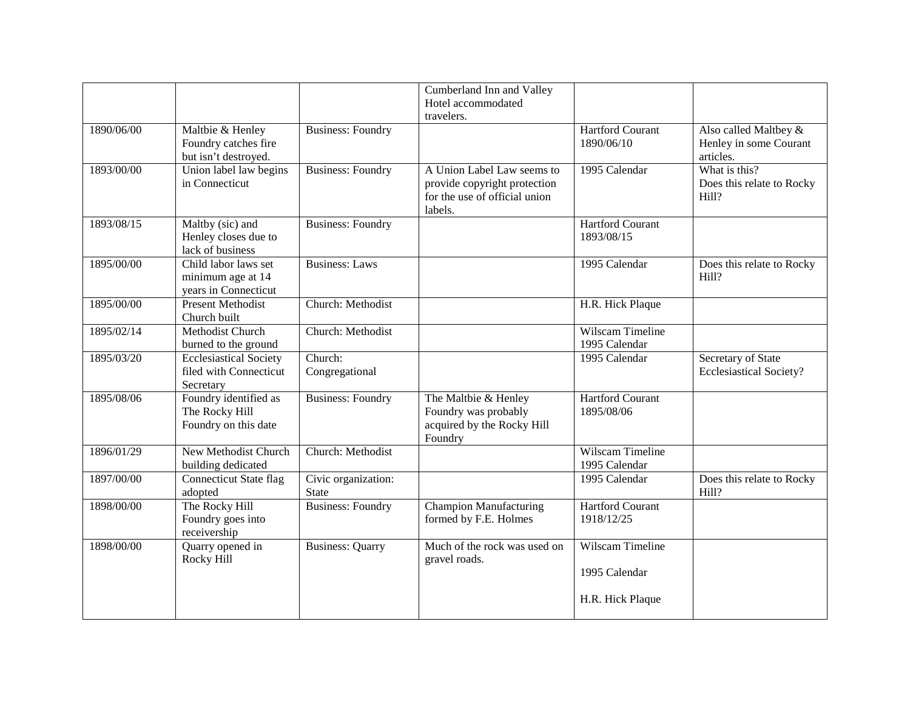|            |                                                                      |                                     | Cumberland Inn and Valley                                                                              |                                                       |                                                              |
|------------|----------------------------------------------------------------------|-------------------------------------|--------------------------------------------------------------------------------------------------------|-------------------------------------------------------|--------------------------------------------------------------|
|            |                                                                      |                                     | Hotel accommodated<br>travelers.                                                                       |                                                       |                                                              |
| 1890/06/00 | Maltbie & Henley<br>Foundry catches fire<br>but isn't destroyed.     | <b>Business: Foundry</b>            |                                                                                                        | <b>Hartford Courant</b><br>1890/06/10                 | Also called Maltbey &<br>Henley in some Courant<br>articles. |
| 1893/00/00 | Union label law begins<br>in Connecticut                             | <b>Business: Foundry</b>            | A Union Label Law seems to<br>provide copyright protection<br>for the use of official union<br>labels. | 1995 Calendar                                         | What is this?<br>Does this relate to Rocky<br>Hill?          |
| 1893/08/15 | Maltby (sic) and<br>Henley closes due to<br>lack of business         | <b>Business: Foundry</b>            |                                                                                                        | <b>Hartford Courant</b><br>1893/08/15                 |                                                              |
| 1895/00/00 | Child labor laws set<br>minimum age at 14<br>years in Connecticut    | <b>Business:</b> Laws               |                                                                                                        | 1995 Calendar                                         | Does this relate to Rocky<br>Hill?                           |
| 1895/00/00 | <b>Present Methodist</b><br>Church built                             | Church: Methodist                   |                                                                                                        | H.R. Hick Plaque                                      |                                                              |
| 1895/02/14 | Methodist Church<br>burned to the ground                             | Church: Methodist                   |                                                                                                        | Wilscam Timeline<br>1995 Calendar                     |                                                              |
| 1895/03/20 | <b>Ecclesiastical Society</b><br>filed with Connecticut<br>Secretary | Church:<br>Congregational           |                                                                                                        | 1995 Calendar                                         | Secretary of State<br><b>Ecclesiastical Society?</b>         |
| 1895/08/06 | Foundry identified as<br>The Rocky Hill<br>Foundry on this date      | <b>Business: Foundry</b>            | The Maltbie & Henley<br>Foundry was probably<br>acquired by the Rocky Hill<br>Foundry                  | <b>Hartford Courant</b><br>1895/08/06                 |                                                              |
| 1896/01/29 | <b>New Methodist Church</b><br>building dedicated                    | Church: Methodist                   |                                                                                                        | Wilscam Timeline<br>1995 Calendar                     |                                                              |
| 1897/00/00 | <b>Connecticut State flag</b><br>adopted                             | Civic organization:<br><b>State</b> |                                                                                                        | 1995 Calendar                                         | Does this relate to Rocky<br>Hill?                           |
| 1898/00/00 | The Rocky Hill<br>Foundry goes into<br>receivership                  | <b>Business: Foundry</b>            | <b>Champion Manufacturing</b><br>formed by F.E. Holmes                                                 | <b>Hartford Courant</b><br>1918/12/25                 |                                                              |
| 1898/00/00 | Quarry opened in<br>Rocky Hill                                       | <b>Business: Quarry</b>             | Much of the rock was used on<br>gravel roads.                                                          | Wilscam Timeline<br>1995 Calendar<br>H.R. Hick Plaque |                                                              |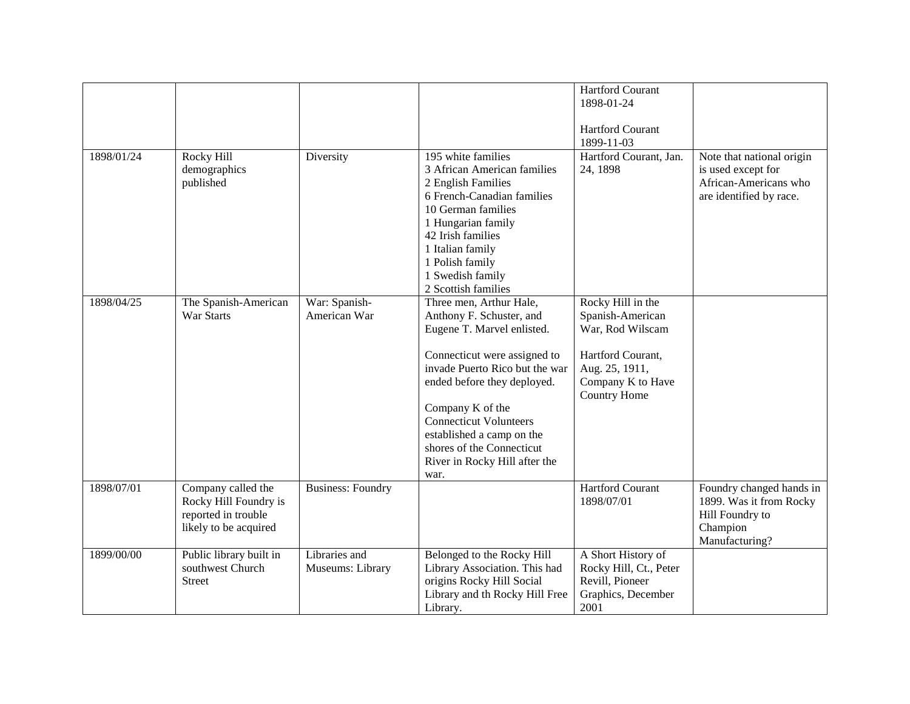|            |                         |                          |                                | <b>Hartford Courant</b> |                           |
|------------|-------------------------|--------------------------|--------------------------------|-------------------------|---------------------------|
|            |                         |                          |                                | 1898-01-24              |                           |
|            |                         |                          |                                |                         |                           |
|            |                         |                          |                                | <b>Hartford Courant</b> |                           |
|            |                         |                          |                                |                         |                           |
|            |                         |                          |                                | 1899-11-03              |                           |
| 1898/01/24 | Rocky Hill              | Diversity                | 195 white families             | Hartford Courant, Jan.  | Note that national origin |
|            | demographics            |                          | 3 African American families    | 24, 1898                | is used except for        |
|            | published               |                          | 2 English Families             |                         | African-Americans who     |
|            |                         |                          | 6 French-Canadian families     |                         | are identified by race.   |
|            |                         |                          | 10 German families             |                         |                           |
|            |                         |                          | 1 Hungarian family             |                         |                           |
|            |                         |                          | 42 Irish families              |                         |                           |
|            |                         |                          |                                |                         |                           |
|            |                         |                          | 1 Italian family               |                         |                           |
|            |                         |                          | 1 Polish family                |                         |                           |
|            |                         |                          | 1 Swedish family               |                         |                           |
|            |                         |                          | 2 Scottish families            |                         |                           |
| 1898/04/25 | The Spanish-American    | War: Spanish-            | Three men, Arthur Hale,        | Rocky Hill in the       |                           |
|            | War Starts              | American War             | Anthony F. Schuster, and       | Spanish-American        |                           |
|            |                         |                          | Eugene T. Marvel enlisted.     | War, Rod Wilscam        |                           |
|            |                         |                          |                                |                         |                           |
|            |                         |                          | Connecticut were assigned to   | Hartford Courant,       |                           |
|            |                         |                          | invade Puerto Rico but the war | Aug. 25, 1911,          |                           |
|            |                         |                          |                                | Company K to Have       |                           |
|            |                         |                          | ended before they deployed.    | Country Home            |                           |
|            |                         |                          | Company K of the               |                         |                           |
|            |                         |                          | <b>Connecticut Volunteers</b>  |                         |                           |
|            |                         |                          |                                |                         |                           |
|            |                         |                          | established a camp on the      |                         |                           |
|            |                         |                          | shores of the Connecticut      |                         |                           |
|            |                         |                          | River in Rocky Hill after the  |                         |                           |
|            |                         |                          | war.                           |                         |                           |
| 1898/07/01 | Company called the      | <b>Business: Foundry</b> |                                | <b>Hartford Courant</b> | Foundry changed hands in  |
|            | Rocky Hill Foundry is   |                          |                                | 1898/07/01              | 1899. Was it from Rocky   |
|            | reported in trouble     |                          |                                |                         | Hill Foundry to           |
|            | likely to be acquired   |                          |                                |                         | Champion                  |
|            |                         |                          |                                |                         | Manufacturing?            |
| 1899/00/00 | Public library built in | Libraries and            | Belonged to the Rocky Hill     | A Short History of      |                           |
|            | southwest Church        | Museums: Library         | Library Association. This had  | Rocky Hill, Ct., Peter  |                           |
|            |                         |                          |                                | Revill, Pioneer         |                           |
|            | <b>Street</b>           |                          | origins Rocky Hill Social      |                         |                           |
|            |                         |                          | Library and th Rocky Hill Free | Graphics, December      |                           |
|            |                         |                          | Library.                       | 2001                    |                           |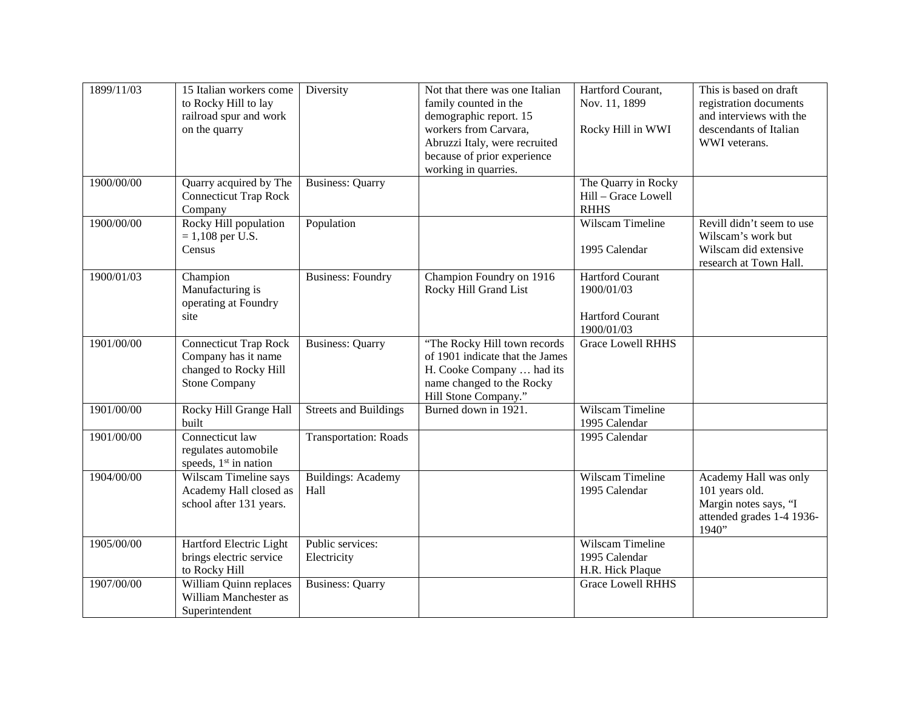| 1899/11/03 | 15 Italian workers come<br>to Rocky Hill to lay<br>railroad spur and work<br>on the quarry           | Diversity                         | Not that there was one Italian<br>family counted in the<br>demographic report. 15<br>workers from Carvara,<br>Abruzzi Italy, were recruited<br>because of prior experience<br>working in quarries. | Hartford Courant,<br>Nov. 11, 1899<br>Rocky Hill in WWI                        | This is based on draft<br>registration documents<br>and interviews with the<br>descendants of Italian<br>WWI veterans. |
|------------|------------------------------------------------------------------------------------------------------|-----------------------------------|----------------------------------------------------------------------------------------------------------------------------------------------------------------------------------------------------|--------------------------------------------------------------------------------|------------------------------------------------------------------------------------------------------------------------|
| 1900/00/00 | Quarry acquired by The<br><b>Connecticut Trap Rock</b><br>Company                                    | <b>Business: Quarry</b>           |                                                                                                                                                                                                    | The Quarry in Rocky<br>Hill - Grace Lowell<br><b>RHHS</b>                      |                                                                                                                        |
| 1900/00/00 | Rocky Hill population<br>$= 1,108$ per U.S.<br>Census                                                | Population                        |                                                                                                                                                                                                    | Wilscam Timeline<br>1995 Calendar                                              | Revill didn't seem to use<br>Wilscam's work but<br>Wilscam did extensive<br>research at Town Hall.                     |
| 1900/01/03 | Champion<br>Manufacturing is<br>operating at Foundry<br>site                                         | <b>Business: Foundry</b>          | Champion Foundry on 1916<br>Rocky Hill Grand List                                                                                                                                                  | <b>Hartford Courant</b><br>1900/01/03<br><b>Hartford Courant</b><br>1900/01/03 |                                                                                                                        |
| 1901/00/00 | <b>Connecticut Trap Rock</b><br>Company has it name<br>changed to Rocky Hill<br><b>Stone Company</b> | <b>Business: Quarry</b>           | "The Rocky Hill town records<br>of 1901 indicate that the James<br>H. Cooke Company  had its<br>name changed to the Rocky<br>Hill Stone Company."                                                  | <b>Grace Lowell RHHS</b>                                                       |                                                                                                                        |
| 1901/00/00 | Rocky Hill Grange Hall<br>built                                                                      | Streets and Buildings             | Burned down in 1921.                                                                                                                                                                               | Wilscam Timeline<br>1995 Calendar                                              |                                                                                                                        |
| 1901/00/00 | Connecticut law<br>regulates automobile<br>speeds, 1 <sup>st</sup> in nation                         | Transportation: Roads             |                                                                                                                                                                                                    | 1995 Calendar                                                                  |                                                                                                                        |
| 1904/00/00 | Wilscam Timeline says<br>Academy Hall closed as<br>school after 131 years.                           | <b>Buildings: Academy</b><br>Hall |                                                                                                                                                                                                    | Wilscam Timeline<br>1995 Calendar                                              | Academy Hall was only<br>101 years old.<br>Margin notes says, "I<br>attended grades 1-4 1936-<br>1940"                 |
| 1905/00/00 | Hartford Electric Light<br>brings electric service<br>to Rocky Hill                                  | Public services:<br>Electricity   |                                                                                                                                                                                                    | Wilscam Timeline<br>1995 Calendar<br>H.R. Hick Plaque                          |                                                                                                                        |
| 1907/00/00 | William Quinn replaces<br>William Manchester as<br>Superintendent                                    | <b>Business: Quarry</b>           |                                                                                                                                                                                                    | <b>Grace Lowell RHHS</b>                                                       |                                                                                                                        |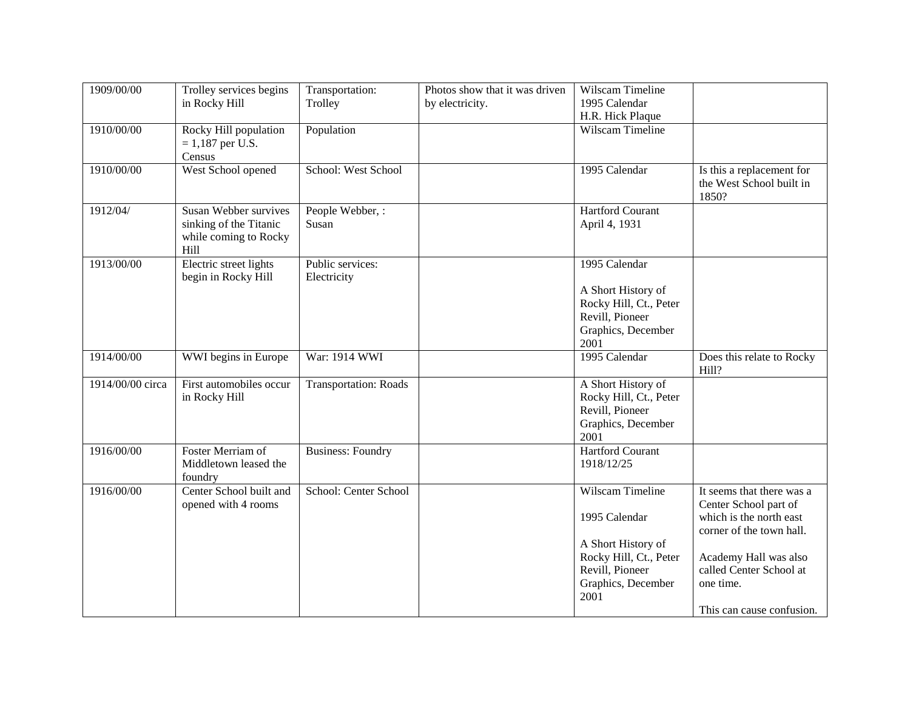| 1909/00/00       | Trolley services begins<br>in Rocky Hill                                                | Transportation:<br>Trolley      | Photos show that it was driven<br>by electricity. | Wilscam Timeline<br>1995 Calendar                                                                                                  |                                                                                                                                                                                                         |
|------------------|-----------------------------------------------------------------------------------------|---------------------------------|---------------------------------------------------|------------------------------------------------------------------------------------------------------------------------------------|---------------------------------------------------------------------------------------------------------------------------------------------------------------------------------------------------------|
| 1910/00/00       | Rocky Hill population<br>$= 1,187$ per U.S.<br>Census                                   | Population                      |                                                   | H.R. Hick Plaque<br>Wilscam Timeline                                                                                               |                                                                                                                                                                                                         |
| 1910/00/00       | West School opened                                                                      | School: West School             |                                                   | 1995 Calendar                                                                                                                      | Is this a replacement for<br>the West School built in<br>1850?                                                                                                                                          |
| 1912/04/         | <b>Susan Webber survives</b><br>sinking of the Titanic<br>while coming to Rocky<br>Hill | People Webber, :<br>Susan       |                                                   | <b>Hartford Courant</b><br>April 4, 1931                                                                                           |                                                                                                                                                                                                         |
| 1913/00/00       | Electric street lights<br>begin in Rocky Hill                                           | Public services:<br>Electricity |                                                   | 1995 Calendar<br>A Short History of<br>Rocky Hill, Ct., Peter<br>Revill, Pioneer<br>Graphics, December<br>2001                     |                                                                                                                                                                                                         |
| 1914/00/00       | WWI begins in Europe                                                                    | War: 1914 WWI                   |                                                   | 1995 Calendar                                                                                                                      | Does this relate to Rocky<br>Hill?                                                                                                                                                                      |
| 1914/00/00 circa | First automobiles occur<br>in Rocky Hill                                                | <b>Transportation: Roads</b>    |                                                   | A Short History of<br>Rocky Hill, Ct., Peter<br>Revill, Pioneer<br>Graphics, December<br>2001                                      |                                                                                                                                                                                                         |
| 1916/00/00       | Foster Merriam of<br>Middletown leased the<br>foundry                                   | <b>Business: Foundry</b>        |                                                   | <b>Hartford Courant</b><br>1918/12/25                                                                                              |                                                                                                                                                                                                         |
| 1916/00/00       | Center School built and<br>opened with 4 rooms                                          | School: Center School           |                                                   | Wilscam Timeline<br>1995 Calendar<br>A Short History of<br>Rocky Hill, Ct., Peter<br>Revill, Pioneer<br>Graphics, December<br>2001 | It seems that there was a<br>Center School part of<br>which is the north east<br>corner of the town hall.<br>Academy Hall was also<br>called Center School at<br>one time.<br>This can cause confusion. |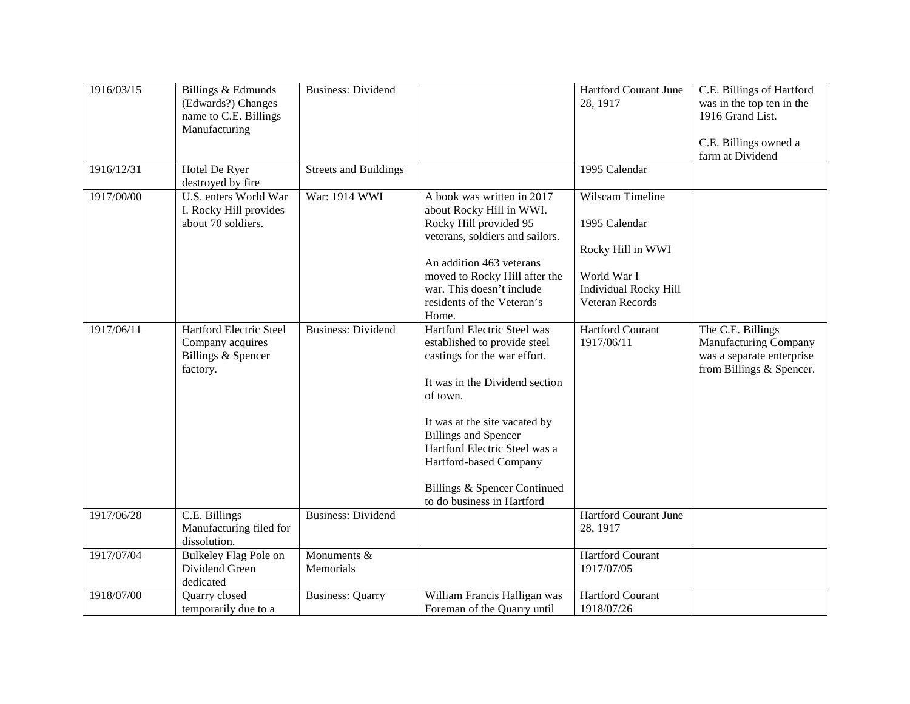| 1916/03/15 | Billings & Edmunds<br>(Edwards?) Changes<br>name to C.E. Billings<br>Manufacturing | <b>Business: Dividend</b>    |                                                                                                                                                                                                                                                                                                                                    | Hartford Courant June<br>28, 1917                                                                                        | C.E. Billings of Hartford<br>was in the top ten in the<br>1916 Grand List.<br>C.E. Billings owned a<br>farm at Dividend |
|------------|------------------------------------------------------------------------------------|------------------------------|------------------------------------------------------------------------------------------------------------------------------------------------------------------------------------------------------------------------------------------------------------------------------------------------------------------------------------|--------------------------------------------------------------------------------------------------------------------------|-------------------------------------------------------------------------------------------------------------------------|
| 1916/12/31 | Hotel De Ryer<br>destroyed by fire                                                 | <b>Streets and Buildings</b> |                                                                                                                                                                                                                                                                                                                                    | 1995 Calendar                                                                                                            |                                                                                                                         |
| 1917/00/00 | U.S. enters World War<br>I. Rocky Hill provides<br>about 70 soldiers.              | War: 1914 WWI                | A book was written in 2017<br>about Rocky Hill in WWI.<br>Rocky Hill provided 95<br>veterans, soldiers and sailors.<br>An addition 463 veterans<br>moved to Rocky Hill after the<br>war. This doesn't include<br>residents of the Veteran's<br>Home.                                                                               | Wilscam Timeline<br>1995 Calendar<br>Rocky Hill in WWI<br>World War I<br><b>Individual Rocky Hill</b><br>Veteran Records |                                                                                                                         |
| 1917/06/11 | Hartford Electric Steel<br>Company acquires<br>Billings & Spencer<br>factory.      | <b>Business: Dividend</b>    | Hartford Electric Steel was<br>established to provide steel<br>castings for the war effort.<br>It was in the Dividend section<br>of town.<br>It was at the site vacated by<br><b>Billings and Spencer</b><br>Hartford Electric Steel was a<br>Hartford-based Company<br>Billings & Spencer Continued<br>to do business in Hartford | <b>Hartford Courant</b><br>1917/06/11                                                                                    | The C.E. Billings<br>Manufacturing Company<br>was a separate enterprise<br>from Billings & Spencer.                     |
| 1917/06/28 | C.E. Billings<br>Manufacturing filed for<br>dissolution.                           | <b>Business: Dividend</b>    |                                                                                                                                                                                                                                                                                                                                    | Hartford Courant June<br>28, 1917                                                                                        |                                                                                                                         |
| 1917/07/04 | <b>Bulkeley Flag Pole on</b><br>Dividend Green<br>dedicated                        | Monuments &<br>Memorials     |                                                                                                                                                                                                                                                                                                                                    | <b>Hartford Courant</b><br>1917/07/05                                                                                    |                                                                                                                         |
| 1918/07/00 | Quarry closed<br>temporarily due to a                                              | <b>Business: Quarry</b>      | William Francis Halligan was<br>Foreman of the Quarry until                                                                                                                                                                                                                                                                        | <b>Hartford Courant</b><br>1918/07/26                                                                                    |                                                                                                                         |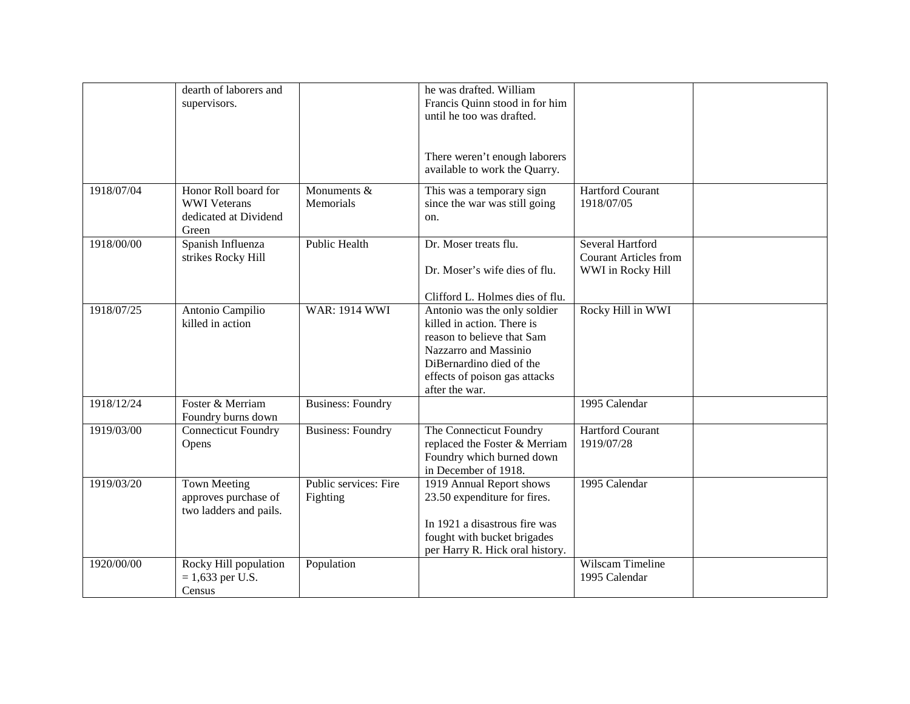|            | dearth of laborers and<br>supervisors.                                        |                                   | he was drafted. William<br>Francis Quinn stood in for him<br>until he too was drafted.<br>There weren't enough laborers                                                                          |                                                                       |  |
|------------|-------------------------------------------------------------------------------|-----------------------------------|--------------------------------------------------------------------------------------------------------------------------------------------------------------------------------------------------|-----------------------------------------------------------------------|--|
| 1918/07/04 | Honor Roll board for<br><b>WWI</b> Veterans<br>dedicated at Dividend<br>Green | Monuments &<br>Memorials          | available to work the Quarry.<br>This was a temporary sign<br>since the war was still going<br>on.                                                                                               | <b>Hartford Courant</b><br>1918/07/05                                 |  |
| 1918/00/00 | Spanish Influenza<br>strikes Rocky Hill                                       | <b>Public Health</b>              | Dr. Moser treats flu.<br>Dr. Moser's wife dies of flu.<br>Clifford L. Holmes dies of flu.                                                                                                        | Several Hartford<br><b>Courant Articles from</b><br>WWI in Rocky Hill |  |
| 1918/07/25 | Antonio Campilio<br>killed in action                                          | <b>WAR: 1914 WWI</b>              | Antonio was the only soldier<br>killed in action. There is<br>reason to believe that Sam<br>Nazzarro and Massinio<br>DiBernardino died of the<br>effects of poison gas attacks<br>after the war. | Rocky Hill in WWI                                                     |  |
| 1918/12/24 | Foster & Merriam<br>Foundry burns down                                        | <b>Business: Foundry</b>          |                                                                                                                                                                                                  | 1995 Calendar                                                         |  |
| 1919/03/00 | <b>Connecticut Foundry</b><br>Opens                                           | <b>Business: Foundry</b>          | The Connecticut Foundry<br>replaced the Foster & Merriam<br>Foundry which burned down<br>in December of 1918.                                                                                    | <b>Hartford Courant</b><br>1919/07/28                                 |  |
| 1919/03/20 | <b>Town Meeting</b><br>approves purchase of<br>two ladders and pails.         | Public services: Fire<br>Fighting | 1919 Annual Report shows<br>23.50 expenditure for fires.<br>In 1921 a disastrous fire was<br>fought with bucket brigades<br>per Harry R. Hick oral history.                                      | 1995 Calendar                                                         |  |
| 1920/00/00 | Rocky Hill population<br>$= 1,633$ per U.S.<br>Census                         | Population                        |                                                                                                                                                                                                  | Wilscam Timeline<br>1995 Calendar                                     |  |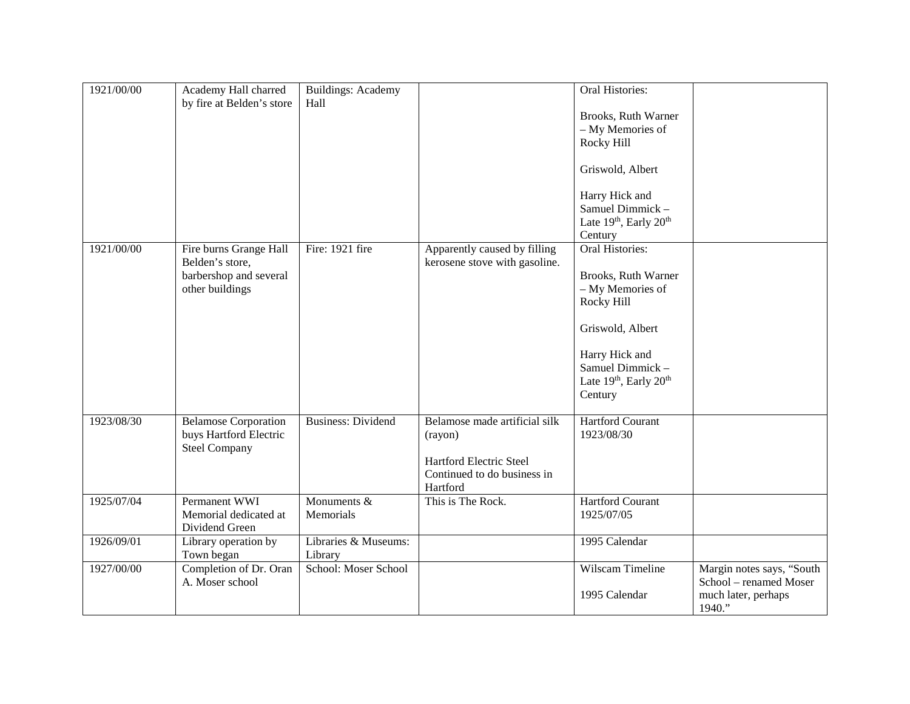| 1921/00/00 | Academy Hall charred<br>by fire at Belden's store                                      | <b>Buildings: Academy</b><br>Hall |                                                                                                                | <b>Oral Histories:</b><br>Brooks, Ruth Warner<br>- My Memories of<br>Rocky Hill<br>Griswold, Albert<br>Harry Hick and<br>Samuel Dimmick-<br>Late 19th, Early 20th<br>Century |                                                                                      |
|------------|----------------------------------------------------------------------------------------|-----------------------------------|----------------------------------------------------------------------------------------------------------------|------------------------------------------------------------------------------------------------------------------------------------------------------------------------------|--------------------------------------------------------------------------------------|
| 1921/00/00 | Fire burns Grange Hall<br>Belden's store,<br>barbershop and several<br>other buildings | Fire: 1921 fire                   | Apparently caused by filling<br>kerosene stove with gasoline.                                                  | Oral Histories:<br>Brooks, Ruth Warner<br>- My Memories of<br>Rocky Hill<br>Griswold, Albert<br>Harry Hick and<br>Samuel Dimmick-<br>Late 19th, Early 20th<br>Century        |                                                                                      |
| 1923/08/30 | <b>Belamose Corporation</b><br>buys Hartford Electric<br><b>Steel Company</b>          | <b>Business: Dividend</b>         | Belamose made artificial silk<br>(rayon)<br>Hartford Electric Steel<br>Continued to do business in<br>Hartford | <b>Hartford Courant</b><br>1923/08/30                                                                                                                                        |                                                                                      |
| 1925/07/04 | Permanent WWI<br>Memorial dedicated at<br>Dividend Green                               | Monuments &<br>Memorials          | This is The Rock.                                                                                              | <b>Hartford Courant</b><br>1925/07/05                                                                                                                                        |                                                                                      |
| 1926/09/01 | Library operation by<br>Town began                                                     | Libraries & Museums:<br>Library   |                                                                                                                | 1995 Calendar                                                                                                                                                                |                                                                                      |
| 1927/00/00 | Completion of Dr. Oran<br>A. Moser school                                              | School: Moser School              |                                                                                                                | Wilscam Timeline<br>1995 Calendar                                                                                                                                            | Margin notes says, "South<br>School - renamed Moser<br>much later, perhaps<br>1940." |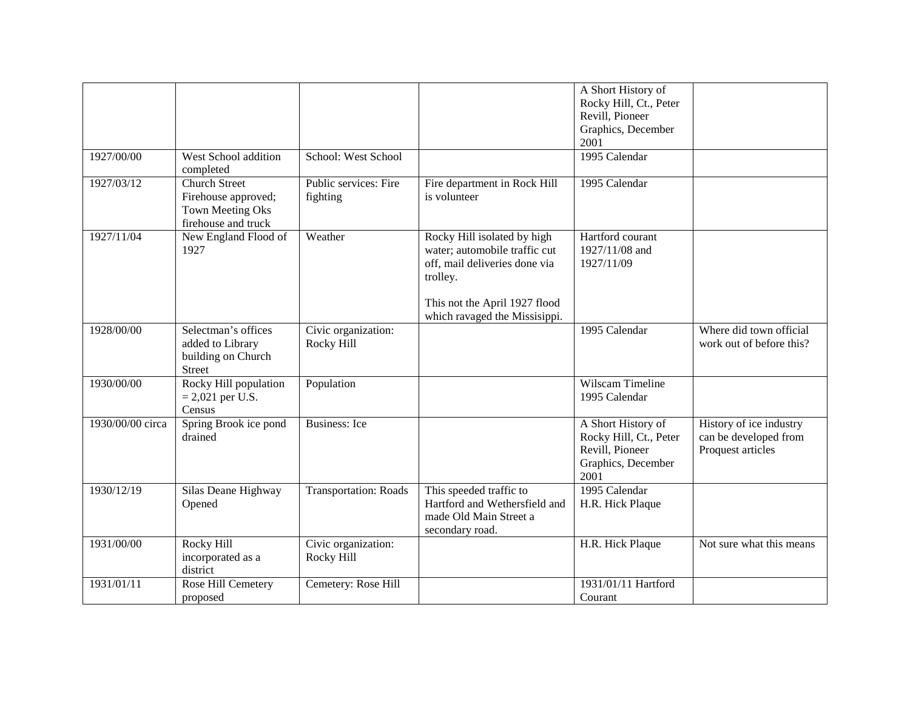|                  |                                                                                               |                                   |                                                                                                                                                                             | A Short History of<br>Rocky Hill, Ct., Peter<br>Revill, Pioneer<br>Graphics, December<br>2001 |                                                                       |
|------------------|-----------------------------------------------------------------------------------------------|-----------------------------------|-----------------------------------------------------------------------------------------------------------------------------------------------------------------------------|-----------------------------------------------------------------------------------------------|-----------------------------------------------------------------------|
| 1927/00/00       | West School addition<br>completed                                                             | School: West School               |                                                                                                                                                                             | 1995 Calendar                                                                                 |                                                                       |
| 1927/03/12       | <b>Church Street</b><br>Firehouse approved;<br><b>Town Meeting Oks</b><br>firehouse and truck | Public services: Fire<br>fighting | Fire department in Rock Hill<br>is volunteer                                                                                                                                | 1995 Calendar                                                                                 |                                                                       |
| 1927/11/04       | New England Flood of<br>1927                                                                  | Weather                           | Rocky Hill isolated by high<br>water; automobile traffic cut<br>off, mail deliveries done via<br>trolley.<br>This not the April 1927 flood<br>which ravaged the Missisippi. | Hartford courant<br>1927/11/08 and<br>1927/11/09                                              |                                                                       |
| 1928/00/00       | Selectman's offices<br>added to Library<br>building on Church<br><b>Street</b>                | Civic organization:<br>Rocky Hill |                                                                                                                                                                             | 1995 Calendar                                                                                 | Where did town official<br>work out of before this?                   |
| 1930/00/00       | Rocky Hill population<br>$= 2,021$ per U.S.<br>Census                                         | Population                        |                                                                                                                                                                             | Wilscam Timeline<br>1995 Calendar                                                             |                                                                       |
| 1930/00/00 circa | Spring Brook ice pond<br>drained                                                              | <b>Business:</b> Ice              |                                                                                                                                                                             | A Short History of<br>Rocky Hill, Ct., Peter<br>Revill, Pioneer<br>Graphics, December<br>2001 | History of ice industry<br>can be developed from<br>Proquest articles |
| 1930/12/19       | Silas Deane Highway<br>Opened                                                                 | <b>Transportation: Roads</b>      | This speeded traffic to<br>Hartford and Wethersfield and<br>made Old Main Street a<br>secondary road.                                                                       | 1995 Calendar<br>H.R. Hick Plaque                                                             |                                                                       |
| 1931/00/00       | Rocky Hill<br>incorporated as a<br>district                                                   | Civic organization:<br>Rocky Hill |                                                                                                                                                                             | H.R. Hick Plaque                                                                              | Not sure what this means                                              |
| 1931/01/11       | Rose Hill Cemetery<br>proposed                                                                | Cemetery: Rose Hill               |                                                                                                                                                                             | 1931/01/11 Hartford<br>Courant                                                                |                                                                       |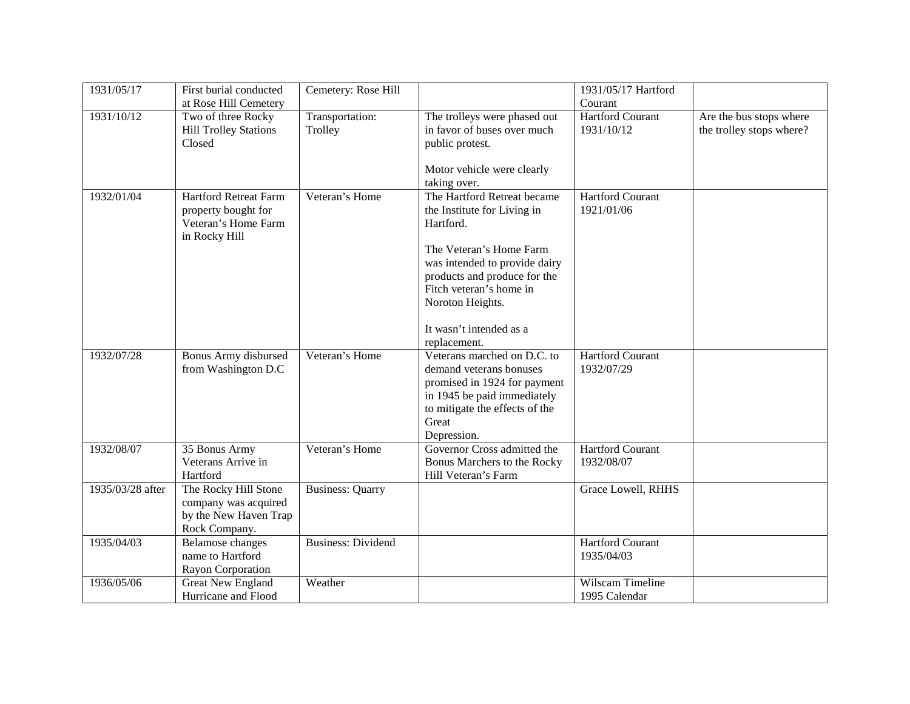| 1931/05/17       | First burial conducted               | Cemetery: Rose Hill       |                                            | 1931/05/17 Hartford     |                          |
|------------------|--------------------------------------|---------------------------|--------------------------------------------|-------------------------|--------------------------|
|                  | at Rose Hill Cemetery                |                           |                                            | Courant                 |                          |
| 1931/10/12       | Two of three Rocky                   | Transportation:           | The trolleys were phased out               | <b>Hartford Courant</b> | Are the bus stops where  |
|                  | <b>Hill Trolley Stations</b>         | Trolley                   | in favor of buses over much                | 1931/10/12              | the trolley stops where? |
|                  | Closed                               |                           | public protest.                            |                         |                          |
|                  |                                      |                           |                                            |                         |                          |
|                  |                                      |                           | Motor vehicle were clearly                 |                         |                          |
|                  |                                      |                           | taking over.                               |                         |                          |
| 1932/01/04       | <b>Hartford Retreat Farm</b>         | Veteran's Home            | The Hartford Retreat became                | <b>Hartford Courant</b> |                          |
|                  | property bought for                  |                           | the Institute for Living in                | 1921/01/06              |                          |
|                  | Veteran's Home Farm<br>in Rocky Hill |                           | Hartford.                                  |                         |                          |
|                  |                                      |                           | The Veteran's Home Farm                    |                         |                          |
|                  |                                      |                           | was intended to provide dairy              |                         |                          |
|                  |                                      |                           | products and produce for the               |                         |                          |
|                  |                                      |                           | Fitch veteran's home in                    |                         |                          |
|                  |                                      |                           | Noroton Heights.                           |                         |                          |
|                  |                                      |                           |                                            |                         |                          |
|                  |                                      |                           | It wasn't intended as a                    |                         |                          |
|                  |                                      |                           | replacement.                               |                         |                          |
| 1932/07/28       | Bonus Army disbursed                 | Veteran's Home            | Veterans marched on D.C. to                | <b>Hartford Courant</b> |                          |
|                  | from Washington D.C                  |                           | demand veterans bonuses                    | 1932/07/29              |                          |
|                  |                                      |                           | promised in 1924 for payment               |                         |                          |
|                  |                                      |                           | in 1945 be paid immediately                |                         |                          |
|                  |                                      |                           | to mitigate the effects of the<br>Great    |                         |                          |
|                  |                                      |                           |                                            |                         |                          |
| 1932/08/07       | 35 Bonus Army                        | Veteran's Home            | Depression.<br>Governor Cross admitted the | <b>Hartford Courant</b> |                          |
|                  | Veterans Arrive in                   |                           | Bonus Marchers to the Rocky                | 1932/08/07              |                          |
|                  | Hartford                             |                           | Hill Veteran's Farm                        |                         |                          |
| 1935/03/28 after | The Rocky Hill Stone                 | <b>Business: Quarry</b>   |                                            | Grace Lowell, RHHS      |                          |
|                  | company was acquired                 |                           |                                            |                         |                          |
|                  | by the New Haven Trap                |                           |                                            |                         |                          |
|                  | Rock Company.                        |                           |                                            |                         |                          |
| 1935/04/03       | <b>Belamose</b> changes              | <b>Business: Dividend</b> |                                            | <b>Hartford Courant</b> |                          |
|                  | name to Hartford                     |                           |                                            | 1935/04/03              |                          |
|                  | Rayon Corporation                    |                           |                                            |                         |                          |
| 1936/05/06       | <b>Great New England</b>             | Weather                   |                                            | Wilscam Timeline        |                          |
|                  | Hurricane and Flood                  |                           |                                            | 1995 Calendar           |                          |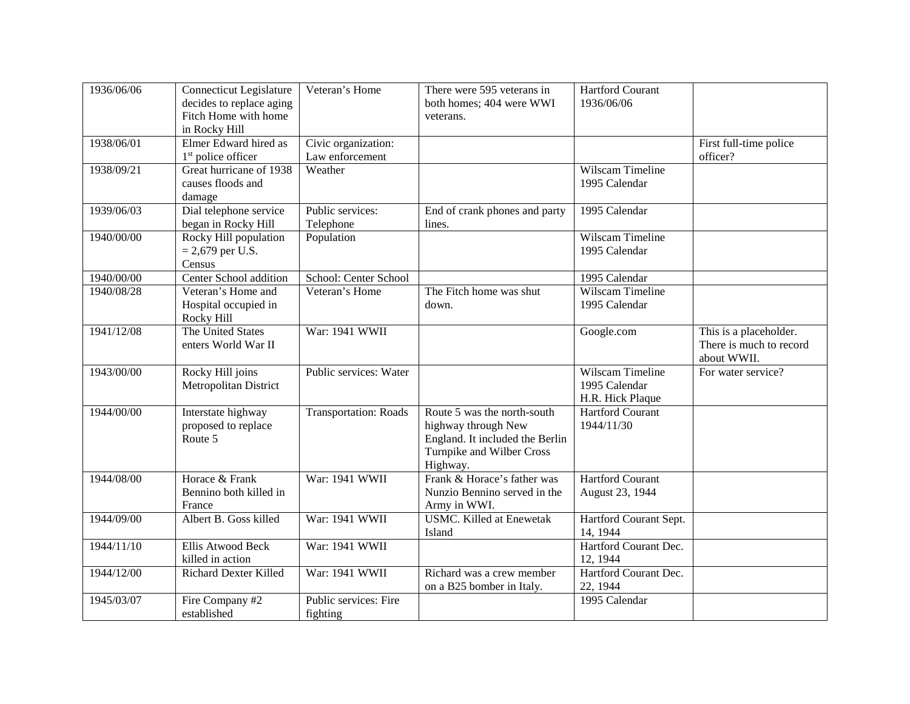| 1936/06/06 | <b>Connecticut Legislature</b><br>decides to replace aging<br>Fitch Home with home<br>in Rocky Hill | Veteran's Home                         | There were 595 veterans in<br>both homes; 404 were WWI<br>veterans.                                                            | <b>Hartford Courant</b><br>1936/06/06                 |                                                                  |
|------------|-----------------------------------------------------------------------------------------------------|----------------------------------------|--------------------------------------------------------------------------------------------------------------------------------|-------------------------------------------------------|------------------------------------------------------------------|
| 1938/06/01 | Elmer Edward hired as<br>1 <sup>st</sup> police officer                                             | Civic organization:<br>Law enforcement |                                                                                                                                |                                                       | First full-time police<br>officer?                               |
| 1938/09/21 | Great hurricane of 1938<br>causes floods and<br>damage                                              | Weather                                |                                                                                                                                | Wilscam Timeline<br>1995 Calendar                     |                                                                  |
| 1939/06/03 | Dial telephone service<br>began in Rocky Hill                                                       | Public services:<br>Telephone          | End of crank phones and party<br>lines.                                                                                        | 1995 Calendar                                         |                                                                  |
| 1940/00/00 | Rocky Hill population<br>$= 2,679$ per U.S.<br>Census                                               | Population                             |                                                                                                                                | Wilscam Timeline<br>1995 Calendar                     |                                                                  |
| 1940/00/00 | Center School addition                                                                              | School: Center School                  |                                                                                                                                | 1995 Calendar                                         |                                                                  |
| 1940/08/28 | Veteran's Home and<br>Hospital occupied in<br>Rocky Hill                                            | Veteran's Home                         | The Fitch home was shut<br>down.                                                                                               | Wilscam Timeline<br>1995 Calendar                     |                                                                  |
| 1941/12/08 | The United States<br>enters World War II                                                            | War: 1941 WWII                         |                                                                                                                                | Google.com                                            | This is a placeholder.<br>There is much to record<br>about WWII. |
| 1943/00/00 | Rocky Hill joins<br>Metropolitan District                                                           | Public services: Water                 |                                                                                                                                | Wilscam Timeline<br>1995 Calendar<br>H.R. Hick Plaque | For water service?                                               |
| 1944/00/00 | Interstate highway<br>proposed to replace<br>Route 5                                                | <b>Transportation: Roads</b>           | Route 5 was the north-south<br>highway through New<br>England. It included the Berlin<br>Turnpike and Wilber Cross<br>Highway. | <b>Hartford Courant</b><br>1944/11/30                 |                                                                  |
| 1944/08/00 | Horace & Frank<br>Bennino both killed in<br>France                                                  | War: 1941 WWII                         | Frank & Horace's father was<br>Nunzio Bennino served in the<br>Army in WWI.                                                    | <b>Hartford Courant</b><br>August 23, 1944            |                                                                  |
| 1944/09/00 | Albert B. Goss killed                                                                               | War: 1941 WWII                         | <b>USMC.</b> Killed at Enewetak<br>Island                                                                                      | Hartford Courant Sept.<br>14, 1944                    |                                                                  |
| 1944/11/10 | Ellis Atwood Beck<br>killed in action                                                               | War: 1941 WWII                         |                                                                                                                                | Hartford Courant Dec.<br>12, 1944                     |                                                                  |
| 1944/12/00 | <b>Richard Dexter Killed</b>                                                                        | War: 1941 WWII                         | Richard was a crew member<br>on a B25 bomber in Italy.                                                                         | Hartford Courant Dec.<br>22, 1944                     |                                                                  |
| 1945/03/07 | Fire Company #2<br>established                                                                      | Public services: Fire<br>fighting      |                                                                                                                                | 1995 Calendar                                         |                                                                  |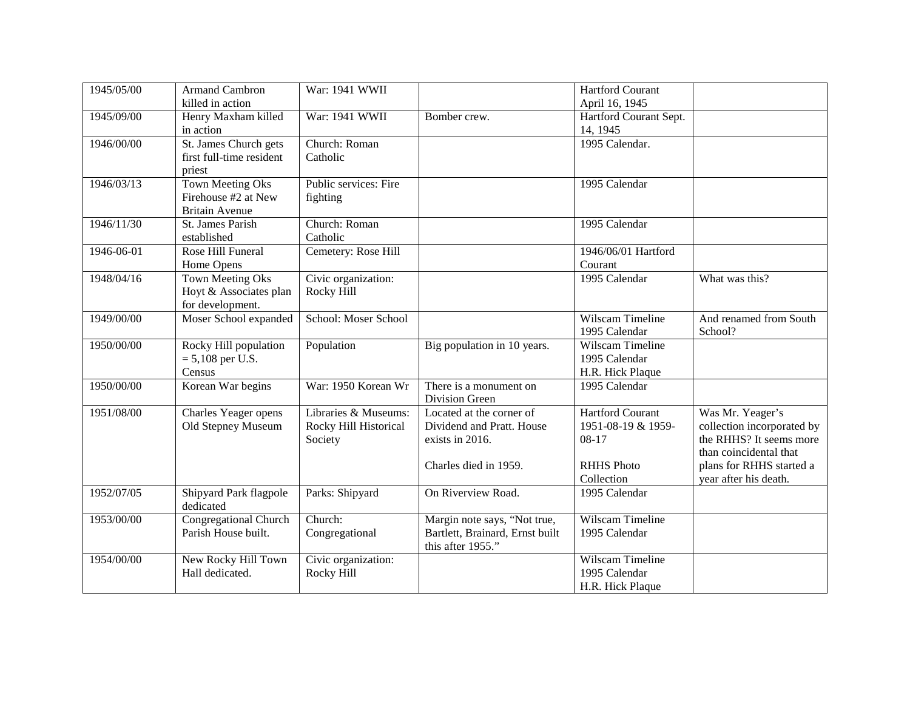| 1945/05/00 | <b>Armand Cambron</b>        | War: 1941 WWII        |                                 | <b>Hartford Courant</b> |                            |
|------------|------------------------------|-----------------------|---------------------------------|-------------------------|----------------------------|
|            | killed in action             |                       |                                 | April 16, 1945          |                            |
| 1945/09/00 | Henry Maxham killed          | War: 1941 WWII        | Bomber crew.                    | Hartford Courant Sept.  |                            |
|            | in action                    |                       |                                 | 14, 1945                |                            |
| 1946/00/00 | St. James Church gets        | Church: Roman         |                                 | 1995 Calendar.          |                            |
|            | first full-time resident     | Catholic              |                                 |                         |                            |
|            | priest                       |                       |                                 |                         |                            |
| 1946/03/13 | <b>Town Meeting Oks</b>      | Public services: Fire |                                 | 1995 Calendar           |                            |
|            | Firehouse #2 at New          | fighting              |                                 |                         |                            |
|            | <b>Britain Avenue</b>        |                       |                                 |                         |                            |
| 1946/11/30 | St. James Parish             | Church: Roman         |                                 | 1995 Calendar           |                            |
|            | established                  | Catholic              |                                 |                         |                            |
| 1946-06-01 | Rose Hill Funeral            | Cemetery: Rose Hill   |                                 | 1946/06/01 Hartford     |                            |
|            | Home Opens                   |                       |                                 | Courant                 |                            |
| 1948/04/16 | <b>Town Meeting Oks</b>      | Civic organization:   |                                 | 1995 Calendar           | What was this?             |
|            | Hoyt & Associates plan       | Rocky Hill            |                                 |                         |                            |
|            | for development.             |                       |                                 |                         |                            |
| 1949/00/00 | Moser School expanded        | School: Moser School  |                                 | Wilscam Timeline        | And renamed from South     |
|            |                              |                       |                                 | 1995 Calendar           | School?                    |
| 1950/00/00 | Rocky Hill population        | Population            | Big population in 10 years.     | Wilscam Timeline        |                            |
|            | $= 5,108$ per U.S.           |                       |                                 | 1995 Calendar           |                            |
|            | Census                       |                       |                                 | H.R. Hick Plaque        |                            |
| 1950/00/00 | Korean War begins            | War: 1950 Korean Wr   | There is a monument on          | 1995 Calendar           |                            |
|            |                              |                       | Division Green                  |                         |                            |
| 1951/08/00 | Charles Yeager opens         | Libraries & Museums:  | Located at the corner of        | <b>Hartford Courant</b> | Was Mr. Yeager's           |
|            | Old Stepney Museum           | Rocky Hill Historical | Dividend and Pratt. House       | 1951-08-19 & 1959-      | collection incorporated by |
|            |                              | Society               | exists in 2016.                 | 08-17                   | the RHHS? It seems more    |
|            |                              |                       |                                 |                         | than coincidental that     |
|            |                              |                       | Charles died in 1959.           | <b>RHHS Photo</b>       | plans for RHHS started a   |
|            |                              |                       |                                 | Collection              | year after his death.      |
| 1952/07/05 | Shipyard Park flagpole       | Parks: Shipyard       | On Riverview Road.              | 1995 Calendar           |                            |
|            | dedicated                    |                       |                                 |                         |                            |
| 1953/00/00 | <b>Congregational Church</b> | Church:               | Margin note says, "Not true,    | Wilscam Timeline        |                            |
|            | Parish House built.          | Congregational        | Bartlett, Brainard, Ernst built | 1995 Calendar           |                            |
|            |                              |                       | this after 1955."               |                         |                            |
| 1954/00/00 | New Rocky Hill Town          | Civic organization:   |                                 | <b>Wilscam Timeline</b> |                            |
|            | Hall dedicated.              | Rocky Hill            |                                 | 1995 Calendar           |                            |
|            |                              |                       |                                 | H.R. Hick Plaque        |                            |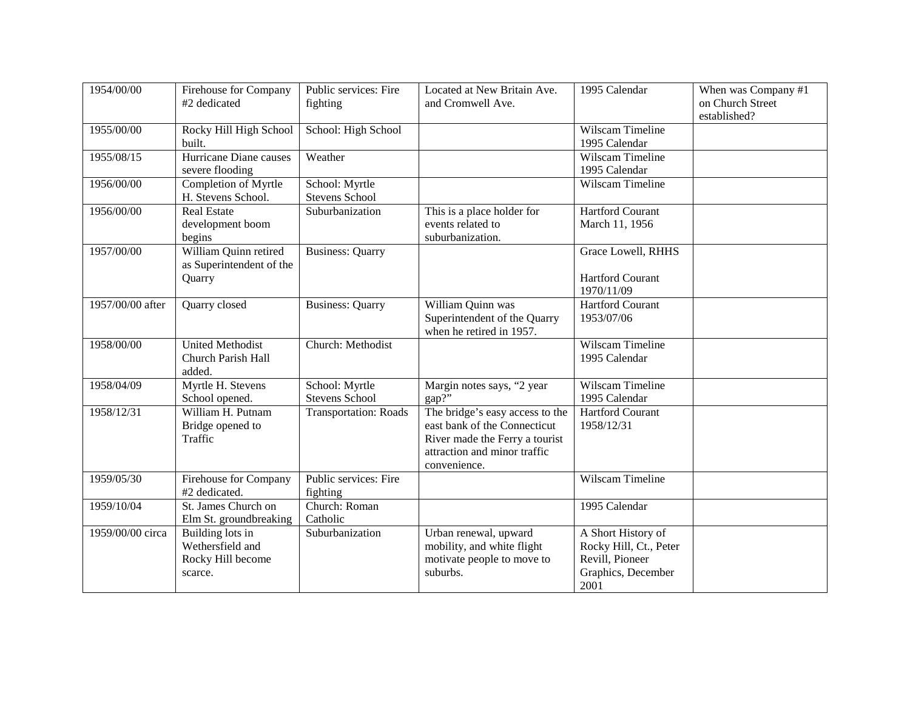| 1954/00/00       | <b>Firehouse for Company</b><br>#2 dedicated                         | Public services: Fire<br>fighting       | Located at New Britain Ave.<br>and Cromwell Ave.                                                                                                  | 1995 Calendar                                                                                 | When was Company #1<br>on Church Street<br>established? |
|------------------|----------------------------------------------------------------------|-----------------------------------------|---------------------------------------------------------------------------------------------------------------------------------------------------|-----------------------------------------------------------------------------------------------|---------------------------------------------------------|
| 1955/00/00       | Rocky Hill High School<br>built.                                     | School: High School                     |                                                                                                                                                   | <b>Wilscam Timeline</b><br>1995 Calendar                                                      |                                                         |
| 1955/08/15       | Hurricane Diane causes<br>severe flooding                            | Weather                                 |                                                                                                                                                   | Wilscam Timeline<br>1995 Calendar                                                             |                                                         |
| 1956/00/00       | Completion of Myrtle<br>H. Stevens School.                           | School: Myrtle<br>Stevens School        |                                                                                                                                                   | Wilscam Timeline                                                                              |                                                         |
| 1956/00/00       | <b>Real Estate</b><br>development boom<br>begins                     | Suburbanization                         | This is a place holder for<br>events related to<br>suburbanization.                                                                               | <b>Hartford Courant</b><br>March 11, 1956                                                     |                                                         |
| 1957/00/00       | William Quinn retired<br>as Superintendent of the<br>Quarry          | <b>Business: Quarry</b>                 |                                                                                                                                                   | Grace Lowell, RHHS<br><b>Hartford Courant</b><br>1970/11/09                                   |                                                         |
| 1957/00/00 after | Quarry closed                                                        | <b>Business: Quarry</b>                 | William Quinn was<br>Superintendent of the Quarry<br>when he retired in 1957.                                                                     | <b>Hartford Courant</b><br>1953/07/06                                                         |                                                         |
| 1958/00/00       | <b>United Methodist</b><br>Church Parish Hall<br>added.              | Church: Methodist                       |                                                                                                                                                   | Wilscam Timeline<br>1995 Calendar                                                             |                                                         |
| 1958/04/09       | Myrtle H. Stevens<br>School opened.                                  | School: Myrtle<br><b>Stevens School</b> | Margin notes says, "2 year<br>gap?"                                                                                                               | Wilscam Timeline<br>1995 Calendar                                                             |                                                         |
| 1958/12/31       | William H. Putnam<br>Bridge opened to<br>Traffic                     | <b>Transportation: Roads</b>            | The bridge's easy access to the<br>east bank of the Connecticut<br>River made the Ferry a tourist<br>attraction and minor traffic<br>convenience. | Hartford Courant<br>1958/12/31                                                                |                                                         |
| 1959/05/30       | <b>Firehouse for Company</b><br>#2 dedicated.                        | Public services: Fire<br>fighting       |                                                                                                                                                   | Wilscam Timeline                                                                              |                                                         |
| 1959/10/04       | St. James Church on<br>Elm St. groundbreaking                        | Church: Roman<br>Catholic               |                                                                                                                                                   | 1995 Calendar                                                                                 |                                                         |
| 1959/00/00 circa | Building lots in<br>Wethersfield and<br>Rocky Hill become<br>scarce. | Suburbanization                         | Urban renewal, upward<br>mobility, and white flight<br>motivate people to move to<br>suburbs.                                                     | A Short History of<br>Rocky Hill, Ct., Peter<br>Revill, Pioneer<br>Graphics, December<br>2001 |                                                         |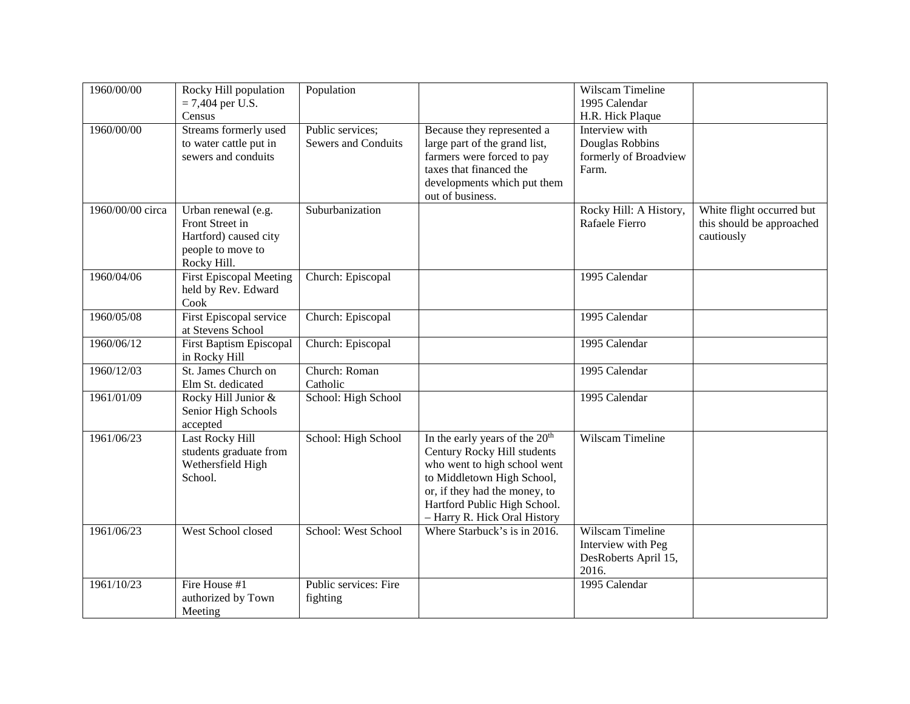| 1960/00/00       | Rocky Hill population<br>$= 7,404$ per U.S.<br>Census                                               | Population                                     |                                                                                                                                                                                                                                          | Wilscam Timeline<br>1995 Calendar<br>H.R. Hick Plaque                   |                                                                      |
|------------------|-----------------------------------------------------------------------------------------------------|------------------------------------------------|------------------------------------------------------------------------------------------------------------------------------------------------------------------------------------------------------------------------------------------|-------------------------------------------------------------------------|----------------------------------------------------------------------|
| 1960/00/00       | Streams formerly used<br>to water cattle put in<br>sewers and conduits                              | Public services;<br><b>Sewers and Conduits</b> | Because they represented a<br>large part of the grand list,<br>farmers were forced to pay<br>taxes that financed the<br>developments which put them<br>out of business.                                                                  | Interview with<br>Douglas Robbins<br>formerly of Broadview<br>Farm.     |                                                                      |
| 1960/00/00 circa | Urban renewal (e.g.<br>Front Street in<br>Hartford) caused city<br>people to move to<br>Rocky Hill. | Suburbanization                                |                                                                                                                                                                                                                                          | Rocky Hill: A History,<br>Rafaele Fierro                                | White flight occurred but<br>this should be approached<br>cautiously |
| 1960/04/06       | <b>First Episcopal Meeting</b><br>held by Rev. Edward<br>Cook                                       | Church: Episcopal                              |                                                                                                                                                                                                                                          | 1995 Calendar                                                           |                                                                      |
| 1960/05/08       | First Episcopal service<br>at Stevens School                                                        | Church: Episcopal                              |                                                                                                                                                                                                                                          | 1995 Calendar                                                           |                                                                      |
| 1960/06/12       | <b>First Baptism Episcopal</b><br>in Rocky Hill                                                     | Church: Episcopal                              |                                                                                                                                                                                                                                          | 1995 Calendar                                                           |                                                                      |
| 1960/12/03       | St. James Church on<br>Elm St. dedicated                                                            | Church: Roman<br>Catholic                      |                                                                                                                                                                                                                                          | 1995 Calendar                                                           |                                                                      |
| 1961/01/09       | Rocky Hill Junior &<br>Senior High Schools<br>accepted                                              | School: High School                            |                                                                                                                                                                                                                                          | 1995 Calendar                                                           |                                                                      |
| 1961/06/23       | <b>Last Rocky Hill</b><br>students graduate from<br>Wethersfield High<br>School.                    | School: High School                            | In the early years of the 20 <sup>th</sup><br>Century Rocky Hill students<br>who went to high school went<br>to Middletown High School,<br>or, if they had the money, to<br>Hartford Public High School.<br>- Harry R. Hick Oral History | Wilscam Timeline                                                        |                                                                      |
| 1961/06/23       | West School closed                                                                                  | School: West School                            | Where Starbuck's is in 2016.                                                                                                                                                                                                             | Wilscam Timeline<br>Interview with Peg<br>DesRoberts April 15,<br>2016. |                                                                      |
| 1961/10/23       | Fire House #1<br>authorized by Town<br>Meeting                                                      | Public services: Fire<br>fighting              |                                                                                                                                                                                                                                          | 1995 Calendar                                                           |                                                                      |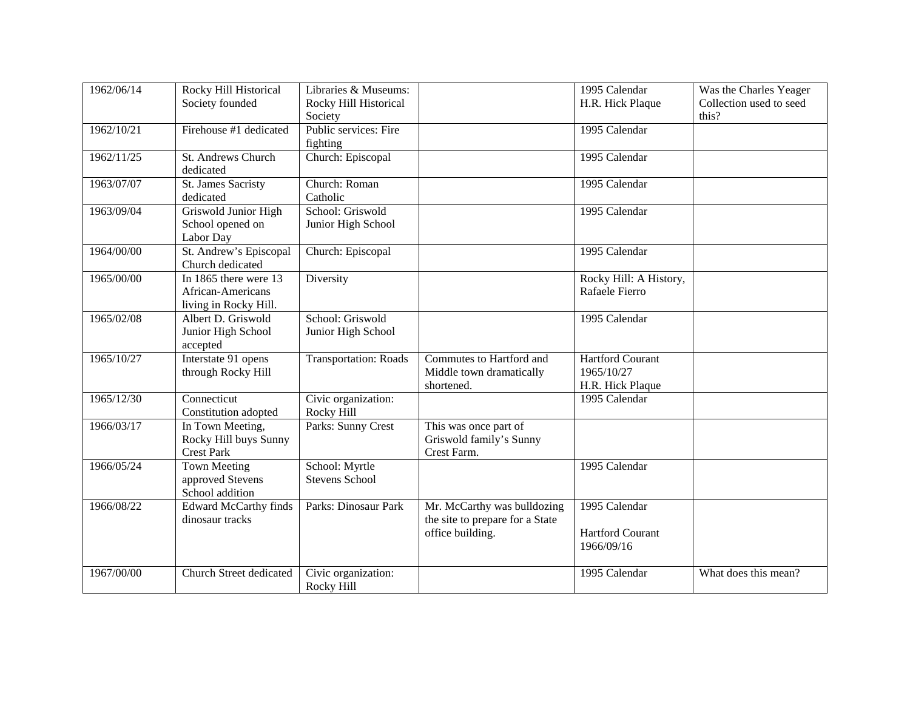| 1962/06/14 | <b>Rocky Hill Historical</b>                                            | Libraries & Museums:                    |                                                                                    | 1995 Calendar                                             | Was the Charles Yeager           |
|------------|-------------------------------------------------------------------------|-----------------------------------------|------------------------------------------------------------------------------------|-----------------------------------------------------------|----------------------------------|
|            | Society founded                                                         | Rocky Hill Historical<br>Society        |                                                                                    | H.R. Hick Plaque                                          | Collection used to seed<br>this? |
| 1962/10/21 | Firehouse #1 dedicated                                                  | Public services: Fire<br>fighting       |                                                                                    | 1995 Calendar                                             |                                  |
| 1962/11/25 | <b>St. Andrews Church</b><br>dedicated                                  | Church: Episcopal                       |                                                                                    | 1995 Calendar                                             |                                  |
| 1963/07/07 | St. James Sacristy<br>dedicated                                         | Church: Roman<br>Catholic               |                                                                                    | 1995 Calendar                                             |                                  |
| 1963/09/04 | Griswold Junior High<br>School opened on<br>Labor Day                   | School: Griswold<br>Junior High School  |                                                                                    | 1995 Calendar                                             |                                  |
| 1964/00/00 | St. Andrew's Episcopal<br>Church dedicated                              | Church: Episcopal                       |                                                                                    | 1995 Calendar                                             |                                  |
| 1965/00/00 | In $1865$ there were $13$<br>African-Americans<br>living in Rocky Hill. | Diversity                               |                                                                                    | Rocky Hill: A History,<br>Rafaele Fierro                  |                                  |
| 1965/02/08 | Albert D. Griswold<br>Junior High School<br>accepted                    | School: Griswold<br>Junior High School  |                                                                                    | 1995 Calendar                                             |                                  |
| 1965/10/27 | Interstate 91 opens<br>through Rocky Hill                               | <b>Transportation: Roads</b>            | Commutes to Hartford and<br>Middle town dramatically<br>shortened.                 | <b>Hartford Courant</b><br>1965/10/27<br>H.R. Hick Plaque |                                  |
| 1965/12/30 | Connecticut<br>Constitution adopted                                     | Civic organization:<br>Rocky Hill       |                                                                                    | 1995 Calendar                                             |                                  |
| 1966/03/17 | In Town Meeting,<br>Rocky Hill buys Sunny<br><b>Crest Park</b>          | Parks: Sunny Crest                      | This was once part of<br>Griswold family's Sunny<br>Crest Farm.                    |                                                           |                                  |
| 1966/05/24 | <b>Town Meeting</b><br>approved Stevens<br>School addition              | School: Myrtle<br><b>Stevens School</b> |                                                                                    | 1995 Calendar                                             |                                  |
| 1966/08/22 | <b>Edward McCarthy finds</b><br>dinosaur tracks                         | Parks: Dinosaur Park                    | Mr. McCarthy was bulldozing<br>the site to prepare for a State<br>office building. | 1995 Calendar<br><b>Hartford Courant</b><br>1966/09/16    |                                  |
| 1967/00/00 | Church Street dedicated                                                 | Civic organization:<br>Rocky Hill       |                                                                                    | 1995 Calendar                                             | What does this mean?             |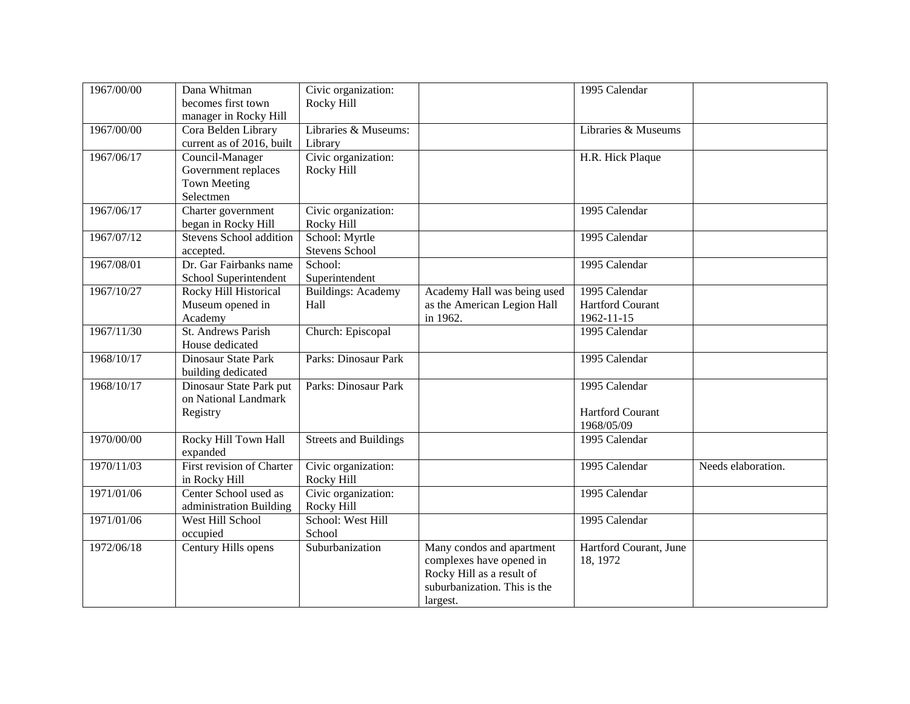| 1967/00/00 | Dana Whitman<br>becomes first town<br>manager in Rocky Hill                | Civic organization:<br>Rocky Hill       |                                                                                                                                | 1995 Calendar                                          |                    |
|------------|----------------------------------------------------------------------------|-----------------------------------------|--------------------------------------------------------------------------------------------------------------------------------|--------------------------------------------------------|--------------------|
| 1967/00/00 | Cora Belden Library<br>current as of 2016, built                           | Libraries & Museums:<br>Library         |                                                                                                                                | Libraries & Museums                                    |                    |
| 1967/06/17 | Council-Manager<br>Government replaces<br><b>Town Meeting</b><br>Selectmen | Civic organization:<br>Rocky Hill       |                                                                                                                                | H.R. Hick Plaque                                       |                    |
| 1967/06/17 | Charter government<br>began in Rocky Hill                                  | Civic organization:<br>Rocky Hill       |                                                                                                                                | 1995 Calendar                                          |                    |
| 1967/07/12 | <b>Stevens School addition</b><br>accepted.                                | School: Myrtle<br><b>Stevens School</b> |                                                                                                                                | 1995 Calendar                                          |                    |
| 1967/08/01 | Dr. Gar Fairbanks name<br>School Superintendent                            | School:<br>Superintendent               |                                                                                                                                | 1995 Calendar                                          |                    |
| 1967/10/27 | Rocky Hill Historical<br>Museum opened in<br>Academy                       | <b>Buildings: Academy</b><br>Hall       | Academy Hall was being used<br>as the American Legion Hall<br>in 1962.                                                         | 1995 Calendar<br><b>Hartford Courant</b><br>1962-11-15 |                    |
| 1967/11/30 | St. Andrews Parish<br>House dedicated                                      | Church: Episcopal                       |                                                                                                                                | 1995 Calendar                                          |                    |
| 1968/10/17 | Dinosaur State Park<br>building dedicated                                  | Parks: Dinosaur Park                    |                                                                                                                                | 1995 Calendar                                          |                    |
| 1968/10/17 | Dinosaur State Park put<br>on National Landmark<br>Registry                | Parks: Dinosaur Park                    |                                                                                                                                | 1995 Calendar<br><b>Hartford Courant</b><br>1968/05/09 |                    |
| 1970/00/00 | Rocky Hill Town Hall<br>expanded                                           | <b>Streets and Buildings</b>            |                                                                                                                                | 1995 Calendar                                          |                    |
| 1970/11/03 | First revision of Charter<br>in Rocky Hill                                 | Civic organization:<br>Rocky Hill       |                                                                                                                                | 1995 Calendar                                          | Needs elaboration. |
| 1971/01/06 | Center School used as<br>administration Building                           | Civic organization:<br>Rocky Hill       |                                                                                                                                | 1995 Calendar                                          |                    |
| 1971/01/06 | West Hill School<br>occupied                                               | School: West Hill<br>School             |                                                                                                                                | 1995 Calendar                                          |                    |
| 1972/06/18 | Century Hills opens                                                        | Suburbanization                         | Many condos and apartment<br>complexes have opened in<br>Rocky Hill as a result of<br>suburbanization. This is the<br>largest. | Hartford Courant, June<br>18, 1972                     |                    |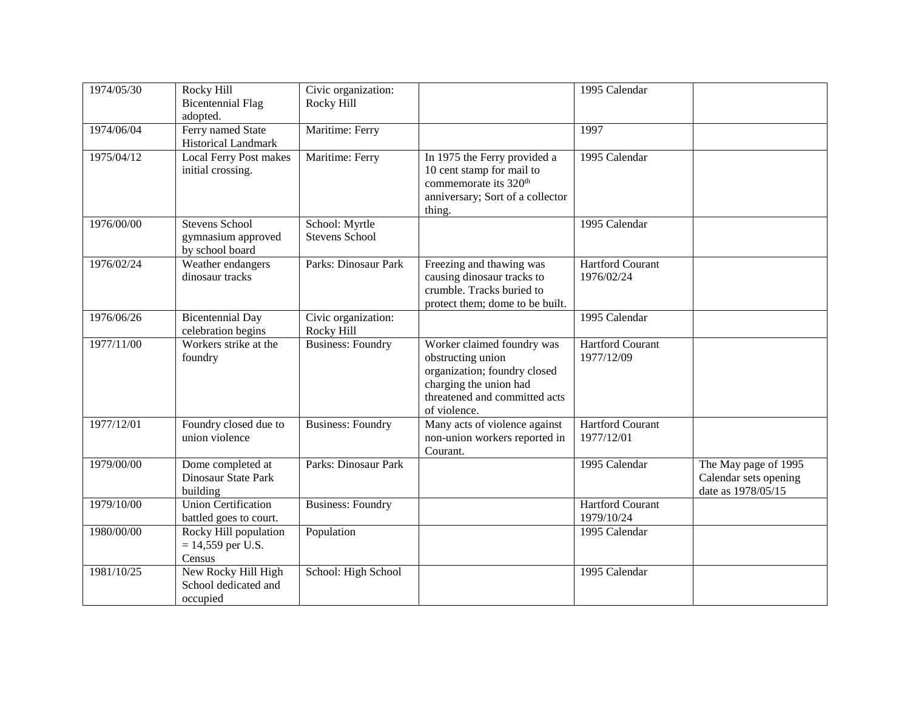| 1974/05/30 | Rocky Hill<br><b>Bicentennial Flag</b><br>adopted.             | Civic organization:<br>Rocky Hill       |                                                                                                                                                            | 1995 Calendar                         |                                                                     |
|------------|----------------------------------------------------------------|-----------------------------------------|------------------------------------------------------------------------------------------------------------------------------------------------------------|---------------------------------------|---------------------------------------------------------------------|
| 1974/06/04 | Ferry named State<br>Historical Landmark                       | Maritime: Ferry                         |                                                                                                                                                            | 1997                                  |                                                                     |
| 1975/04/12 | <b>Local Ferry Post makes</b><br>initial crossing.             | Maritime: Ferry                         | In 1975 the Ferry provided a<br>10 cent stamp for mail to<br>commemorate its 320 <sup>th</sup><br>anniversary; Sort of a collector<br>thing.               | 1995 Calendar                         |                                                                     |
| 1976/00/00 | <b>Stevens School</b><br>gymnasium approved<br>by school board | School: Myrtle<br><b>Stevens School</b> |                                                                                                                                                            | 1995 Calendar                         |                                                                     |
| 1976/02/24 | Weather endangers<br>dinosaur tracks                           | Parks: Dinosaur Park                    | Freezing and thawing was<br>causing dinosaur tracks to<br>crumble. Tracks buried to<br>protect them; dome to be built.                                     | <b>Hartford Courant</b><br>1976/02/24 |                                                                     |
| 1976/06/26 | <b>Bicentennial Day</b><br>celebration begins                  | Civic organization:<br>Rocky Hill       |                                                                                                                                                            | 1995 Calendar                         |                                                                     |
| 1977/11/00 | Workers strike at the<br>foundry                               | <b>Business: Foundry</b>                | Worker claimed foundry was<br>obstructing union<br>organization; foundry closed<br>charging the union had<br>threatened and committed acts<br>of violence. | <b>Hartford Courant</b><br>1977/12/09 |                                                                     |
| 1977/12/01 | Foundry closed due to<br>union violence                        | <b>Business: Foundry</b>                | Many acts of violence against<br>non-union workers reported in<br>Courant.                                                                                 | <b>Hartford Courant</b><br>1977/12/01 |                                                                     |
| 1979/00/00 | Dome completed at<br>Dinosaur State Park<br>building           | Parks: Dinosaur Park                    |                                                                                                                                                            | 1995 Calendar                         | The May page of 1995<br>Calendar sets opening<br>date as 1978/05/15 |
| 1979/10/00 | <b>Union Certification</b><br>battled goes to court.           | <b>Business: Foundry</b>                |                                                                                                                                                            | <b>Hartford Courant</b><br>1979/10/24 |                                                                     |
| 1980/00/00 | Rocky Hill population<br>$= 14,559$ per U.S.<br>Census         | Population                              |                                                                                                                                                            | 1995 Calendar                         |                                                                     |
| 1981/10/25 | New Rocky Hill High<br>School dedicated and<br>occupied        | School: High School                     |                                                                                                                                                            | 1995 Calendar                         |                                                                     |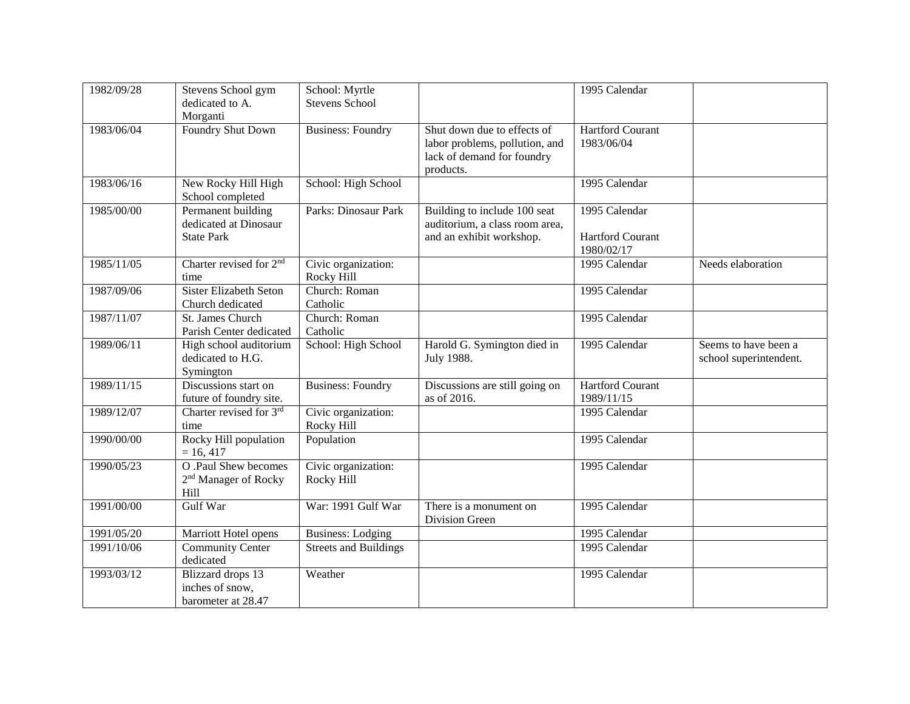| 1982/09/28 | Stevens School gym                                               | School: Myrtle                    |                                                                                             | 1995 Calendar                         |                                                |
|------------|------------------------------------------------------------------|-----------------------------------|---------------------------------------------------------------------------------------------|---------------------------------------|------------------------------------------------|
|            | dedicated to A.                                                  | <b>Stevens School</b>             |                                                                                             |                                       |                                                |
|            | Morganti                                                         |                                   |                                                                                             |                                       |                                                |
| 1983/06/04 | <b>Foundry Shut Down</b>                                         | <b>Business: Foundry</b>          | Shut down due to effects of<br>labor problems, pollution, and<br>lack of demand for foundry | Hartford Courant<br>1983/06/04        |                                                |
|            |                                                                  |                                   | products.                                                                                   |                                       |                                                |
| 1983/06/16 | New Rocky Hill High<br>School completed                          | School: High School               |                                                                                             | 1995 Calendar                         |                                                |
| 1985/00/00 | Permanent building<br>dedicated at Dinosaur                      | Parks: Dinosaur Park              | Building to include 100 seat<br>auditorium, a class room area,                              | 1995 Calendar                         |                                                |
|            | <b>State Park</b>                                                |                                   | and an exhibit workshop.                                                                    | <b>Hartford Courant</b><br>1980/02/17 |                                                |
| 1985/11/05 | Charter revised for 2 <sup>nd</sup><br>time                      | Civic organization:<br>Rocky Hill |                                                                                             | 1995 Calendar                         | Needs elaboration                              |
| 1987/09/06 | <b>Sister Elizabeth Seton</b><br>Church dedicated                | Church: Roman<br>Catholic         |                                                                                             | 1995 Calendar                         |                                                |
| 1987/11/07 | St. James Church<br>Parish Center dedicated                      | Church: Roman<br>Catholic         |                                                                                             | 1995 Calendar                         |                                                |
| 1989/06/11 | High school auditorium<br>dedicated to H.G.<br>Symington         | School: High School               | Harold G. Symington died in<br>July 1988.                                                   | 1995 Calendar                         | Seems to have been a<br>school superintendent. |
| 1989/11/15 | Discussions start on<br>future of foundry site.                  | <b>Business: Foundry</b>          | Discussions are still going on<br>as of 2016.                                               | <b>Hartford Courant</b><br>1989/11/15 |                                                |
| 1989/12/07 | Charter revised for 3rd<br>time                                  | Civic organization:<br>Rocky Hill |                                                                                             | 1995 Calendar                         |                                                |
| 1990/00/00 | Rocky Hill population<br>$= 16, 417$                             | Population                        |                                                                                             | 1995 Calendar                         |                                                |
| 1990/05/23 | O .Paul Shew becomes<br>2 <sup>nd</sup> Manager of Rocky<br>Hill | Civic organization:<br>Rocky Hill |                                                                                             | 1995 Calendar                         |                                                |
| 1991/00/00 | Gulf War                                                         | War: 1991 Gulf War                | There is a monument on<br>Division Green                                                    | 1995 Calendar                         |                                                |
| 1991/05/20 | Marriott Hotel opens                                             | <b>Business:</b> Lodging          |                                                                                             | 1995 Calendar                         |                                                |
| 1991/10/06 | <b>Community Center</b><br>dedicated                             | <b>Streets and Buildings</b>      |                                                                                             | 1995 Calendar                         |                                                |
| 1993/03/12 | Blizzard drops 13<br>inches of snow,<br>barometer at 28.47       | Weather                           |                                                                                             | 1995 Calendar                         |                                                |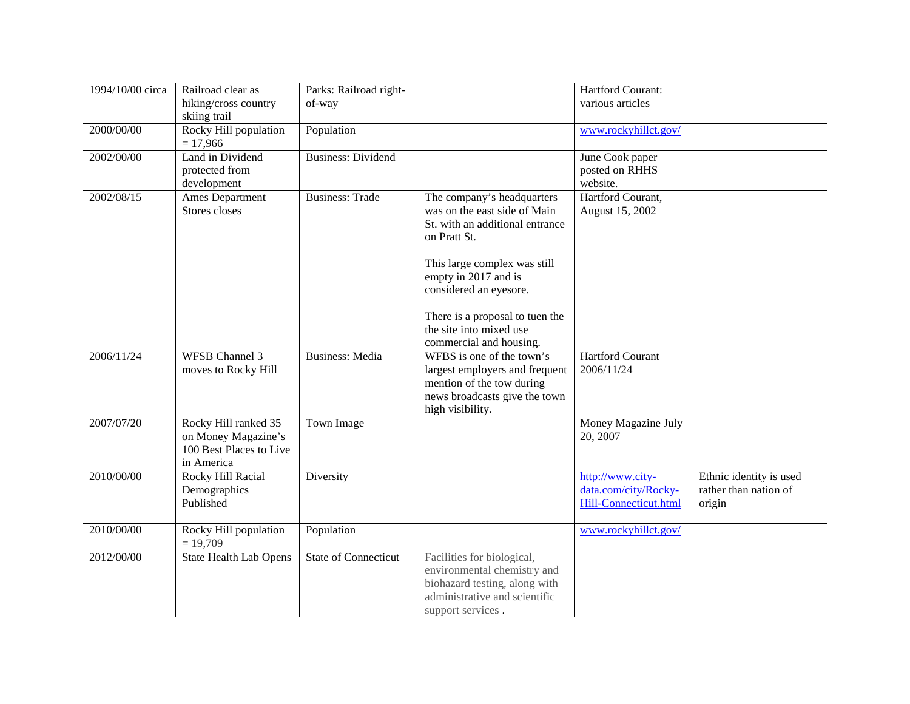| 1994/10/00 circa | Railroad clear as                   | Parks: Railroad right-    |                                                      | Hartford Courant:       |                         |
|------------------|-------------------------------------|---------------------------|------------------------------------------------------|-------------------------|-------------------------|
|                  | hiking/cross country                | of-way                    |                                                      | various articles        |                         |
|                  | skiing trail                        |                           |                                                      |                         |                         |
| 2000/00/00       | Rocky Hill population               | Population                |                                                      | www.rockyhillct.gov/    |                         |
|                  | $= 17,966$                          |                           |                                                      |                         |                         |
| 2002/00/00       | Land in Dividend                    | <b>Business: Dividend</b> |                                                      | June Cook paper         |                         |
|                  | protected from                      |                           |                                                      | posted on RHHS          |                         |
|                  | development                         |                           |                                                      | website.                |                         |
| 2002/08/15       | Ames Department                     | <b>Business: Trade</b>    | The company's headquarters                           | Hartford Courant,       |                         |
|                  | Stores closes                       |                           | was on the east side of Main                         | August 15, 2002         |                         |
|                  |                                     |                           | St. with an additional entrance                      |                         |                         |
|                  |                                     |                           | on Pratt St.                                         |                         |                         |
|                  |                                     |                           |                                                      |                         |                         |
|                  |                                     |                           | This large complex was still<br>empty in 2017 and is |                         |                         |
|                  |                                     |                           | considered an eyesore.                               |                         |                         |
|                  |                                     |                           |                                                      |                         |                         |
|                  |                                     |                           | There is a proposal to tuen the                      |                         |                         |
|                  |                                     |                           | the site into mixed use                              |                         |                         |
|                  |                                     |                           | commercial and housing.                              |                         |                         |
| 2006/11/24       | <b>WFSB Channel 3</b>               | <b>Business: Media</b>    | WFBS is one of the town's                            | <b>Hartford Courant</b> |                         |
|                  | moves to Rocky Hill                 |                           | largest employers and frequent                       | 2006/11/24              |                         |
|                  |                                     |                           | mention of the tow during                            |                         |                         |
|                  |                                     |                           | news broadcasts give the town                        |                         |                         |
|                  |                                     |                           | high visibility.                                     |                         |                         |
| 2007/07/20       | Rocky Hill ranked 35                | Town Image                |                                                      | Money Magazine July     |                         |
|                  | on Money Magazine's                 |                           |                                                      | 20, 2007                |                         |
|                  | 100 Best Places to Live             |                           |                                                      |                         |                         |
|                  | in America                          |                           |                                                      |                         |                         |
| 2010/00/00       | Rocky Hill Racial                   | Diversity                 |                                                      | http://www.city-        | Ethnic identity is used |
|                  | Demographics                        |                           |                                                      | data.com/city/Rocky-    | rather than nation of   |
|                  | Published                           |                           |                                                      | Hill-Connecticut.html   | origin                  |
|                  |                                     |                           |                                                      |                         |                         |
| 2010/00/00       | Rocky Hill population<br>$= 19,709$ | Population                |                                                      | www.rockyhillct.gov/    |                         |
| 2012/00/00       | <b>State Health Lab Opens</b>       | State of Connecticut      | Facilities for biological,                           |                         |                         |
|                  |                                     |                           | environmental chemistry and                          |                         |                         |
|                  |                                     |                           | biohazard testing, along with                        |                         |                         |
|                  |                                     |                           | administrative and scientific                        |                         |                         |
|                  |                                     |                           | support services.                                    |                         |                         |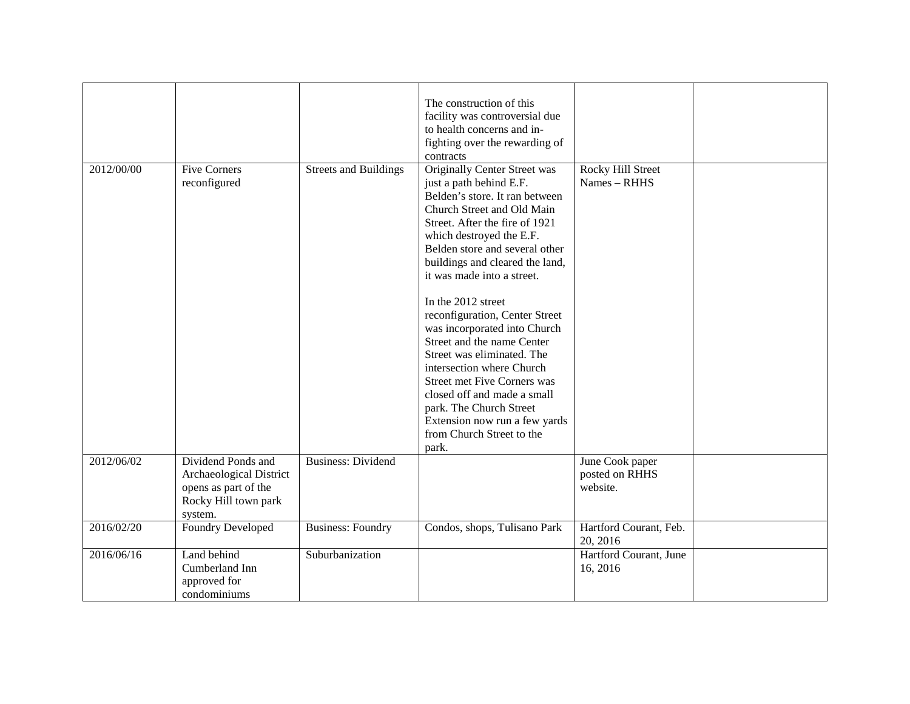|            |                                                                                                          |                              | The construction of this<br>facility was controversial due<br>to health concerns and in-<br>fighting over the rewarding of<br>contracts                                                                                                                                                                                                                                                                                                                                                                                                                                                                                                                 |                                               |  |
|------------|----------------------------------------------------------------------------------------------------------|------------------------------|---------------------------------------------------------------------------------------------------------------------------------------------------------------------------------------------------------------------------------------------------------------------------------------------------------------------------------------------------------------------------------------------------------------------------------------------------------------------------------------------------------------------------------------------------------------------------------------------------------------------------------------------------------|-----------------------------------------------|--|
| 2012/00/00 | <b>Five Corners</b><br>reconfigured                                                                      | <b>Streets and Buildings</b> | <b>Originally Center Street was</b><br>just a path behind E.F.<br>Belden's store. It ran between<br>Church Street and Old Main<br>Street. After the fire of 1921<br>which destroyed the E.F.<br>Belden store and several other<br>buildings and cleared the land,<br>it was made into a street.<br>In the 2012 street<br>reconfiguration, Center Street<br>was incorporated into Church<br>Street and the name Center<br>Street was eliminated. The<br>intersection where Church<br><b>Street met Five Corners was</b><br>closed off and made a small<br>park. The Church Street<br>Extension now run a few yards<br>from Church Street to the<br>park. | Rocky Hill Street<br>Names - RHHS             |  |
| 2012/06/02 | Dividend Ponds and<br>Archaeological District<br>opens as part of the<br>Rocky Hill town park<br>system. | <b>Business: Dividend</b>    |                                                                                                                                                                                                                                                                                                                                                                                                                                                                                                                                                                                                                                                         | June Cook paper<br>posted on RHHS<br>website. |  |
| 2016/02/20 | Foundry Developed                                                                                        | <b>Business: Foundry</b>     | Condos, shops, Tulisano Park                                                                                                                                                                                                                                                                                                                                                                                                                                                                                                                                                                                                                            | Hartford Courant, Feb.<br>20, 2016            |  |
| 2016/06/16 | Land behind<br>Cumberland Inn<br>approved for<br>condominiums                                            | Suburbanization              |                                                                                                                                                                                                                                                                                                                                                                                                                                                                                                                                                                                                                                                         | Hartford Courant, June<br>16, 2016            |  |